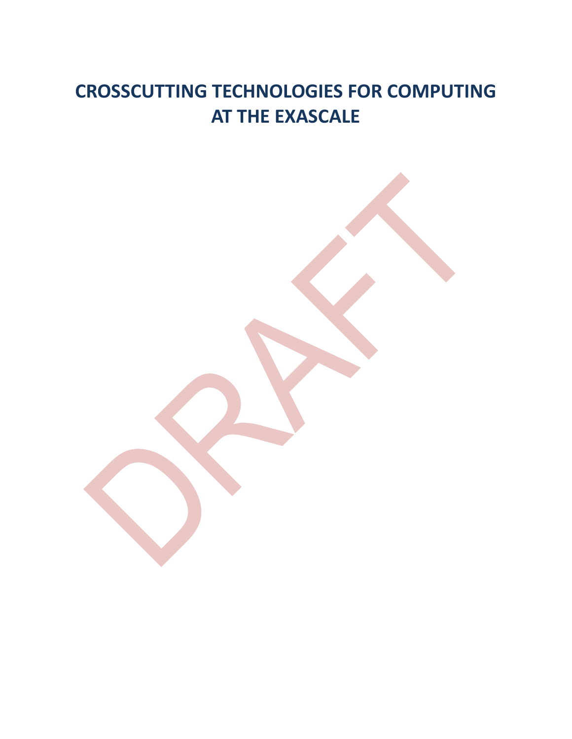# **CROSSCUTTING TECHNOLOGIES FOR COMPUTING AT THE EXASCALE**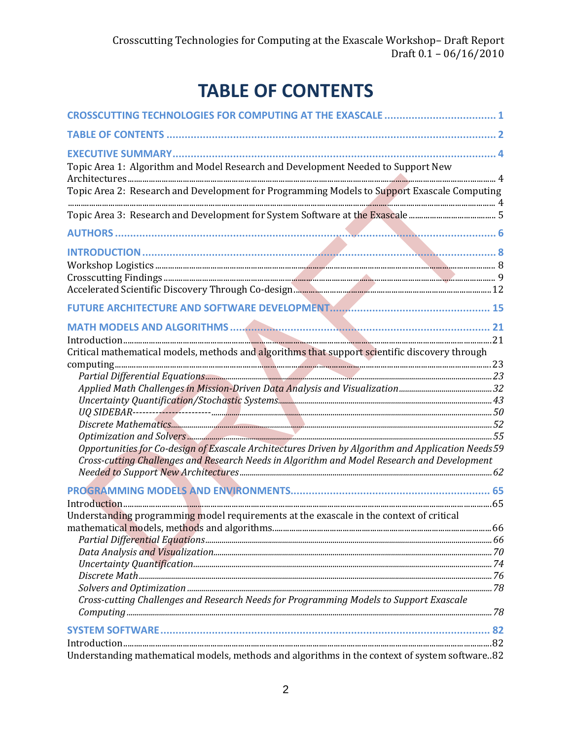# **TABLE OF CONTENTS**

| Topic Area 1: Algorithm and Model Research and Development Needed to Support New                                                                                                                                                                                                                   |  |
|----------------------------------------------------------------------------------------------------------------------------------------------------------------------------------------------------------------------------------------------------------------------------------------------------|--|
| Topic Area 2: Research and Development for Programming Models to Support Exascale Computing                                                                                                                                                                                                        |  |
|                                                                                                                                                                                                                                                                                                    |  |
|                                                                                                                                                                                                                                                                                                    |  |
|                                                                                                                                                                                                                                                                                                    |  |
|                                                                                                                                                                                                                                                                                                    |  |
| Critical mathematical models, methods and algorithms that support scientific discovery through<br>Opportunities for Co-design of Exascale Architectures Driven by Algorithm and Application Needs59<br>Cross-cutting Challenges and Research Needs in Algorithm and Model Research and Development |  |
| Understanding programming model requirements at the exascale in the context of critical<br>Cross-cutting Challenges and Research Needs for Programming Models to Support Exascale                                                                                                                  |  |
| Understanding mathematical models, methods and algorithms in the context of system software82                                                                                                                                                                                                      |  |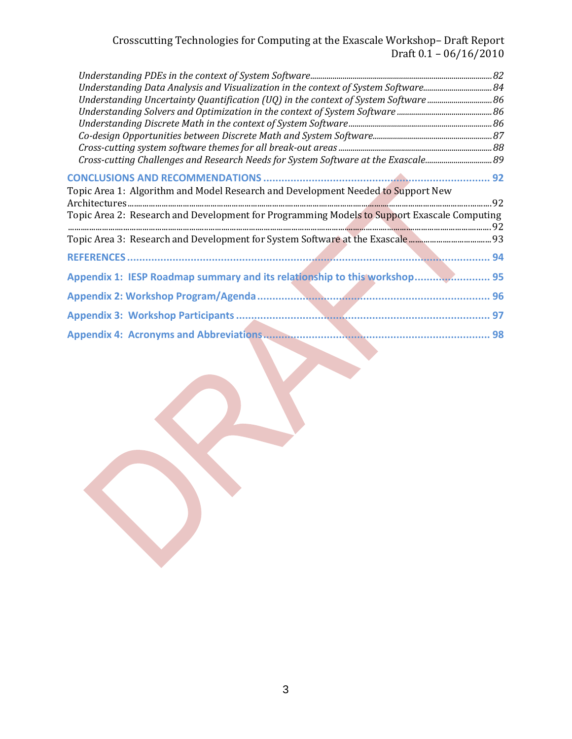| Understanding Data Analysis and Visualization in the context of System Software 84          |  |
|---------------------------------------------------------------------------------------------|--|
|                                                                                             |  |
|                                                                                             |  |
|                                                                                             |  |
|                                                                                             |  |
|                                                                                             |  |
| Cross-cutting Challenges and Research Needs for System Software at the Exascale 89          |  |
|                                                                                             |  |
| Topic Area 1: Algorithm and Model Research and Development Needed to Support New            |  |
|                                                                                             |  |
| Topic Area 2: Research and Development for Programming Models to Support Exascale Computing |  |
|                                                                                             |  |
|                                                                                             |  |
| Appendix 1: IESP Roadmap summary and its relationship to this workshop 95                   |  |
|                                                                                             |  |
| <b>Appendix 3: Workshop Participants</b>                                                    |  |
| <b>Appendix 4: Acronyms and Abbreviations</b>                                               |  |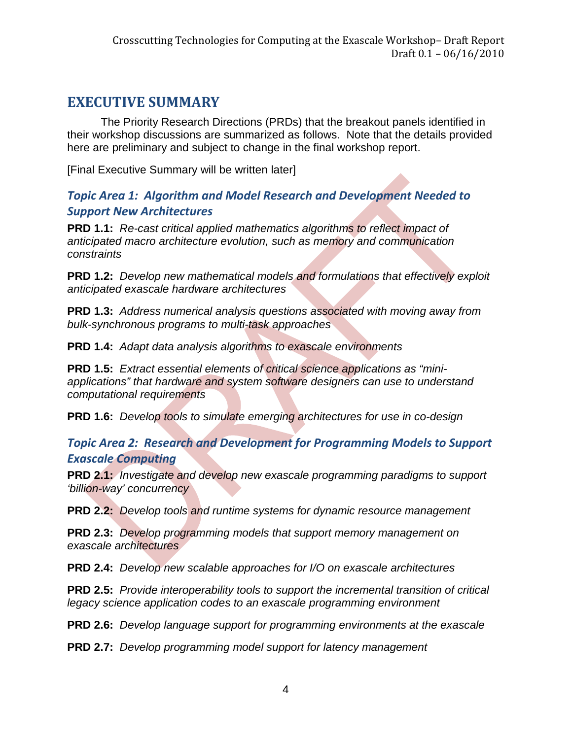# **EXECUTIVE SUMMARY**

The Priority Research Directions (PRDs) that the breakout panels identified in their workshop discussions are summarized as follows. Note that the details provided here are preliminary and subject to change in the final workshop report.

[Final Executive Summary will be written later]

# *Topic Area 1: Algorithm and Model Research and Development Needed to Support New Architectures*

**PRD 1.1:** *Re-cast critical applied mathematics algorithms to reflect impact of anticipated macro architecture evolution, such as memory and communication constraints*

**PRD 1.2:** *Develop new mathematical models and formulations that effectively exploit anticipated exascale hardware architectures*

**PRD 1.3:** *Address numerical analysis questions associated with moving away from bulk-synchronous programs to multi-task approaches*

**PRD 1.4:** *Adapt data analysis algorithms to exascale environments*

**PRD 1.5:** *Extract essential elements of critical science applications as "miniapplications" that hardware and system software designers can use to understand computational requirements*

**PRD 1.6:** *Develop tools to simulate emerging architectures for use in co-design*

# *Topic Area 2: Research and Development for Programming Models to Support Exascale Computing*

**PRD 2.1:** *Investigate and develop new exascale programming paradigms to support 'billion-way' concurrency*

**PRD 2.2:** *Develop tools and runtime systems for dynamic resource management*

**PRD 2.3:** *Develop programming models that support memory management on exascale architectures*

**PRD 2.4:** *Develop new scalable approaches for I/O on exascale architectures*

**PRD 2.5:** *Provide interoperability tools to support the incremental transition of critical legacy science application codes to an exascale programming environment*

**PRD 2.6:** *Develop language support for programming environments at the exascale*

**PRD 2.7:** *Develop programming model support for latency management*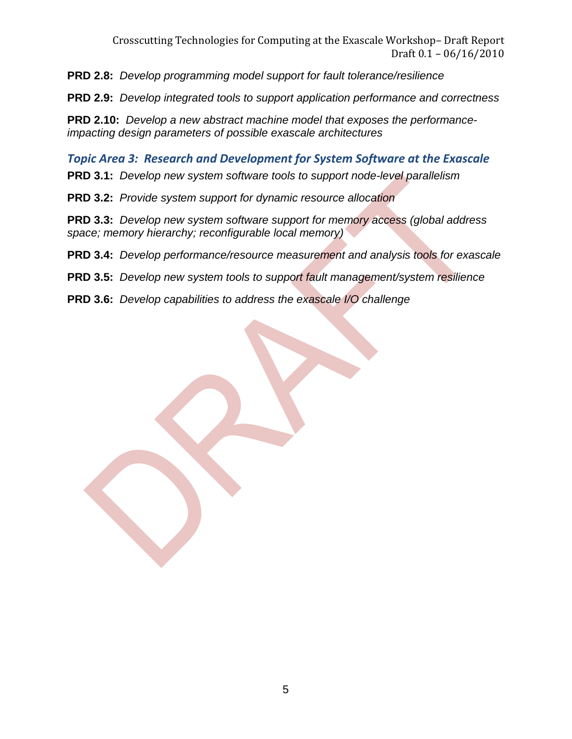**PRD 2.8:** *Develop programming model support for fault tolerance/resilience*

**PRD 2.9:** *Develop integrated tools to support application performance and correctness*

**PRD 2.10:** *Develop a new abstract machine model that exposes the performanceimpacting design parameters of possible exascale architectures*

*Topic Area 3: Research and Development for System Software at the Exascale*

**PRD 3.1:** *Develop new system software tools to support node-level parallelism*

**PRD 3.2:** *Provide system support for dynamic resource allocation*

**PRD 3.3:** *Develop new system software support for memory access (global address space; memory hierarchy; reconfigurable local memory)* 

**PRD 3.4:** *Develop performance/resource measurement and analysis tools for exascale*

**PRD 3.5:** *Develop new system tools to support fault management/system resilience*

**PRD 3.6:** *Develop capabilities to address the exascale I/O challenge*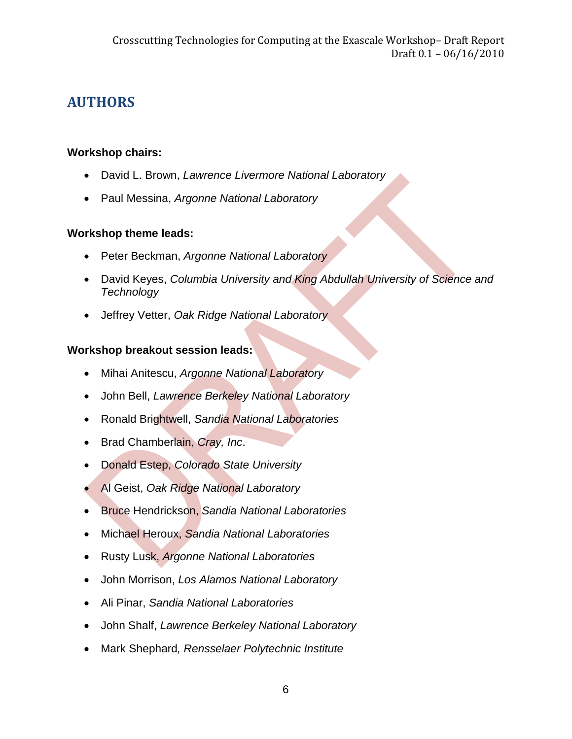# **AUTHORS**

## **Workshop chairs:**

- David L. Brown, *Lawrence Livermore National Laboratory*
- Paul Messina, *Argonne National Laboratory*

# **Workshop theme leads:**

- Peter Beckman, *Argonne National Laboratory*
- David Keyes, *Columbia University and King Abdullah University of Science and Technology*
- Jeffrey Vetter, *Oak Ridge National Laboratory*

# **Workshop breakout session leads:**

- Mihai Anitescu, *Argonne National Laboratory*
- John Bell, *Lawrence Berkeley National Laboratory*
- Ronald Brightwell, *Sandia National Laboratories*
- Brad Chamberlain, *Cray, Inc*.
- Donald Estep, *Colorado State University*
- Al Geist, *Oak Ridge National Laboratory*
- Bruce Hendrickson, *Sandia National Laboratories*
- Michael Heroux, *Sandia National Laboratories*
- Rusty Lusk, *Argonne National Laboratories*
- John Morrison, *Los Alamos National Laboratory*
- Ali Pinar, *Sandia National Laboratories*
- John Shalf, *Lawrence Berkeley National Laboratory*
- Mark Shephard*, Rensselaer Polytechnic Institute*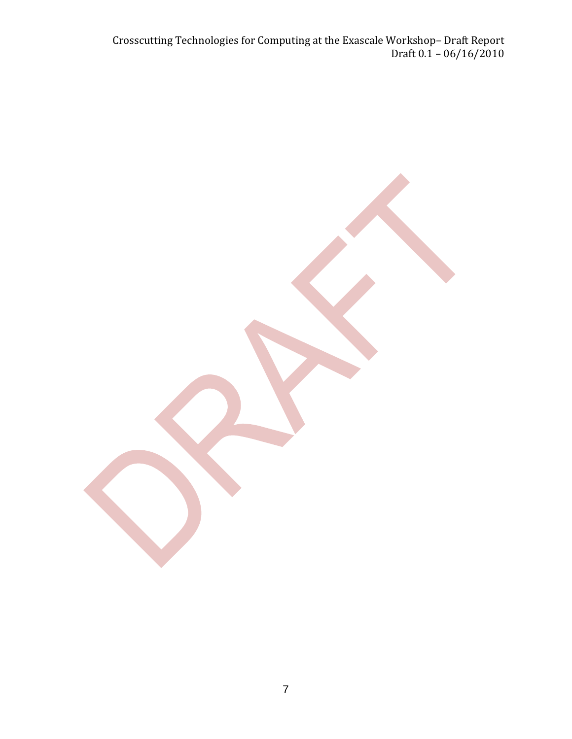7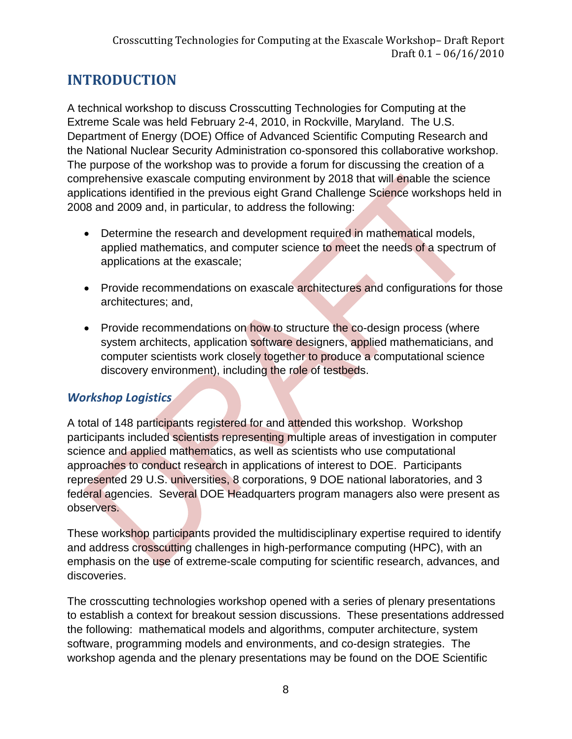# **INTRODUCTION**

A technical workshop to discuss Crosscutting Technologies for Computing at the Extreme Scale was held February 2-4, 2010, in Rockville, Maryland. The U.S. Department of Energy (DOE) Office of Advanced Scientific Computing Research and the National Nuclear Security Administration co-sponsored this collaborative workshop. The purpose of the workshop was to provide a forum for discussing the creation of a comprehensive exascale computing environment by 2018 that will enable the science applications identified in the previous eight Grand Challenge Science workshops held in 2008 and 2009 and, in particular, to address the following:

- Determine the research and development required in mathematical models, applied mathematics, and computer science to meet the needs of a spectrum of applications at the exascale;
- Provide recommendations on exascale architectures and configurations for those architectures; and,
- Provide recommendations on how to structure the co-design process (where system architects, application software designers, applied mathematicians, and computer scientists work closely together to produce a computational science discovery environment), including the role of testbeds.

# *Workshop Logistics*

A total of 148 participants registered for and attended this workshop. Workshop participants included scientists representing multiple areas of investigation in computer science and applied mathematics, as well as scientists who use computational approaches to conduct research in applications of interest to DOE. Participants represented 29 U.S. universities, 8 corporations, 9 DOE national laboratories, and 3 federal agencies. Several DOE Headquarters program managers also were present as observers.

These workshop participants provided the multidisciplinary expertise required to identify and address crosscutting challenges in high-performance computing (HPC), with an emphasis on the use of extreme-scale computing for scientific research, advances, and discoveries.

The crosscutting technologies workshop opened with a series of plenary presentations to establish a context for breakout session discussions. These presentations addressed the following: mathematical models and algorithms, computer architecture, system software, programming models and environments, and co-design strategies. The workshop agenda and the plenary presentations may be found on the DOE Scientific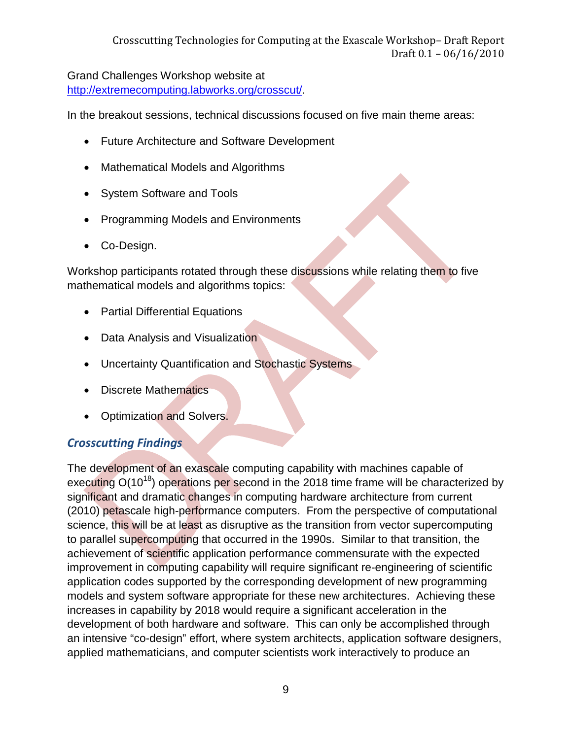Grand Challenges Workshop website at [http://extremecomputing.labworks.org/crosscut/.](http://extremecomputing.labworks.org/crosscut/)

In the breakout sessions, technical discussions focused on five main theme areas:

- Future Architecture and Software Development
- Mathematical Models and Algorithms
- System Software and Tools
- Programming Models and Environments
- Co-Design.

Workshop participants rotated through these discussions while relating them to five mathematical models and algorithms topics:

- Partial Differential Equations
- Data Analysis and Visualization
- Uncertainty Quantification and Stochastic Systems
- Discrete Mathematics
- Optimization and Solvers.

# *Crosscutting Findings*

The development of an exascale computing capability with machines capable of executing  $O(10^{18})$  operations per second in the 2018 time frame will be characterized by significant and dramatic changes in computing hardware architecture from current (2010) petascale high-performance computers. From the perspective of computational science, this will be at least as disruptive as the transition from vector supercomputing to parallel supercomputing that occurred in the 1990s. Similar to that transition, the achievement of scientific application performance commensurate with the expected improvement in computing capability will require significant re-engineering of scientific application codes supported by the corresponding development of new programming models and system software appropriate for these new architectures. Achieving these increases in capability by 2018 would require a significant acceleration in the development of both hardware and software. This can only be accomplished through an intensive "co-design" effort, where system architects, application software designers, applied mathematicians, and computer scientists work interactively to produce an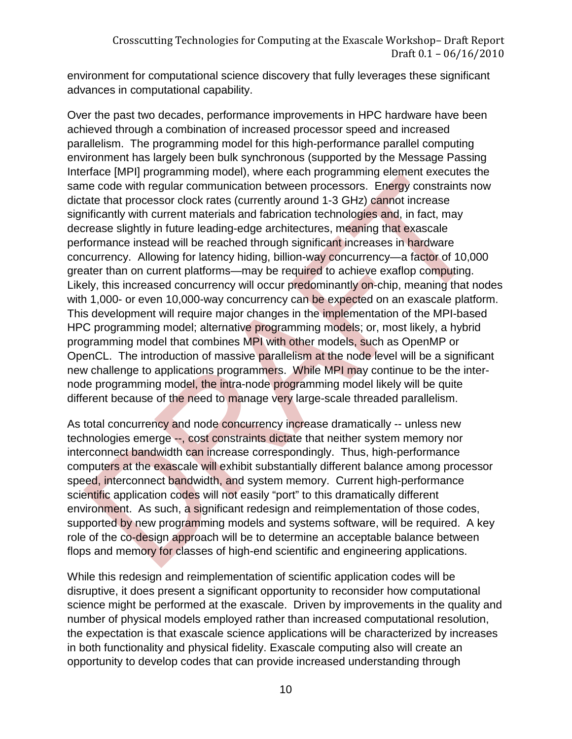environment for computational science discovery that fully leverages these significant advances in computational capability.

Over the past two decades, performance improvements in HPC hardware have been achieved through a combination of increased processor speed and increased parallelism. The programming model for this high-performance parallel computing environment has largely been bulk synchronous (supported by the Message Passing Interface [MPI] programming model), where each programming element executes the same code with regular communication between processors. Energy constraints now dictate that processor clock rates (currently around 1-3 GHz) cannot increase significantly with current materials and fabrication technologies and, in fact, may decrease slightly in future leading-edge architectures, meaning that exascale performance instead will be reached through significant increases in hardware concurrency. Allowing for latency hiding, billion-way concurrency—a factor of 10,000 greater than on current platforms—may be required to achieve exaflop computing. Likely, this increased concurrency will occur predominantly on-chip, meaning that nodes with 1,000- or even 10,000-way concurrency can be expected on an exascale platform. This development will require major changes in the implementation of the MPI-based HPC programming model; alternative programming models; or, most likely, a hybrid programming model that combines MPI with other models, such as OpenMP or OpenCL. The introduction of massive parallelism at the node level will be a significant new challenge to applications programmers. While MPI may continue to be the internode programming model, the intra-node programming model likely will be quite different because of the need to manage very large-scale threaded parallelism.

As total concurrency and node concurrency increase dramatically -- unless new technologies emerge --, cost constraints dictate that neither system memory nor interconnect bandwidth can increase correspondingly. Thus, high-performance computers at the exascale will exhibit substantially different balance among processor speed, interconnect bandwidth, and system memory. Current high-performance scientific application codes will not easily "port" to this dramatically different environment. As such, a significant redesign and reimplementation of those codes, supported by new programming models and systems software, will be required. A key role of the co-design approach will be to determine an acceptable balance between flops and memory for classes of high-end scientific and engineering applications.

While this redesign and reimplementation of scientific application codes will be disruptive, it does present a significant opportunity to reconsider how computational science might be performed at the exascale. Driven by improvements in the quality and number of physical models employed rather than increased computational resolution, the expectation is that exascale science applications will be characterized by increases in both functionality and physical fidelity. Exascale computing also will create an opportunity to develop codes that can provide increased understanding through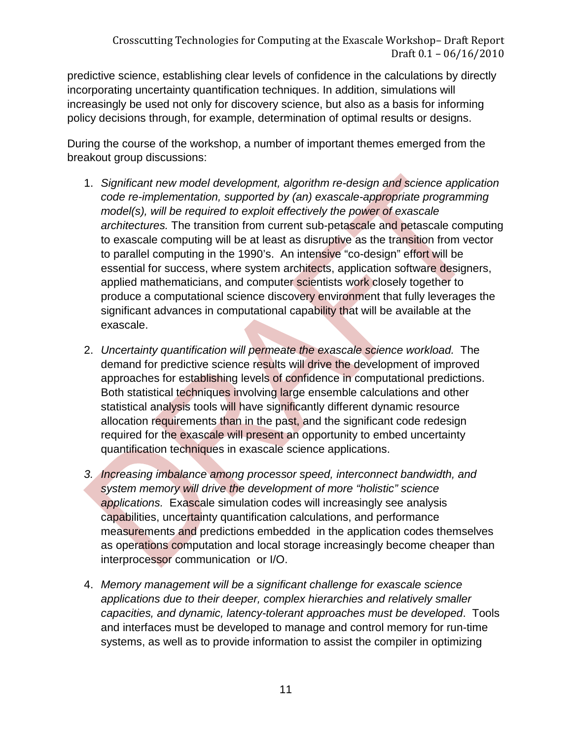predictive science, establishing clear levels of confidence in the calculations by directly incorporating uncertainty quantification techniques. In addition, simulations will increasingly be used not only for discovery science, but also as a basis for informing policy decisions through, for example, determination of optimal results or designs.

During the course of the workshop, a number of important themes emerged from the breakout group discussions:

- 1. *Significant new model development, algorithm re-design and science application code re-implementation, supported by (an) exascale-appropriate programming model(s), will be required to exploit effectively the power of exascale architectures.* The transition from current sub-petascale and petascale computing to exascale computing will be at least as disruptive as the transition from vector to parallel computing in the 1990's. An intensive "co-design" effort will be essential for success, where system architects, application software designers, applied mathematicians, and computer scientists work closely together to produce a computational science discovery environment that fully leverages the significant advances in computational capability that will be available at the exascale.
- 2. *Uncertainty quantification will permeate the exascale science workload.* The demand for predictive science results will drive the development of improved approaches for establishing levels of confidence in computational predictions. Both statistical techniques involving large ensemble calculations and other statistical analysis tools will have significantly different dynamic resource allocation requirements than in the past, and the significant code redesign required for the exascale will present an opportunity to embed uncertainty quantification techniques in exascale science applications.
- *3. Increasing imbalance among processor speed, interconnect bandwidth, and system memory will drive the development of more "holistic" science applications.* Exascale simulation codes will increasingly see analysis capabilities, uncertainty quantification calculations, and performance measurements and predictions embedded in the application codes themselves as operations computation and local storage increasingly become cheaper than interprocessor communication or I/O.
- 4. *Memory management will be a significant challenge for exascale science applications due to their deeper, complex hierarchies and relatively smaller capacities, and dynamic, latency-tolerant approaches must be developed*. Tools and interfaces must be developed to manage and control memory for run-time systems, as well as to provide information to assist the compiler in optimizing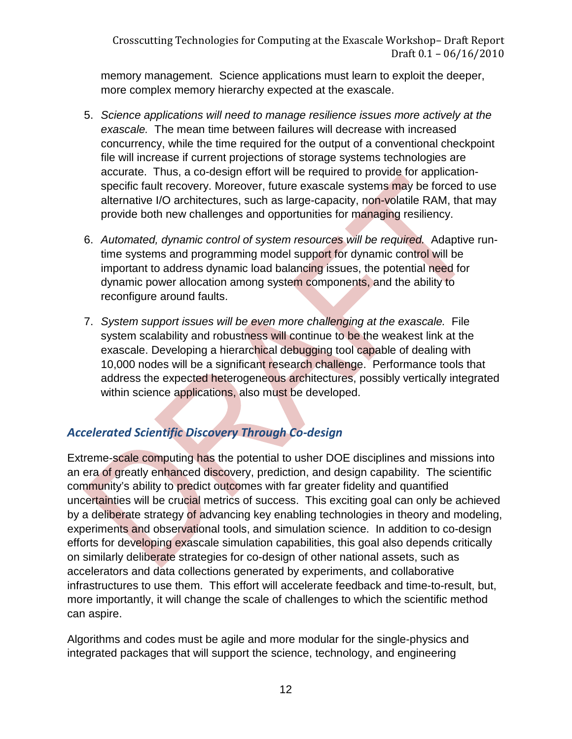memory management. Science applications must learn to exploit the deeper, more complex memory hierarchy expected at the exascale.

- 5. *Science applications will need to manage resilience issues more actively at the exascale.* The mean time between failures will decrease with increased concurrency, while the time required for the output of a conventional checkpoint file will increase if current projections of storage systems technologies are accurate. Thus, a co-design effort will be required to provide for applicationspecific fault recovery. Moreover, future exascale systems may be forced to use alternative I/O architectures, such as large-capacity, non-volatile RAM, that may provide both new challenges and opportunities for managing resiliency.
- 6. *Automated, dynamic control of system resources will be required.* Adaptive runtime systems and programming model support for dynamic control will be important to address dynamic load balancing issues, the potential need for dynamic power allocation among system components, and the ability to reconfigure around faults.
- 7. *System support issues will be even more challenging at the exascale.* File system scalability and robustness will continue to be the weakest link at the exascale. Developing a hierarchical debugging tool capable of dealing with 10,000 nodes will be a significant research challenge. Performance tools that address the expected heterogeneous architectures, possibly vertically integrated within science applications, also must be developed.

# *Accelerated Scientific Discovery Through Co-design*

Extreme-scale computing has the potential to usher DOE disciplines and missions into an era of greatly enhanced discovery, prediction, and design capability. The scientific community's ability to predict outcomes with far greater fidelity and quantified uncertainties will be crucial metrics of success. This exciting goal can only be achieved by a deliberate strategy of advancing key enabling technologies in theory and modeling, experiments and observational tools, and simulation science. In addition to co-design efforts for developing exascale simulation capabilities, this goal also depends critically on similarly deliberate strategies for co-design of other national assets, such as accelerators and data collections generated by experiments, and collaborative infrastructures to use them. This effort will accelerate feedback and time-to-result, but, more importantly, it will change the scale of challenges to which the scientific method can aspire.

Algorithms and codes must be agile and more modular for the single-physics and integrated packages that will support the science, technology, and engineering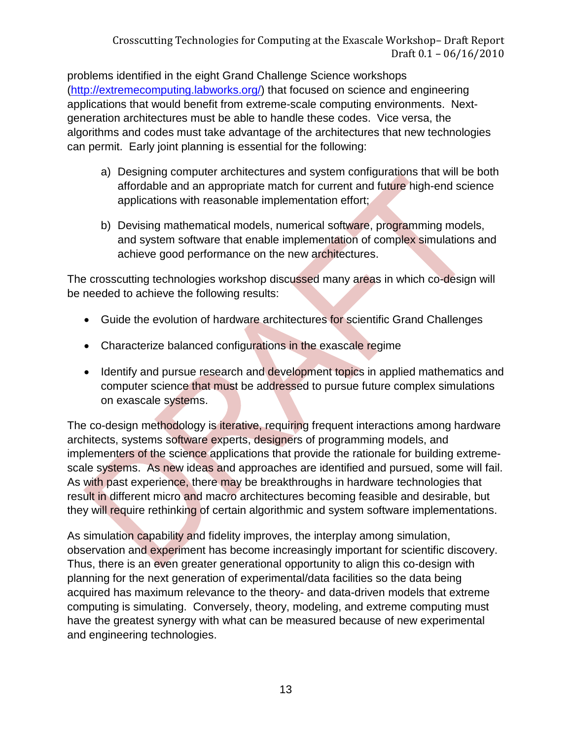problems identified in the eight Grand Challenge Science workshops [\(http://extremecomputing.labworks.org/\)](http://extremecomputing.labworks.org/) that focused on science and engineering applications that would benefit from extreme-scale computing environments. Nextgeneration architectures must be able to handle these codes. Vice versa, the algorithms and codes must take advantage of the architectures that new technologies can permit. Early joint planning is essential for the following:

- a) Designing computer architectures and system configurations that will be both affordable and an appropriate match for current and future high-end science applications with reasonable implementation effort;
- b) Devising mathematical models, numerical software, programming models, and system software that enable implementation of complex simulations and achieve good performance on the new architectures.

The crosscutting technologies workshop discussed many areas in which co-design will be needed to achieve the following results:

- Guide the evolution of hardware architectures for scientific Grand Challenges
- Characterize balanced configurations in the exascale regime
- Identify and pursue research and development topics in applied mathematics and computer science that must be addressed to pursue future complex simulations on exascale systems.

The co-design methodology is iterative, requiring frequent interactions among hardware architects, systems software experts, designers of programming models, and implementers of the science applications that provide the rationale for building extremescale systems. As new ideas and approaches are identified and pursued, some will fail. As with past experience, there may be breakthroughs in hardware technologies that result in different micro and macro architectures becoming feasible and desirable, but they will require rethinking of certain algorithmic and system software implementations.

As simulation capability and fidelity improves, the interplay among simulation, observation and experiment has become increasingly important for scientific discovery. Thus, there is an even greater generational opportunity to align this co-design with planning for the next generation of experimental/data facilities so the data being acquired has maximum relevance to the theory- and data-driven models that extreme computing is simulating. Conversely, theory, modeling, and extreme computing must have the greatest synergy with what can be measured because of new experimental and engineering technologies.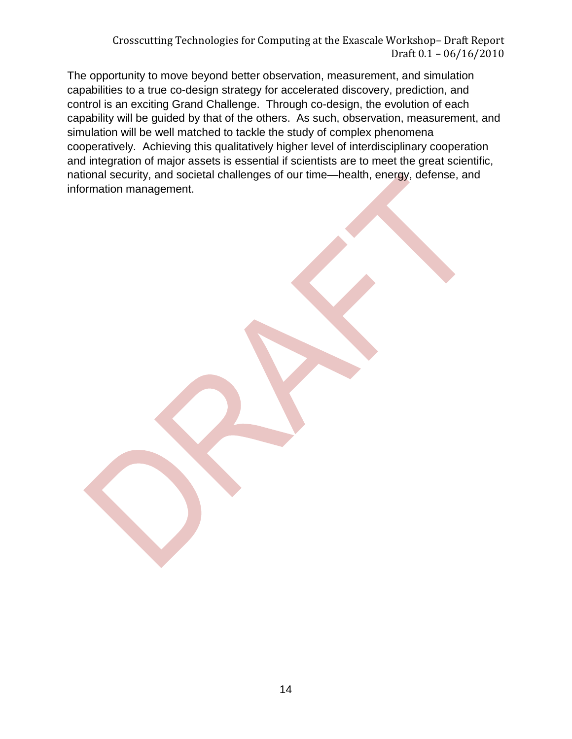The opportunity to move beyond better observation, measurement, and simulation capabilities to a true co-design strategy for accelerated discovery, prediction, and control is an exciting Grand Challenge. Through co-design, the evolution of each capability will be guided by that of the others. As such, observation, measurement, and simulation will be well matched to tackle the study of complex phenomena cooperatively. Achieving this qualitatively higher level of interdisciplinary cooperation and integration of major assets is essential if scientists are to meet the great scientific, national security, and societal challenges of our time—health, energy, defense, and information management.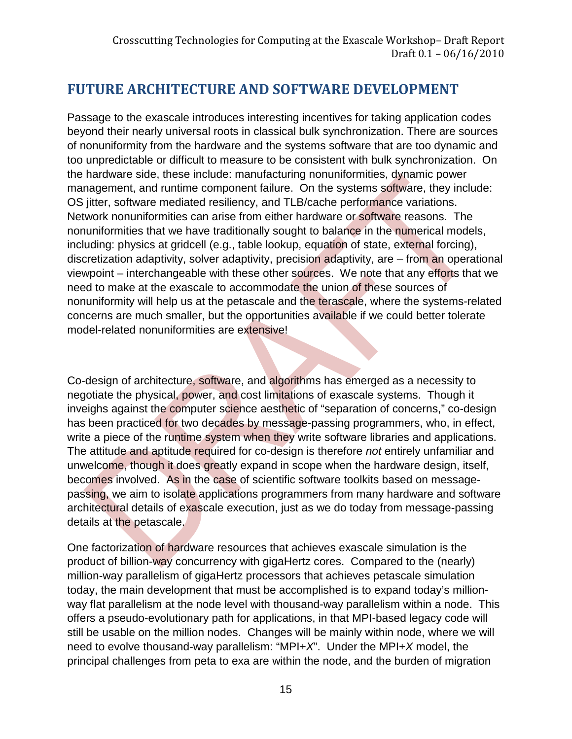# **FUTURE ARCHITECTURE AND SOFTWARE DEVELOPMENT**

Passage to the exascale introduces interesting incentives for taking application codes beyond their nearly universal roots in classical bulk synchronization. There are sources of nonuniformity from the hardware and the systems software that are too dynamic and too unpredictable or difficult to measure to be consistent with bulk synchronization. On the hardware side, these include: manufacturing nonuniformities, dynamic power management, and runtime component failure. On the systems software, they include: OS jitter, software mediated resiliency, and TLB/cache performance variations. Network nonuniformities can arise from either hardware or software reasons. The nonuniformities that we have traditionally sought to balance in the numerical models, including: physics at gridcell (e.g., table lookup, equation of state, external forcing), discretization adaptivity, solver adaptivity, precision adaptivity, are – from an operational viewpoint – interchangeable with these other sources. We note that any efforts that we need to make at the exascale to accommodate the union of these sources of nonuniformity will help us at the petascale and the terascale, where the systems-related concerns are much smaller, but the opportunities available if we could better tolerate model-related nonuniformities are extensive!

Co-design of architecture, software, and algorithms has emerged as a necessity to negotiate the physical, power, and cost limitations of exascale systems. Though it inveighs against the computer science aesthetic of "separation of concerns," co-design has been practiced for two decades by message-passing programmers, who, in effect, write a piece of the runtime system when they write software libraries and applications. The attitude and aptitude required for co-design is therefore *not* entirely unfamiliar and unwelcome, though it does greatly expand in scope when the hardware design, itself, becomes involved. As in the case of scientific software toolkits based on messagepassing, we aim to isolate applications programmers from many hardware and software architectural details of exascale execution, just as we do today from message-passing details at the petascale.

One factorization of hardware resources that achieves exascale simulation is the product of billion-way concurrency with gigaHertz cores. Compared to the (nearly) million-way parallelism of gigaHertz processors that achieves petascale simulation today, the main development that must be accomplished is to expand today's millionway flat parallelism at the node level with thousand-way parallelism within a node. This offers a pseudo-evolutionary path for applications, in that MPI-based legacy code will still be usable on the million nodes. Changes will be mainly within node, where we will need to evolve thousand-way parallelism: "MPI+*X*". Under the MPI+*X* model, the principal challenges from peta to exa are within the node, and the burden of migration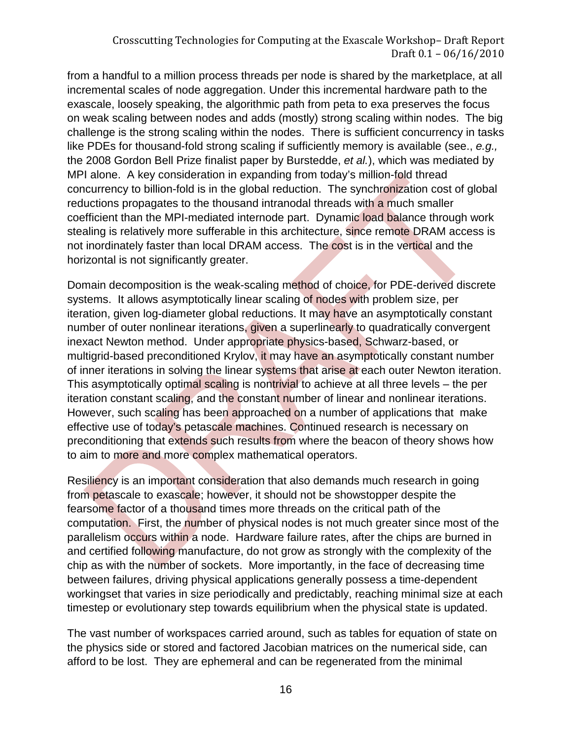from a handful to a million process threads per node is shared by the marketplace, at all incremental scales of node aggregation. Under this incremental hardware path to the exascale, loosely speaking, the algorithmic path from peta to exa preserves the focus on weak scaling between nodes and adds (mostly) strong scaling within nodes. The big challenge is the strong scaling within the nodes. There is sufficient concurrency in tasks like PDEs for thousand-fold strong scaling if sufficiently memory is available (see., *e.g.,* the 2008 Gordon Bell Prize finalist paper by Burstedde, *et al.*), which was mediated by MPI alone. A key consideration in expanding from today's million-fold thread concurrency to billion-fold is in the global reduction. The synchronization cost of global reductions propagates to the thousand intranodal threads with a much smaller coefficient than the MPI-mediated internode part. Dynamic load balance through work stealing is relatively more sufferable in this architecture, since remote DRAM access is not inordinately faster than local DRAM access. The cost is in the vertical and the horizontal is not significantly greater.

Domain decomposition is the weak-scaling method of choice, for PDE-derived discrete systems. It allows asymptotically linear scaling of nodes with problem size, per iteration, given log-diameter global reductions. It may have an asymptotically constant number of outer nonlinear iterations, given a superlinearly to quadratically convergent inexact Newton method. Under appropriate physics-based, Schwarz-based, or multigrid-based preconditioned Krylov, it may have an asymptotically constant number of inner iterations in solving the linear systems that arise at each outer Newton iteration. This asymptotically optimal scaling is nontrivial to achieve at all three levels – the per iteration constant scaling, and the constant number of linear and nonlinear iterations. However, such scaling has been approached on a number of applications that make effective use of today's petascale machines. Continued research is necessary on preconditioning that extends such results from where the beacon of theory shows how to aim to more and more complex mathematical operators.

Resiliency is an important consideration that also demands much research in going from petascale to exascale; however, it should not be showstopper despite the fearsome factor of a thousand times more threads on the critical path of the computation. First, the number of physical nodes is not much greater since most of the parallelism occurs within a node. Hardware failure rates, after the chips are burned in and certified following manufacture, do not grow as strongly with the complexity of the chip as with the number of sockets. More importantly, in the face of decreasing time between failures, driving physical applications generally possess a time-dependent workingset that varies in size periodically and predictably, reaching minimal size at each timestep or evolutionary step towards equilibrium when the physical state is updated.

The vast number of workspaces carried around, such as tables for equation of state on the physics side or stored and factored Jacobian matrices on the numerical side, can afford to be lost. They are ephemeral and can be regenerated from the minimal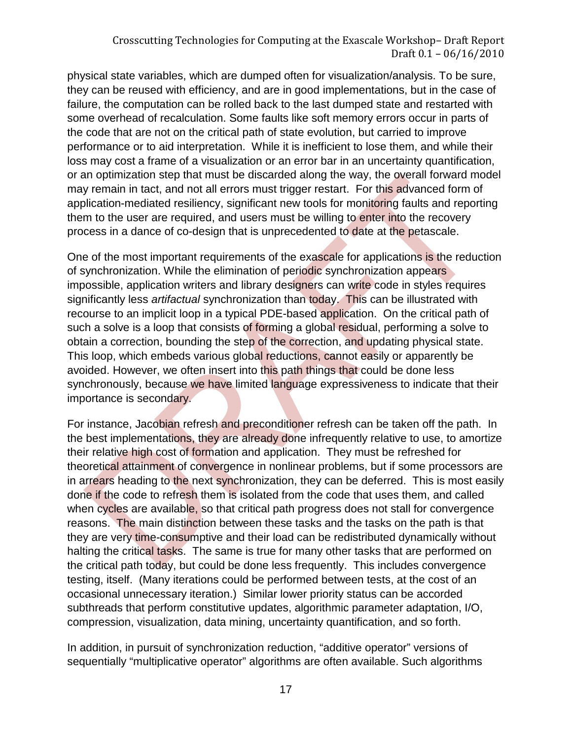physical state variables, which are dumped often for visualization/analysis. To be sure, they can be reused with efficiency, and are in good implementations, but in the case of failure, the computation can be rolled back to the last dumped state and restarted with some overhead of recalculation. Some faults like soft memory errors occur in parts of the code that are not on the critical path of state evolution, but carried to improve performance or to aid interpretation. While it is inefficient to lose them, and while their loss may cost a frame of a visualization or an error bar in an uncertainty quantification, or an optimization step that must be discarded along the way, the overall forward model may remain in tact, and not all errors must trigger restart. For this advanced form of application-mediated resiliency, significant new tools for monitoring faults and reporting them to the user are required, and users must be willing to enter into the recovery process in a dance of co-design that is unprecedented to date at the petascale.

One of the most important requirements of the exascale for applications is the reduction of synchronization. While the elimination of periodic synchronization appears impossible, application writers and library designers can write code in styles requires significantly less *artifactual* synchronization than today. This can be illustrated with recourse to an implicit loop in a typical PDE-based application. On the critical path of such a solve is a loop that consists of forming a global residual, performing a solve to obtain a correction, bounding the step of the correction, and updating physical state. This loop, which embeds various global reductions, cannot easily or apparently be avoided. However, we often insert into this path things that could be done less synchronously, because we have limited language expressiveness to indicate that their importance is secondary.

For instance, Jacobian refresh and preconditioner refresh can be taken off the path. In the best implementations, they are already done infrequently relative to use, to amortize their relative high cost of formation and application. They must be refreshed for theoretical attainment of convergence in nonlinear problems, but if some processors are in arrears heading to the next synchronization, they can be deferred. This is most easily done if the code to refresh them is isolated from the code that uses them, and called when cycles are available, so that critical path progress does not stall for convergence reasons. The main distinction between these tasks and the tasks on the path is that they are very time-consumptive and their load can be redistributed dynamically without halting the critical tasks. The same is true for many other tasks that are performed on the critical path today, but could be done less frequently. This includes convergence testing, itself. (Many iterations could be performed between tests, at the cost of an occasional unnecessary iteration.) Similar lower priority status can be accorded subthreads that perform constitutive updates, algorithmic parameter adaptation, I/O, compression, visualization, data mining, uncertainty quantification, and so forth.

In addition, in pursuit of synchronization reduction, "additive operator" versions of sequentially "multiplicative operator" algorithms are often available. Such algorithms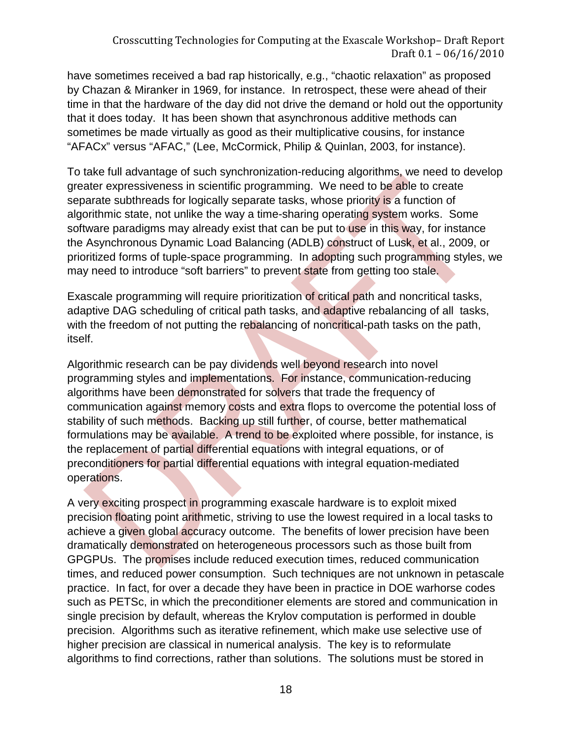have sometimes received a bad rap historically, e.g., "chaotic relaxation" as proposed by Chazan & Miranker in 1969, for instance. In retrospect, these were ahead of their time in that the hardware of the day did not drive the demand or hold out the opportunity that it does today. It has been shown that asynchronous additive methods can sometimes be made virtually as good as their multiplicative cousins, for instance "AFACx" versus "AFAC," (Lee, McCormick, Philip & Quinlan, 2003, for instance).

To take full advantage of such synchronization-reducing algorithms, we need to develop greater expressiveness in scientific programming. We need to be able to create separate subthreads for logically separate tasks, whose priority is a function of algorithmic state, not unlike the way a time-sharing operating system works. Some software paradigms may already exist that can be put to use in this way, for instance the Asynchronous Dynamic Load Balancing (ADLB) construct of Lusk, et al., 2009, or prioritized forms of tuple-space programming. In adopting such programming styles, we may need to introduce "soft barriers" to prevent state from getting too stale.

Exascale programming will require prioritization of critical path and noncritical tasks, adaptive DAG scheduling of critical path tasks, and adaptive rebalancing of all tasks, with the freedom of not putting the rebalancing of noncritical-path tasks on the path, itself.

Algorithmic research can be pay dividends well beyond research into novel programming styles and implementations. For instance, communication-reducing algorithms have been demonstrated for solvers that trade the frequency of communication against memory costs and extra flops to overcome the potential loss of stability of such methods. Backing up still further, of course, better mathematical formulations may be available. A trend to be exploited where possible, for instance, is the replacement of partial differential equations with integral equations, or of preconditioners for partial differential equations with integral equation-mediated operations.

A very exciting prospect in programming exascale hardware is to exploit mixed precision floating point arithmetic, striving to use the lowest required in a local tasks to achieve a given global accuracy outcome. The benefits of lower precision have been dramatically demonstrated on heterogeneous processors such as those built from GPGPUs. The promises include reduced execution times, reduced communication times, and reduced power consumption. Such techniques are not unknown in petascale practice. In fact, for over a decade they have been in practice in DOE warhorse codes such as PETSc, in which the preconditioner elements are stored and communication in single precision by default, whereas the Krylov computation is performed in double precision. Algorithms such as iterative refinement, which make use selective use of higher precision are classical in numerical analysis. The key is to reformulate algorithms to find corrections, rather than solutions. The solutions must be stored in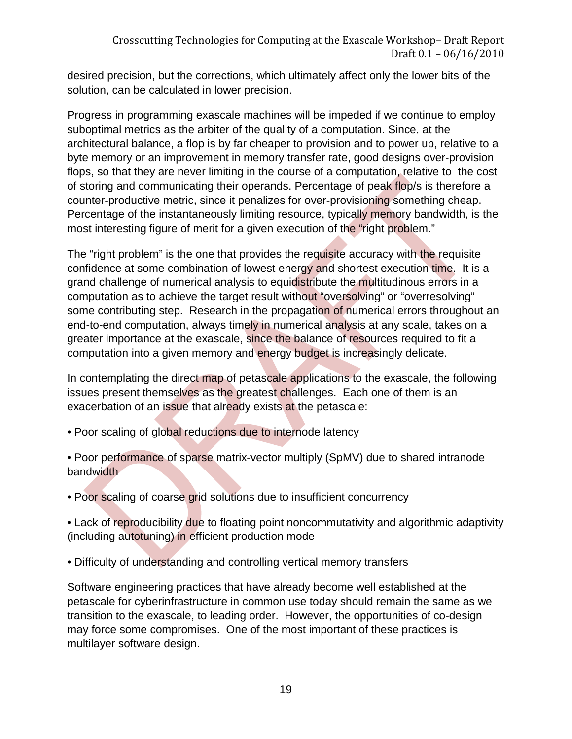desired precision, but the corrections, which ultimately affect only the lower bits of the solution, can be calculated in lower precision.

Progress in programming exascale machines will be impeded if we continue to employ suboptimal metrics as the arbiter of the quality of a computation. Since, at the architectural balance, a flop is by far cheaper to provision and to power up, relative to a byte memory or an improvement in memory transfer rate, good designs over-provision flops, so that they are never limiting in the course of a computation, relative to the cost of storing and communicating their operands. Percentage of peak flop/s is therefore a counter-productive metric, since it penalizes for over-provisioning something cheap. Percentage of the instantaneously limiting resource, typically memory bandwidth, is the most interesting figure of merit for a given execution of the "right problem."

The "right problem" is the one that provides the requisite accuracy with the requisite confidence at some combination of lowest energy and shortest execution time. It is a grand challenge of numerical analysis to equidistribute the multitudinous errors in a computation as to achieve the target result without "oversolving" or "overresolving" some contributing step. Research in the propagation of numerical errors throughout an end-to-end computation, always timely in numerical analysis at any scale, takes on a greater importance at the exascale, since the balance of resources required to fit a computation into a given memory and energy budget is increasingly delicate.

In contemplating the direct map of petascale applications to the exascale, the following issues present themselves as the greatest challenges. Each one of them is an exacerbation of an issue that already exists at the petascale:

- Poor scaling of global reductions due to internode latency
- Poor performance of sparse matrix-vector multiply (SpMV) due to shared intranode bandwidth
- Poor scaling of coarse grid solutions due to insufficient concurrency

• Lack of reproducibility due to floating point noncommutativity and algorithmic adaptivity (including autotuning) in efficient production mode

• Difficulty of understanding and controlling vertical memory transfers

Software engineering practices that have already become well established at the petascale for cyberinfrastructure in common use today should remain the same as we transition to the exascale, to leading order. However, the opportunities of co-design may force some compromises. One of the most important of these practices is multilayer software design.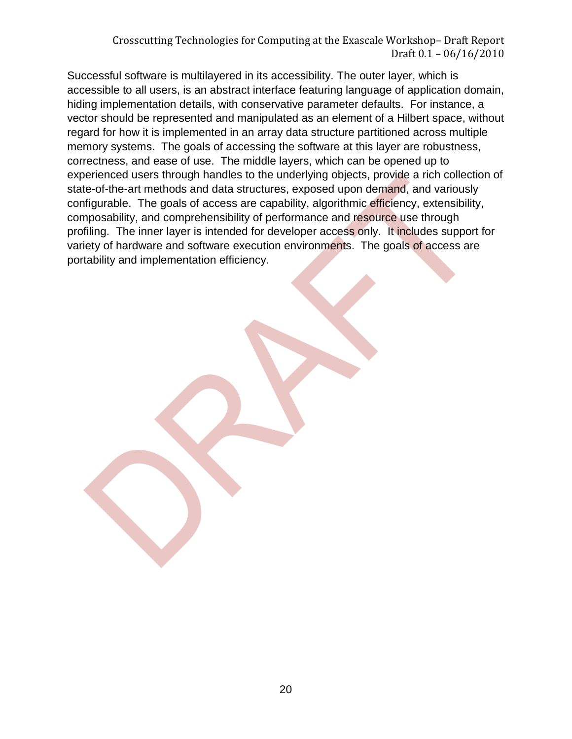Successful software is multilayered in its accessibility. The outer layer, which is accessible to all users, is an abstract interface featuring language of application domain, hiding implementation details, with conservative parameter defaults. For instance, a vector should be represented and manipulated as an element of a Hilbert space, without regard for how it is implemented in an array data structure partitioned across multiple memory systems. The goals of accessing the software at this layer are robustness, correctness, and ease of use. The middle layers, which can be opened up to experienced users through handles to the underlying objects, provide a rich collection of state-of-the-art methods and data structures, exposed upon demand, and variously configurable. The goals of access are capability, algorithmic efficiency, extensibility, composability, and comprehensibility of performance and resource use through profiling. The inner layer is intended for developer access only. It includes support for variety of hardware and software execution environments. The goals of access are portability and implementation efficiency.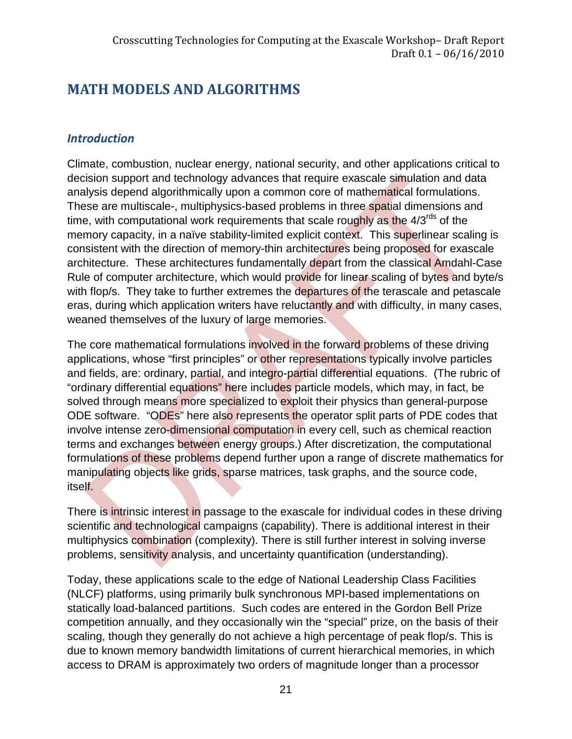# **MATH MODELS AND ALGORITHMS**

# *Introduction*

Climate, combustion, nuclear energy, national security, and other applications critical to decision support and technology advances that require exascale simulation and data analysis depend algorithmically upon a common core of mathematical formulations. These are multiscale-, multiphysics-based problems in three spatial dimensions and time, with computational work requirements that scale roughly as the  $4/3^{rds}$  of the memory capacity, in a naïve stability-limited explicit context. This superlinear scaling is consistent with the direction of memory-thin architectures being proposed for exascale architecture. These architectures fundamentally depart from the classical Amdahl-Case Rule of computer architecture, which would provide for linear scaling of bytes and byte/s with flop/s. They take to further extremes the departures of the terascale and petascale eras, during which application writers have reluctantly and with difficulty, in many cases, weaned themselves of the luxury of large memories.

The core mathematical formulations involved in the forward problems of these driving applications, whose "first principles" or other representations typically involve particles and fields, are: ordinary, partial, and integro-partial differential equations. (The rubric of "ordinary differential equations" here includes particle models, which may, in fact, be solved through means more specialized to exploit their physics than general-purpose ODE software. "ODEs" here also represents the operator split parts of PDE codes that involve intense zero-dimensional computation in every cell, such as chemical reaction terms and exchanges between energy groups.) After discretization, the computational formulations of these problems depend further upon a range of discrete mathematics for manipulating objects like grids, sparse matrices, task graphs, and the source code, itself.

There is intrinsic interest in passage to the exascale for individual codes in these driving scientific and technological campaigns (capability). There is additional interest in their multiphysics combination (complexity). There is still further interest in solving inverse problems, sensitivity analysis, and uncertainty quantification (understanding).

Today, these applications scale to the edge of National Leadership Class Facilities (NLCF) platforms, using primarily bulk synchronous MPI-based implementations on statically load-balanced partitions. Such codes are entered in the Gordon Bell Prize competition annually, and they occasionally win the "special" prize, on the basis of their scaling, though they generally do not achieve a high percentage of peak flop/s. This is due to known memory bandwidth limitations of current hierarchical memories, in which access to DRAM is approximately two orders of magnitude longer than a processor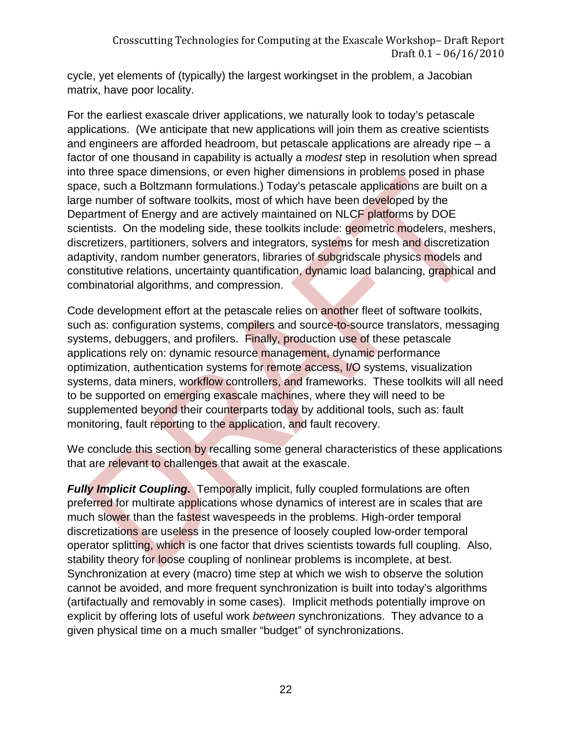cycle, yet elements of (typically) the largest workingset in the problem, a Jacobian matrix, have poor locality.

For the earliest exascale driver applications, we naturally look to today's petascale applications. (We anticipate that new applications will join them as creative scientists and engineers are afforded headroom, but petascale applications are already ripe – a factor of one thousand in capability is actually a *modest* step in resolution when spread into three space dimensions, or even higher dimensions in problems posed in phase space, such a Boltzmann formulations.) Today's petascale applications are built on a large number of software toolkits, most of which have been developed by the Department of Energy and are actively maintained on NLCF platforms by DOE scientists. On the modeling side, these toolkits include: geometric modelers, meshers, discretizers, partitioners, solvers and integrators, systems for mesh and discretization adaptivity, random number generators, libraries of subgridscale physics models and constitutive relations, uncertainty quantification, dynamic load balancing, graphical and combinatorial algorithms, and compression.

Code development effort at the petascale relies on another fleet of software toolkits, such as: configuration systems, compilers and source-to-source translators, messaging systems, debuggers, and profilers. Finally, production use of these petascale applications rely on: dynamic resource management, dynamic performance optimization, authentication systems for remote access, I/O systems, visualization systems, data miners, workflow controllers, and frameworks. These toolkits will all need to be supported on emerging exascale machines, where they will need to be supplemented beyond their counterparts today by additional tools, such as: fault monitoring, fault reporting to the application, and fault recovery.

We conclude this section by recalling some general characteristics of these applications that are relevant to challenges that await at the exascale.

*Fully Implicit Coupling.* Temporally implicit, fully coupled formulations are often preferred for multirate applications whose dynamics of interest are in scales that are much slower than the fastest wavespeeds in the problems. High-order temporal discretizations are useless in the presence of loosely coupled low-order temporal operator splitting, which is one factor that drives scientists towards full coupling. Also, stability theory for loose coupling of nonlinear problems is incomplete, at best. Synchronization at every (macro) time step at which we wish to observe the solution cannot be avoided, and more frequent synchronization is built into today's algorithms (artifactually and removably in some cases). Implicit methods potentially improve on explicit by offering lots of useful work *between* synchronizations. They advance to a given physical time on a much smaller "budget" of synchronizations.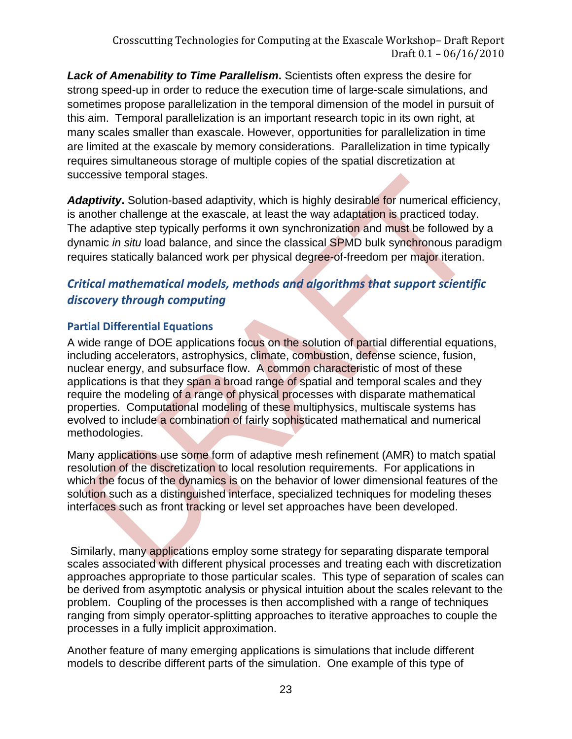*Lack of Amenability to Time Parallelism***.** Scientists often express the desire for strong speed-up in order to reduce the execution time of large-scale simulations, and sometimes propose parallelization in the temporal dimension of the model in pursuit of this aim. Temporal parallelization is an important research topic in its own right, at many scales smaller than exascale. However, opportunities for parallelization in time are limited at the exascale by memory considerations. Parallelization in time typically requires simultaneous storage of multiple copies of the spatial discretization at successive temporal stages.

*Adaptivity***.** Solution-based adaptivity, which is highly desirable for numerical efficiency, is another challenge at the exascale, at least the way adaptation is practiced today. The adaptive step typically performs it own synchronization and must be followed by a dynamic *in situ* load balance, and since the classical SPMD bulk synchronous paradigm requires statically balanced work per physical degree-of-freedom per major iteration.

# *Critical mathematical models, methods and algorithms that support scientific discovery through computing*

#### **Partial Differential Equations**

A wide range of DOE applications focus on the solution of partial differential equations, including accelerators, astrophysics, climate, combustion, defense science, fusion, nuclear energy, and subsurface flow. A common characteristic of most of these applications is that they span a broad range of spatial and temporal scales and they require the modeling of a range of physical processes with disparate mathematical properties. Computational modeling of these multiphysics, multiscale systems has evolved to include a combination of fairly sophisticated mathematical and numerical methodologies.

Many applications use some form of adaptive mesh refinement (AMR) to match spatial resolution of the discretization to local resolution requirements. For applications in which the focus of the dynamics is on the behavior of lower dimensional features of the solution such as a distinguished interface, specialized techniques for modeling theses interfaces such as front tracking or level set approaches have been developed.

Similarly, many applications employ some strategy for separating disparate temporal scales associated with different physical processes and treating each with discretization approaches appropriate to those particular scales. This type of separation of scales can be derived from asymptotic analysis or physical intuition about the scales relevant to the problem. Coupling of the processes is then accomplished with a range of techniques ranging from simply operator-splitting approaches to iterative approaches to couple the processes in a fully implicit approximation.

Another feature of many emerging applications is simulations that include different models to describe different parts of the simulation. One example of this type of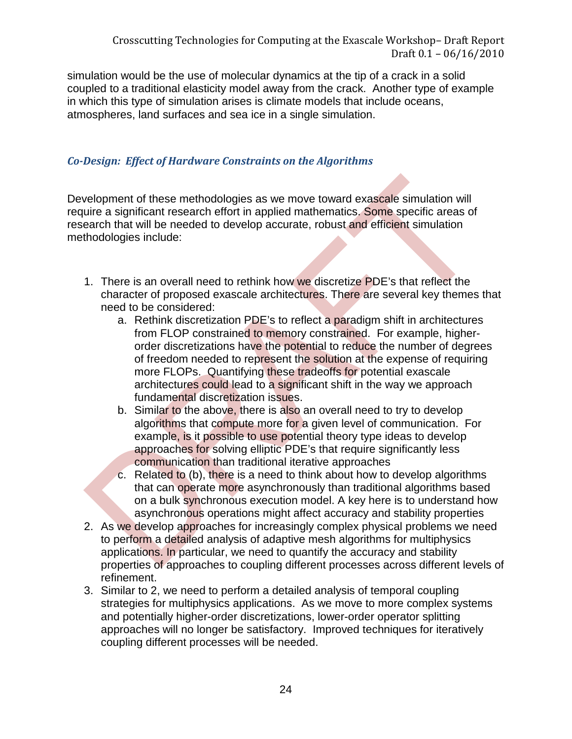simulation would be the use of molecular dynamics at the tip of a crack in a solid coupled to a traditional elasticity model away from the crack. Another type of example in which this type of simulation arises is climate models that include oceans, atmospheres, land surfaces and sea ice in a single simulation.

#### *Co-Design: Effect of Hardware Constraints on the Algorithms*

Development of these methodologies as we move toward exascale simulation will require a significant research effort in applied mathematics. Some specific areas of research that will be needed to develop accurate, robust and efficient simulation methodologies include:

- 1. There is an overall need to rethink how we discretize PDE's that reflect the character of proposed exascale architectures. There are several key themes that need to be considered:
	- a. Rethink discretization PDE's to reflect a paradigm shift in architectures from FLOP constrained to memory constrained. For example, higherorder discretizations have the potential to reduce the number of degrees of freedom needed to represent the solution at the expense of requiring more FLOPs. Quantifying these tradeoffs for potential exascale architectures could lead to a significant shift in the way we approach fundamental discretization issues.
	- b. Similar to the above, there is also an overall need to try to develop algorithms that compute more for a given level of communication. For example, is it possible to use potential theory type ideas to develop approaches for solving elliptic PDE's that require significantly less communication than traditional iterative approaches
	- c. Related to (b), there is a need to think about how to develop algorithms that can operate more asynchronously than traditional algorithms based on a bulk synchronous execution model. A key here is to understand how asynchronous operations might affect accuracy and stability properties
- 2. As we develop approaches for increasingly complex physical problems we need to perform a detailed analysis of adaptive mesh algorithms for multiphysics applications. In particular, we need to quantify the accuracy and stability properties of approaches to coupling different processes across different levels of refinement.
- 3. Similar to 2, we need to perform a detailed analysis of temporal coupling strategies for multiphysics applications. As we move to more complex systems and potentially higher-order discretizations, lower-order operator splitting approaches will no longer be satisfactory. Improved techniques for iteratively coupling different processes will be needed.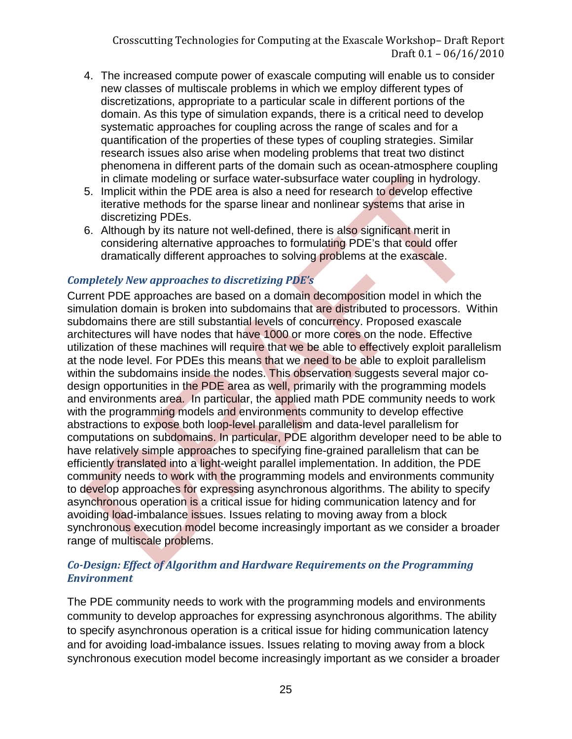- 4. The increased compute power of exascale computing will enable us to consider new classes of multiscale problems in which we employ different types of discretizations, appropriate to a particular scale in different portions of the domain. As this type of simulation expands, there is a critical need to develop systematic approaches for coupling across the range of scales and for a quantification of the properties of these types of coupling strategies. Similar research issues also arise when modeling problems that treat two distinct phenomena in different parts of the domain such as ocean-atmosphere coupling in climate modeling or surface water-subsurface water coupling in hydrology.
- 5. Implicit within the PDE area is also a need for research to develop effective iterative methods for the sparse linear and nonlinear systems that arise in discretizing PDEs.
- 6. Although by its nature not well-defined, there is also significant merit in considering alternative approaches to formulating PDE's that could offer dramatically different approaches to solving problems at the exascale.

#### *Completely New approaches to discretizing PDE's*

Current PDE approaches are based on a domain decomposition model in which the simulation domain is broken into subdomains that are distributed to processors. Within subdomains there are still substantial levels of concurrency. Proposed exascale architectures will have nodes that have 1000 or more cores on the node. Effective utilization of these machines will require that we be able to effectively exploit parallelism at the node level. For PDEs this means that we need to be able to exploit parallelism within the subdomains inside the nodes. This observation suggests several major codesign opportunities in the PDE area as well, primarily with the programming models and environments area. In particular, the applied math PDE community needs to work with the programming models and environments community to develop effective abstractions to expose both loop-level parallelism and data-level parallelism for computations on subdomains. In particular, PDE algorithm developer need to be able to have relatively simple approaches to specifying fine-grained parallelism that can be efficiently translated into a light-weight parallel implementation. In addition, the PDE community needs to work with the programming models and environments community to develop approaches for expressing asynchronous algorithms. The ability to specify asynchronous operation is a critical issue for hiding communication latency and for avoiding load-imbalance issues. Issues relating to moving away from a block synchronous execution model become increasingly important as we consider a broader range of multiscale problems.

#### *Co-Design: Effect of Algorithm and Hardware Requirements on the Programming Environment*

The PDE community needs to work with the programming models and environments community to develop approaches for expressing asynchronous algorithms. The ability to specify asynchronous operation is a critical issue for hiding communication latency and for avoiding load-imbalance issues. Issues relating to moving away from a block synchronous execution model become increasingly important as we consider a broader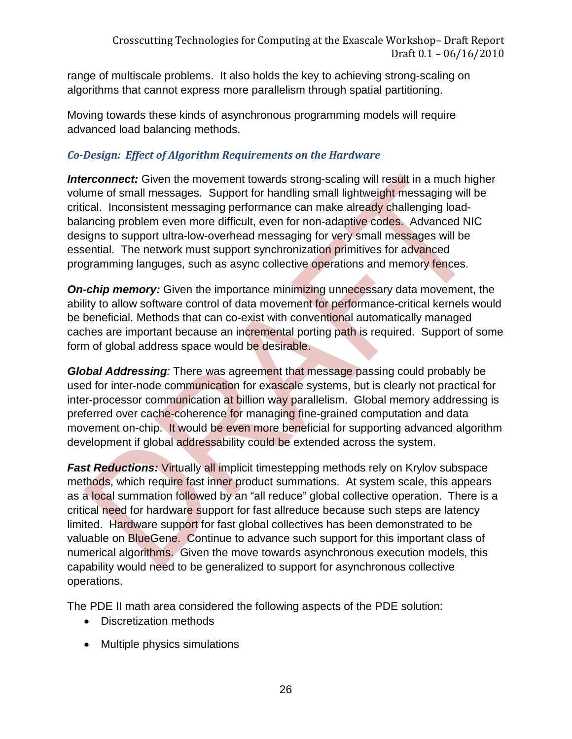range of multiscale problems. It also holds the key to achieving strong-scaling on algorithms that cannot express more parallelism through spatial partitioning.

Moving towards these kinds of asynchronous programming models will require advanced load balancing methods.

# *Co-Design: Effect of Algorithm Requirements on the Hardware*

**Interconnect:** Given the movement towards strong-scaling will result in a much higher volume of small messages. Support for handling small lightweight messaging will be critical. Inconsistent messaging performance can make already challenging loadbalancing problem even more difficult, even for non-adaptive codes. Advanced NIC designs to support ultra-low-overhead messaging for very small messages will be essential. The network must support synchronization primitives for advanced programming languges, such as async collective operations and memory fences.

*On-chip memory:* Given the importance minimizing unnecessary data movement, the ability to allow software control of data movement for performance-critical kernels would be beneficial. Methods that can co-exist with conventional automatically managed caches are important because an incremental porting path is required. Support of some form of global address space would be desirable.

*Global Addressing:* There was agreement that message passing could probably be used for inter-node communication for exascale systems, but is clearly not practical for inter-processor communication at billion way parallelism. Global memory addressing is preferred over cache-coherence for managing fine-grained computation and data movement on-chip. It would be even more beneficial for supporting advanced algorithm development if global addressability could be extended across the system.

**Fast Reductions:** Virtually all implicit timestepping methods rely on Krylov subspace methods, which require fast inner product summations. At system scale, this appears as a local summation followed by an "all reduce" global collective operation. There is a critical need for hardware support for fast allreduce because such steps are latency limited. Hardware support for fast global collectives has been demonstrated to be valuable on BlueGene. Continue to advance such support for this important class of numerical algorithms. Given the move towards asynchronous execution models, this capability would need to be generalized to support for asynchronous collective operations.

The PDE II math area considered the following aspects of the PDE solution:

- Discretization methods
- Multiple physics simulations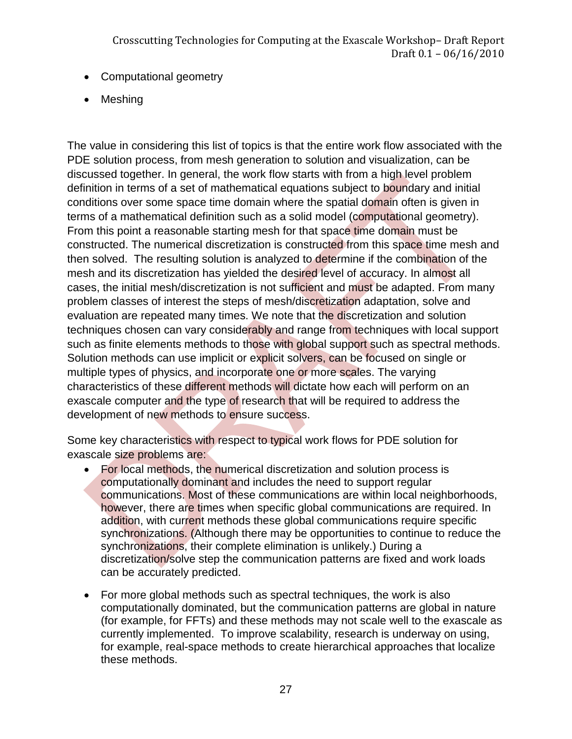- Computational geometry
- Meshing

The value in considering this list of topics is that the entire work flow associated with the PDE solution process, from mesh generation to solution and visualization, can be discussed together. In general, the work flow starts with from a high level problem definition in terms of a set of mathematical equations subject to boundary and initial conditions over some space time domain where the spatial domain often is given in terms of a mathematical definition such as a solid model (computational geometry). From this point a reasonable starting mesh for that space time domain must be constructed. The numerical discretization is constructed from this space time mesh and then solved. The resulting solution is analyzed to determine if the combination of the mesh and its discretization has yielded the desired level of accuracy. In almost all cases, the initial mesh/discretization is not sufficient and must be adapted. From many problem classes of interest the steps of mesh/discretization adaptation, solve and evaluation are repeated many times. We note that the discretization and solution techniques chosen can vary considerably and range from techniques with local support such as finite elements methods to those with global support such as spectral methods. Solution methods can use implicit or explicit solvers, can be focused on single or multiple types of physics, and incorporate one or more scales. The varying characteristics of these different methods will dictate how each will perform on an exascale computer and the type of research that will be required to address the development of new methods to ensure success.

Some key characteristics with respect to typical work flows for PDE solution for exascale size problems are:

- For local methods, the numerical discretization and solution process is computationally dominant and includes the need to support regular communications. Most of these communications are within local neighborhoods, however, there are times when specific global communications are required. In addition, with current methods these global communications require specific synchronizations. (Although there may be opportunities to continue to reduce the synchronizations, their complete elimination is unlikely.) During a discretization/solve step the communication patterns are fixed and work loads can be accurately predicted.
- For more global methods such as spectral techniques, the work is also computationally dominated, but the communication patterns are global in nature (for example, for FFTs) and these methods may not scale well to the exascale as currently implemented. To improve scalability, research is underway on using, for example, real-space methods to create hierarchical approaches that localize these methods.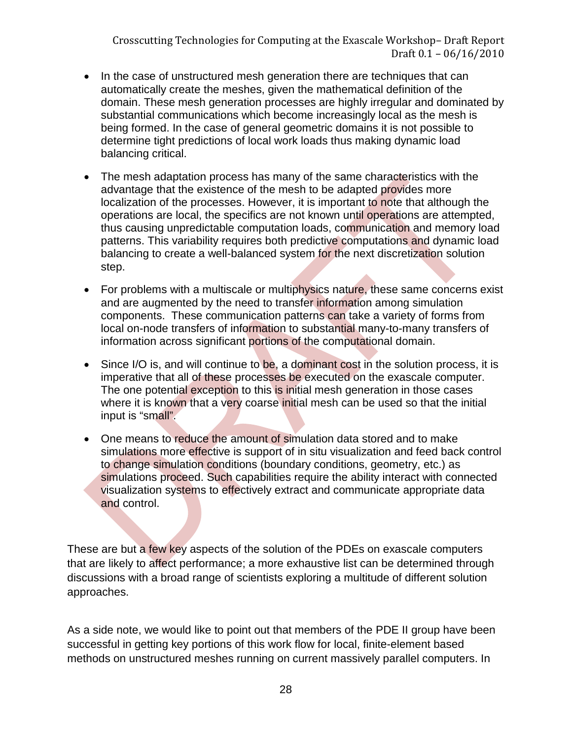- In the case of unstructured mesh generation there are techniques that can automatically create the meshes, given the mathematical definition of the domain. These mesh generation processes are highly irregular and dominated by substantial communications which become increasingly local as the mesh is being formed. In the case of general geometric domains it is not possible to determine tight predictions of local work loads thus making dynamic load balancing critical.
- The mesh adaptation process has many of the same characteristics with the advantage that the existence of the mesh to be adapted provides more localization of the processes. However, it is important to note that although the operations are local, the specifics are not known until operations are attempted, thus causing unpredictable computation loads, communication and memory load patterns. This variability requires both predictive computations and dynamic load balancing to create a well-balanced system for the next discretization solution step.
- For problems with a multiscale or multiphysics nature, these same concerns exist and are augmented by the need to transfer information among simulation components. These communication patterns can take a variety of forms from local on-node transfers of information to substantial many-to-many transfers of information across significant portions of the computational domain.
- Since I/O is, and will continue to be, a dominant cost in the solution process, it is imperative that all of these processes be executed on the exascale computer. The one potential exception to this is initial mesh generation in those cases where it is known that a very coarse initial mesh can be used so that the initial input is "small".
- One means to reduce the amount of simulation data stored and to make simulations more effective is support of in situ visualization and feed back control to change simulation conditions (boundary conditions, geometry, etc.) as simulations proceed. Such capabilities require the ability interact with connected visualization systems to effectively extract and communicate appropriate data and control.

These are but a few key aspects of the solution of the PDEs on exascale computers that are likely to affect performance; a more exhaustive list can be determined through discussions with a broad range of scientists exploring a multitude of different solution approaches.

As a side note, we would like to point out that members of the PDE II group have been successful in getting key portions of this work flow for local, finite-element based methods on unstructured meshes running on current massively parallel computers. In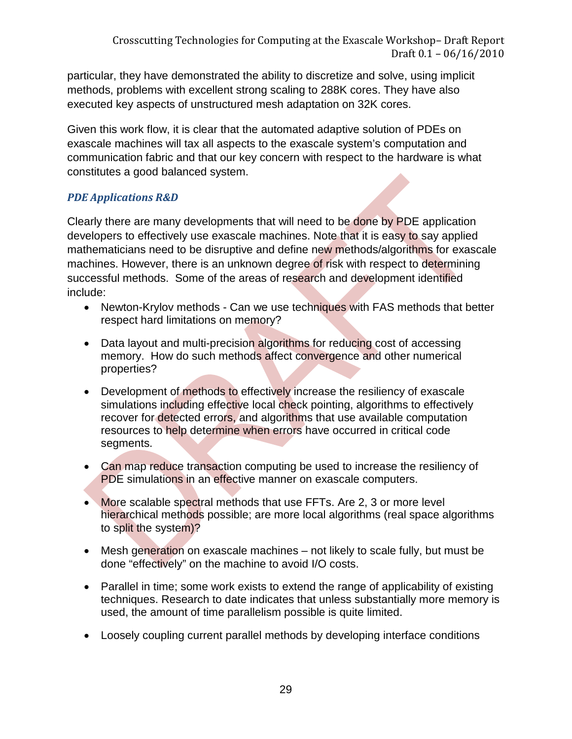particular, they have demonstrated the ability to discretize and solve, using implicit methods, problems with excellent strong scaling to 288K cores. They have also executed key aspects of unstructured mesh adaptation on 32K cores.

Given this work flow, it is clear that the automated adaptive solution of PDEs on exascale machines will tax all aspects to the exascale system's computation and communication fabric and that our key concern with respect to the hardware is what constitutes a good balanced system.

## *PDE Applications R&D*

Clearly there are many developments that will need to be done by PDE application developers to effectively use exascale machines. Note that it is easy to say applied mathematicians need to be disruptive and define new methods/algorithms for exascale machines. However, there is an unknown degree of risk with respect to determining successful methods. Some of the areas of research and development identified include:

- Newton-Krylov methods Can we use techniques with FAS methods that better respect hard limitations on memory?
- Data layout and multi-precision algorithms for reducing cost of accessing memory. How do such methods affect convergence and other numerical properties?
- Development of methods to effectively increase the resiliency of exascale simulations including effective local check pointing, algorithms to effectively recover for detected errors, and algorithms that use available computation resources to help determine when errors have occurred in critical code segments.
- Can map reduce transaction computing be used to increase the resiliency of PDE simulations in an effective manner on exascale computers.
- More scalable spectral methods that use FFTs. Are 2, 3 or more level hierarchical methods possible; are more local algorithms (real space algorithms to split the system)?
- Mesh generation on exascale machines not likely to scale fully, but must be done "effectively" on the machine to avoid I/O costs.
- Parallel in time; some work exists to extend the range of applicability of existing techniques. Research to date indicates that unless substantially more memory is used, the amount of time parallelism possible is quite limited.
- Loosely coupling current parallel methods by developing interface conditions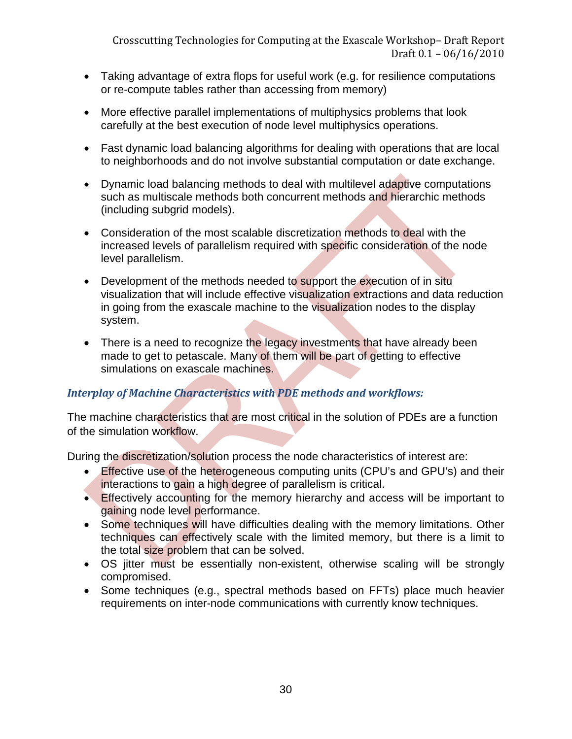- Taking advantage of extra flops for useful work (e.g. for resilience computations or re-compute tables rather than accessing from memory)
- More effective parallel implementations of multiphysics problems that look carefully at the best execution of node level multiphysics operations.
- Fast dynamic load balancing algorithms for dealing with operations that are local to neighborhoods and do not involve substantial computation or date exchange.
- Dynamic load balancing methods to deal with multilevel adaptive computations such as multiscale methods both concurrent methods and hierarchic methods (including subgrid models).
- Consideration of the most scalable discretization methods to deal with the increased levels of parallelism required with specific consideration of the node level parallelism.
- Development of the methods needed to support the execution of in situ visualization that will include effective visualization extractions and data reduction in going from the exascale machine to the visualization nodes to the display system.
- There is a need to recognize the legacy investments that have already been made to get to petascale. Many of them will be part of getting to effective simulations on exascale machines.

## *Interplay of Machine Characteristics with PDE methods and workflows:*

The machine characteristics that are most critical in the solution of PDEs are a function of the simulation workflow.

During the discretization/solution process the node characteristics of interest are:

- Effective use of the heterogeneous computing units (CPU's and GPU's) and their interactions to gain a high degree of parallelism is critical.
- Effectively accounting for the memory hierarchy and access will be important to gaining node level performance.
- Some techniques will have difficulties dealing with the memory limitations. Other techniques can effectively scale with the limited memory, but there is a limit to the total size problem that can be solved.
- OS jitter must be essentially non-existent, otherwise scaling will be strongly compromised.
- Some techniques (e.g., spectral methods based on FFTs) place much heavier requirements on inter-node communications with currently know techniques.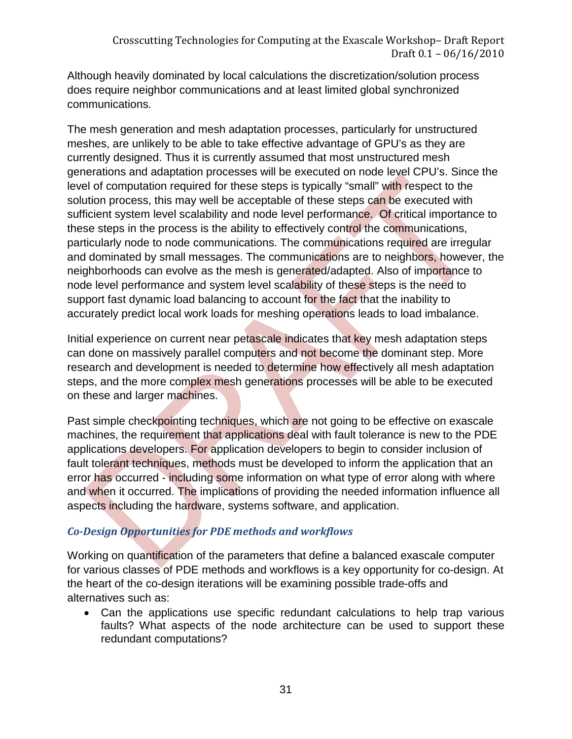Although heavily dominated by local calculations the discretization/solution process does require neighbor communications and at least limited global synchronized communications.

The mesh generation and mesh adaptation processes, particularly for unstructured meshes, are unlikely to be able to take effective advantage of GPU's as they are currently designed. Thus it is currently assumed that most unstructured mesh generations and adaptation processes will be executed on node level CPU's. Since the level of computation required for these steps is typically "small" with respect to the solution process, this may well be acceptable of these steps can be executed with sufficient system level scalability and node level performance. Of critical importance to these steps in the process is the ability to effectively control the communications, particularly node to node communications. The communications required are irregular and dominated by small messages. The communications are to neighbors, however, the neighborhoods can evolve as the mesh is generated/adapted. Also of importance to node level performance and system level scalability of these steps is the need to support fast dynamic load balancing to account for the fact that the inability to accurately predict local work loads for meshing operations leads to load imbalance.

Initial experience on current near petascale indicates that key mesh adaptation steps can done on massively parallel computers and not become the dominant step. More research and development is needed to determine how effectively all mesh adaptation steps, and the more complex mesh generations processes will be able to be executed on these and larger machines.

Past simple checkpointing techniques, which are not going to be effective on exascale machines, the requirement that applications deal with fault tolerance is new to the PDE applications developers. For application developers to begin to consider inclusion of fault tolerant techniques, methods must be developed to inform the application that an error has occurred - including some information on what type of error along with where and when it occurred. The implications of providing the needed information influence all aspects including the hardware, systems software, and application.

# *Co-Design Opportunities for PDE methods and workflows*

Working on quantification of the parameters that define a balanced exascale computer for various classes of PDE methods and workflows is a key opportunity for co-design. At the heart of the co-design iterations will be examining possible trade-offs and alternatives such as:

• Can the applications use specific redundant calculations to help trap various faults? What aspects of the node architecture can be used to support these redundant computations?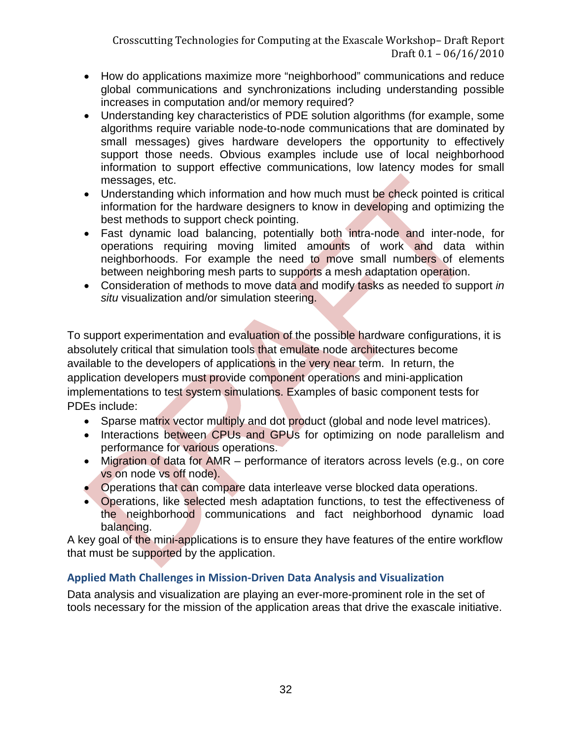- How do applications maximize more "neighborhood" communications and reduce global communications and synchronizations including understanding possible increases in computation and/or memory required?
- Understanding key characteristics of PDE solution algorithms (for example, some algorithms require variable node-to-node communications that are dominated by small messages) gives hardware developers the opportunity to effectively support those needs. Obvious examples include use of local neighborhood information to support effective communications, low latency modes for small messages, etc.
- Understanding which information and how much must be check pointed is critical information for the hardware designers to know in developing and optimizing the best methods to support check pointing.
- Fast dynamic load balancing, potentially both intra-node and inter-node, for operations requiring moving limited amounts of work and data within neighborhoods. For example the need to move small numbers of elements between neighboring mesh parts to supports a mesh adaptation operation.
- Consideration of methods to move data and modify tasks as needed to support *in situ* visualization and/or simulation steering.

To support experimentation and evaluation of the possible hardware configurations, it is absolutely critical that simulation tools that emulate node architectures become available to the developers of applications in the very near term. In return, the application developers must provide component operations and mini-application implementations to test system simulations. Examples of basic component tests for PDEs include:

- Sparse matrix vector multiply and dot product (global and node level matrices).
- Interactions between CPUs and GPUs for optimizing on node parallelism and performance for various operations.
- Migration of data for AMR performance of iterators across levels (e.g., on core vs on node vs off node).
- Operations that can compare data interleave verse blocked data operations.
- Operations, like selected mesh adaptation functions, to test the effectiveness of the neighborhood communications and fact neighborhood dynamic load balancing.

A key goal of the mini-applications is to ensure they have features of the entire workflow that must be supported by the application.

## **Applied Math Challenges in Mission-Driven Data Analysis and Visualization**

Data analysis and visualization are playing an ever-more-prominent role in the set of tools necessary for the mission of the application areas that drive the exascale initiative.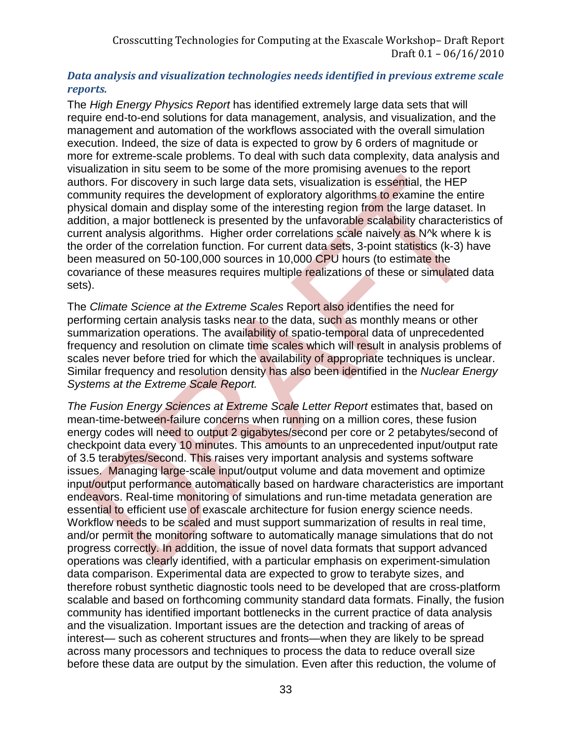#### *Data analysis and visualization technologies needs identified in previous extreme scale reports.*

The *High Energy Physics Report* has identified extremely large data sets that will require end-to-end solutions for data management, analysis, and visualization, and the management and automation of the workflows associated with the overall simulation execution. Indeed, the size of data is expected to grow by 6 orders of magnitude or more for extreme-scale problems. To deal with such data complexity, data analysis and visualization in situ seem to be some of the more promising avenues to the report authors. For discovery in such large data sets, visualization is essential, the HEP community requires the development of exploratory algorithms to examine the entire physical domain and display some of the interesting region from the large dataset. In addition, a major bottleneck is presented by the unfavorable scalability characteristics of current analysis algorithms. Higher order correlations scale naively as N<sup>ok</sup> where k is the order of the correlation function. For current data sets, 3-point statistics (k-3) have been measured on 50-100,000 sources in 10,000 CPU hours (to estimate the covariance of these measures requires multiple realizations of these or simulated data sets).

The *Climate Science at the Extreme Scales* Report also identifies the need for performing certain analysis tasks near to the data, such as monthly means or other summarization operations. The availability of spatio-temporal data of unprecedented frequency and resolution on climate time scales which will result in analysis problems of scales never before tried for which the availability of appropriate techniques is unclear. Similar frequency and resolution density has also been identified in the *Nuclear Energy Systems at the Extreme Scale Report.*

*The Fusion Energy Sciences at Extreme Scale Letter Report* estimates that, based on mean-time-between-failure concerns when running on a million cores, these fusion energy codes will need to output 2 gigabytes/second per core or 2 petabytes/second of checkpoint data every 10 minutes. This amounts to an unprecedented input/output rate of 3.5 terabytes/second. This raises very important analysis and systems software issues. Managing large-scale input/output volume and data movement and optimize input/output performance automatically based on hardware characteristics are important endeavors. Real-time monitoring of simulations and run-time metadata generation are essential to efficient use of exascale architecture for fusion energy science needs. Workflow needs to be scaled and must support summarization of results in real time, and/or permit the monitoring software to automatically manage simulations that do not progress correctly. In addition, the issue of novel data formats that support advanced operations was clearly identified, with a particular emphasis on experiment-simulation data comparison. Experimental data are expected to grow to terabyte sizes, and therefore robust synthetic diagnostic tools need to be developed that are cross-platform scalable and based on forthcoming community standard data formats. Finally, the fusion community has identified important bottlenecks in the current practice of data analysis and the visualization. Important issues are the detection and tracking of areas of interest— such as coherent structures and fronts—when they are likely to be spread across many processors and techniques to process the data to reduce overall size before these data are output by the simulation. Even after this reduction, the volume of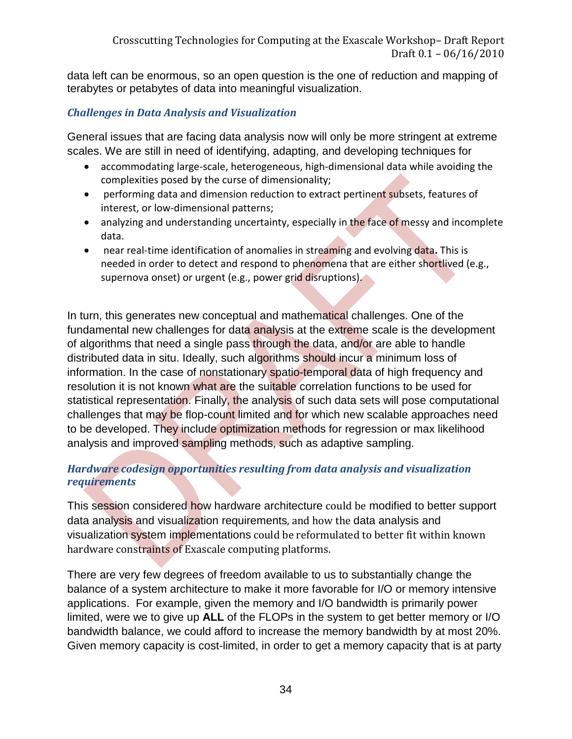data left can be enormous, so an open question is the one of reduction and mapping of terabytes or petabytes of data into meaningful visualization.

## *Challenges in Data Analysis and Visualization*

General issues that are facing data analysis now will only be more stringent at extreme scales. We are still in need of identifying, adapting, and developing techniques for

- accommodating large-scale, heterogeneous, high-dimensional data while avoiding the complexities posed by the curse of dimensionality;
- performing data and dimension reduction to extract pertinent subsets, features of interest, or low-dimensional patterns;
- analyzing and understanding uncertainty, especially in the face of messy and incomplete data.
- near real-time identification of anomalies in streaming and evolving data**.** This is needed in order to detect and respond to phenomena that are either shortlived (e.g., supernova onset) or urgent (e.g., power grid disruptions).

In turn, this generates new conceptual and mathematical challenges. One of the fundamental new challenges for data analysis at the extreme scale is the development of algorithms that need a single pass through the data, and/or are able to handle distributed data in situ. Ideally, such algorithms should incur a minimum loss of information. In the case of nonstationary spatio-temporal data of high frequency and resolution it is not known what are the suitable correlation functions to be used for statistical representation. Finally, the analysis of such data sets will pose computational challenges that may be flop-count limited and for which new scalable approaches need to be developed. They include optimization methods for regression or max likelihood analysis and improved sampling methods, such as adaptive sampling.

# *Hardware codesign opportunities resulting from data analysis and visualization requirements*

This session considered how hardware architecture could be modified to better support data analysis and visualization requirements, and how the data analysis and visualization system implementations could be reformulated to better fit within known hardware constraints of Exascale computing platforms.

There are very few degrees of freedom available to us to substantially change the balance of a system architecture to make it more favorable for I/O or memory intensive applications. For example, given the memory and I/O bandwidth is primarily power limited, were we to give up **ALL** of the FLOPs in the system to get better memory or I/O bandwidth balance, we could afford to increase the memory bandwidth by at most 20%. Given memory capacity is cost-limited, in order to get a memory capacity that is at party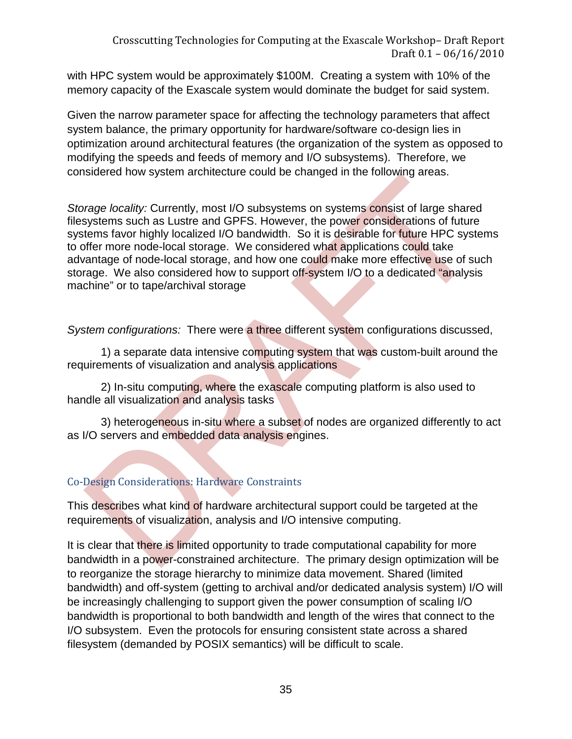with HPC system would be approximately \$100M. Creating a system with 10% of the memory capacity of the Exascale system would dominate the budget for said system.

Given the narrow parameter space for affecting the technology parameters that affect system balance, the primary opportunity for hardware/software co-design lies in optimization around architectural features (the organization of the system as opposed to modifying the speeds and feeds of memory and I/O subsystems). Therefore, we considered how system architecture could be changed in the following areas.

*Storage locality:* Currently, most I/O subsystems on systems consist of large shared filesystems such as Lustre and GPFS. However, the power considerations of future systems favor highly localized I/O bandwidth. So it is desirable for future HPC systems to offer more node-local storage. We considered what applications could take advantage of node-local storage, and how one could make more effective use of such storage. We also considered how to support off-system I/O to a dedicated "analysis" machine" or to tape/archival storage

*System configurations:* There were a three different system configurations discussed,

1) a separate data intensive computing system that was custom-built around the requirements of visualization and analysis applications

2) In-situ computing, where the exascale computing platform is also used to handle all visualization and analysis tasks

3) heterogeneous in-situ where a subset of nodes are organized differently to act as I/O servers and embedded data analysis engines.

## Co-Design Considerations: Hardware Constraints

This describes what kind of hardware architectural support could be targeted at the requirements of visualization, analysis and I/O intensive computing.

It is clear that there is limited opportunity to trade computational capability for more bandwidth in a power-constrained architecture. The primary design optimization will be to reorganize the storage hierarchy to minimize data movement. Shared (limited bandwidth) and off-system (getting to archival and/or dedicated analysis system) I/O will be increasingly challenging to support given the power consumption of scaling I/O bandwidth is proportional to both bandwidth and length of the wires that connect to the I/O subsystem. Even the protocols for ensuring consistent state across a shared filesystem (demanded by POSIX semantics) will be difficult to scale.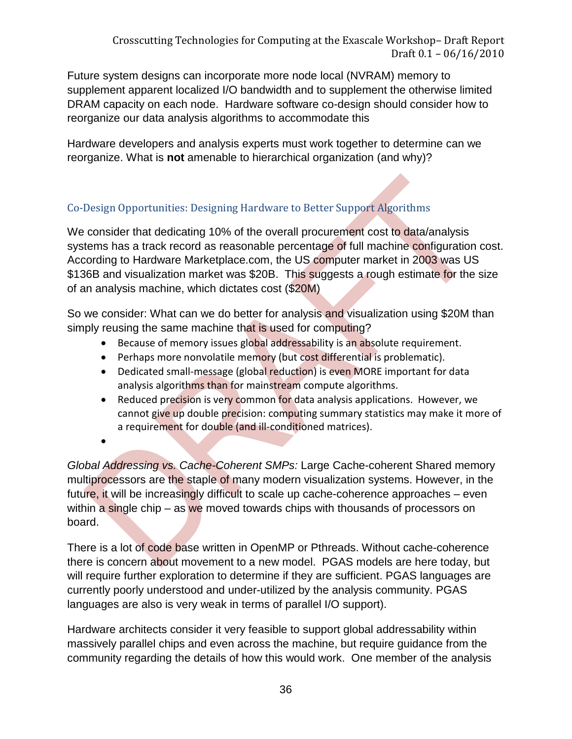Future system designs can incorporate more node local (NVRAM) memory to supplement apparent localized I/O bandwidth and to supplement the otherwise limited DRAM capacity on each node. Hardware software co-design should consider how to reorganize our data analysis algorithms to accommodate this

Hardware developers and analysis experts must work together to determine can we reorganize. What is **not** amenable to hierarchical organization (and why)?

# Co-Design Opportunities: Designing Hardware to Better Support Algorithms

We consider that dedicating 10% of the overall procurement cost to data/analysis systems has a track record as reasonable percentage of full machine configuration cost. According to Hardware Marketplace.com, the US computer market in 2003 was US \$136B and visualization market was \$20B. This suggests a rough estimate for the size of an analysis machine, which dictates cost (\$20M)

So we consider: What can we do better for analysis and visualization using \$20M than simply reusing the same machine that is used for computing?

- Because of memory issues global addressability is an absolute requirement.
- Perhaps more nonvolatile memory (but cost differential is problematic).
- Dedicated small-message (global reduction) is even MORE important for data analysis algorithms than for mainstream compute algorithms.
- Reduced precision is very common for data analysis applications. However, we cannot give up double precision: computing summary statistics may make it more of a requirement for double (and ill-conditioned matrices).

•

*Global Addressing vs. Cache-Coherent SMPs:* Large Cache-coherent Shared memory multiprocessors are the staple of many modern visualization systems. However, in the future, it will be increasingly difficult to scale up cache-coherence approaches – even within a single chip – as we moved towards chips with thousands of processors on board.

There is a lot of code base written in OpenMP or Pthreads. Without cache-coherence there is concern about movement to a new model. PGAS models are here today, but will require further exploration to determine if they are sufficient. PGAS languages are currently poorly understood and under-utilized by the analysis community. PGAS languages are also is very weak in terms of parallel I/O support).

Hardware architects consider it very feasible to support global addressability within massively parallel chips and even across the machine, but require guidance from the community regarding the details of how this would work. One member of the analysis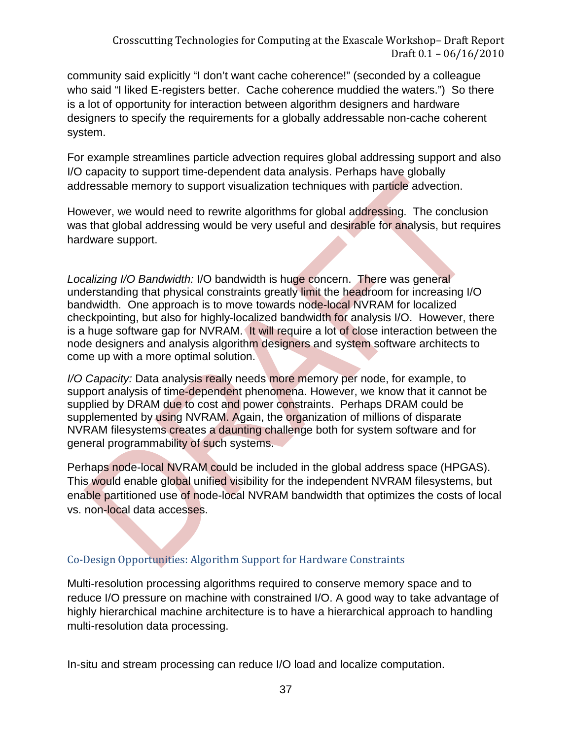community said explicitly "I don't want cache coherence!" (seconded by a colleague who said "I liked E-registers better. Cache coherence muddied the waters.") So there is a lot of opportunity for interaction between algorithm designers and hardware designers to specify the requirements for a globally addressable non-cache coherent system.

For example streamlines particle advection requires global addressing support and also I/O capacity to support time-dependent data analysis. Perhaps have globally addressable memory to support visualization techniques with particle advection.

However, we would need to rewrite algorithms for global addressing. The conclusion was that global addressing would be very useful and desirable for analysis, but requires hardware support.

*Localizing I/O Bandwidth:* I/O bandwidth is huge concern. There was general understanding that physical constraints greatly limit the headroom for increasing I/O bandwidth. One approach is to move towards node-local NVRAM for localized checkpointing, but also for highly-localized bandwidth for analysis I/O. However, there is a huge software gap for NVRAM. It will require a lot of close interaction between the node designers and analysis algorithm designers and system software architects to come up with a more optimal solution.

*I/O Capacity:* Data analysis really needs more memory per node, for example, to support analysis of time-dependent phenomena. However, we know that it cannot be supplied by DRAM due to cost and power constraints. Perhaps DRAM could be supplemented by using NVRAM. Again, the organization of millions of disparate NVRAM filesystems creates a daunting challenge both for system software and for general programmability of such systems.

Perhaps node-local NVRAM could be included in the global address space (HPGAS). This would enable global unified visibility for the independent NVRAM filesystems, but enable partitioned use of node-local NVRAM bandwidth that optimizes the costs of local vs. non-local data accesses.

### Co-Design Opportunities: Algorithm Support for Hardware Constraints

Multi-resolution processing algorithms required to conserve memory space and to reduce I/O pressure on machine with constrained I/O. A good way to take advantage of highly hierarchical machine architecture is to have a hierarchical approach to handling multi-resolution data processing.

In-situ and stream processing can reduce I/O load and localize computation.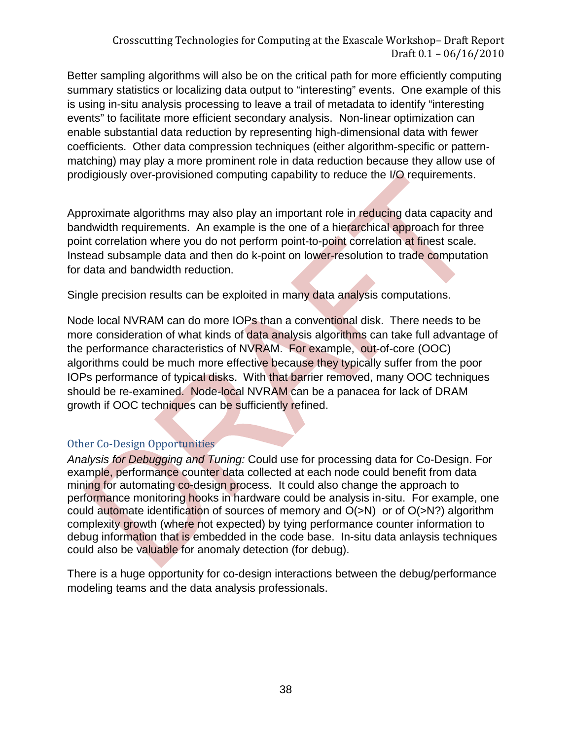Better sampling algorithms will also be on the critical path for more efficiently computing summary statistics or localizing data output to "interesting" events. One example of this is using in-situ analysis processing to leave a trail of metadata to identify "interesting events" to facilitate more efficient secondary analysis. Non-linear optimization can enable substantial data reduction by representing high-dimensional data with fewer coefficients. Other data compression techniques (either algorithm-specific or patternmatching) may play a more prominent role in data reduction because they allow use of prodigiously over-provisioned computing capability to reduce the I/O requirements.

Approximate algorithms may also play an important role in reducing data capacity and bandwidth requirements. An example is the one of a hierarchical approach for three point correlation where you do not perform point-to-point correlation at finest scale. Instead subsample data and then do k-point on lower-resolution to trade computation for data and bandwidth reduction.

Single precision results can be exploited in many data analysis computations.

Node local NVRAM can do more IOPs than a conventional disk. There needs to be more consideration of what kinds of data analysis algorithms can take full advantage of the performance characteristics of NVRAM. For example, out-of-core (OOC) algorithms could be much more effective because they typically suffer from the poor IOPs performance of typical disks. With that barrier removed, many OOC techniques should be re-examined. Node-local NVRAM can be a panacea for lack of DRAM growth if OOC techniques can be sufficiently refined.

#### Other Co-Design Opportunities

*Analysis for Debugging and Tuning:* Could use for processing data for Co-Design. For example, performance counter data collected at each node could benefit from data mining for automating co-design process. It could also change the approach to performance monitoring hooks in hardware could be analysis in-situ. For example, one could automate identification of sources of memory and O(>N) or of O(>N?) algorithm complexity growth (where not expected) by tying performance counter information to debug information that is embedded in the code base. In-situ data anlaysis techniques could also be valuable for anomaly detection (for debug).

There is a huge opportunity for co-design interactions between the debug/performance modeling teams and the data analysis professionals.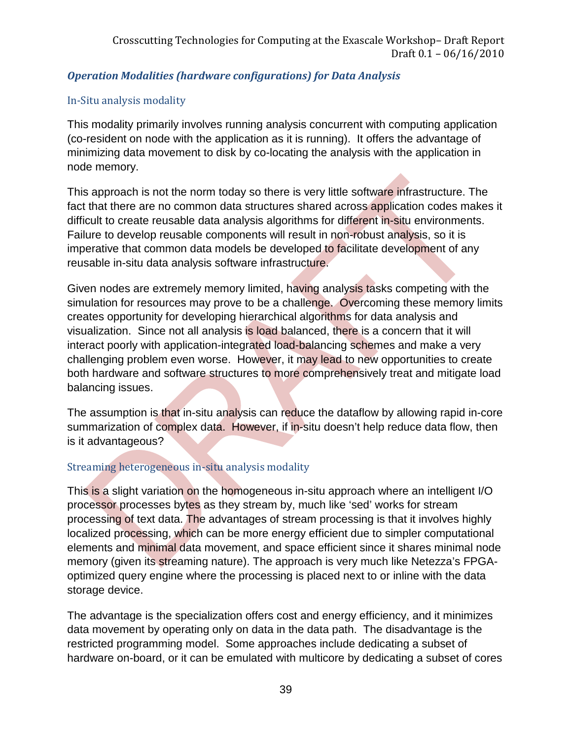## *Operation Modalities (hardware configurations) for Data Analysis*

## In-Situ analysis modality

This modality primarily involves running analysis concurrent with computing application (co-resident on node with the application as it is running). It offers the advantage of minimizing data movement to disk by co-locating the analysis with the application in node memory.

This approach is not the norm today so there is very little software infrastructure. The fact that there are no common data structures shared across application codes makes it difficult to create reusable data analysis algorithms for different in-situ environments. Failure to develop reusable components will result in non-robust analysis, so it is imperative that common data models be developed to facilitate development of any reusable in-situ data analysis software infrastructure.

Given nodes are extremely memory limited, having analysis tasks competing with the simulation for resources may prove to be a challenge. Overcoming these memory limits creates opportunity for developing hierarchical algorithms for data analysis and visualization. Since not all analysis is load balanced, there is a concern that it will interact poorly with application-integrated load-balancing schemes and make a very challenging problem even worse. However, it may lead to new opportunities to create both hardware and software structures to more comprehensively treat and mitigate load balancing issues.

The assumption is that in-situ analysis can reduce the dataflow by allowing rapid in-core summarization of complex data. However, if in-situ doesn't help reduce data flow, then is it advantageous?

### Streaming heterogeneous in-situ analysis modality

This is a slight variation on the homogeneous in-situ approach where an intelligent I/O processor processes bytes as they stream by, much like 'sed' works for stream processing of text data. The advantages of stream processing is that it involves highly localized processing, which can be more energy efficient due to simpler computational elements and minimal data movement, and space efficient since it shares minimal node memory (given its streaming nature). The approach is very much like Netezza's FPGAoptimized query engine where the processing is placed next to or inline with the data storage device.

The advantage is the specialization offers cost and energy efficiency, and it minimizes data movement by operating only on data in the data path. The disadvantage is the restricted programming model. Some approaches include dedicating a subset of hardware on-board, or it can be emulated with multicore by dedicating a subset of cores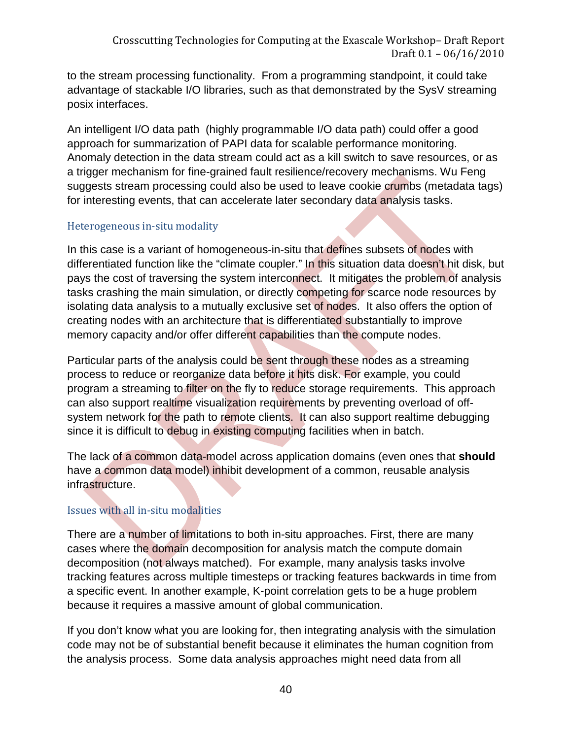to the stream processing functionality. From a programming standpoint, it could take advantage of stackable I/O libraries, such as that demonstrated by the SysV streaming posix interfaces.

An intelligent I/O data path (highly programmable I/O data path) could offer a good approach for summarization of PAPI data for scalable performance monitoring. Anomaly detection in the data stream could act as a kill switch to save resources, or as a trigger mechanism for fine-grained fault resilience/recovery mechanisms. Wu Feng suggests stream processing could also be used to leave cookie crumbs (metadata tags) for interesting events, that can accelerate later secondary data analysis tasks.

#### Heterogeneous in-situ modality

In this case is a variant of homogeneous-in-situ that defines subsets of nodes with differentiated function like the "climate coupler." In this situation data doesn't hit disk, but pays the cost of traversing the system interconnect. It mitigates the problem of analysis tasks crashing the main simulation, or directly competing for scarce node resources by isolating data analysis to a mutually exclusive set of nodes. It also offers the option of creating nodes with an architecture that is differentiated substantially to improve memory capacity and/or offer different capabilities than the compute nodes.

Particular parts of the analysis could be sent through these nodes as a streaming process to reduce or reorganize data before it hits disk. For example, you could program a streaming to filter on the fly to reduce storage requirements. This approach can also support realtime visualization requirements by preventing overload of offsystem network for the path to remote clients. It can also support realtime debugging since it is difficult to debug in existing computing facilities when in batch.

The lack of a common data-model across application domains (even ones that **should** have a common data model) inhibit development of a common, reusable analysis infrastructure.

### Issues with all in-situ modalities

There are a number of limitations to both in-situ approaches. First, there are many cases where the domain decomposition for analysis match the compute domain decomposition (not always matched). For example, many analysis tasks involve tracking features across multiple timesteps or tracking features backwards in time from a specific event. In another example, K-point correlation gets to be a huge problem because it requires a massive amount of global communication.

If you don't know what you are looking for, then integrating analysis with the simulation code may not be of substantial benefit because it eliminates the human cognition from the analysis process. Some data analysis approaches might need data from all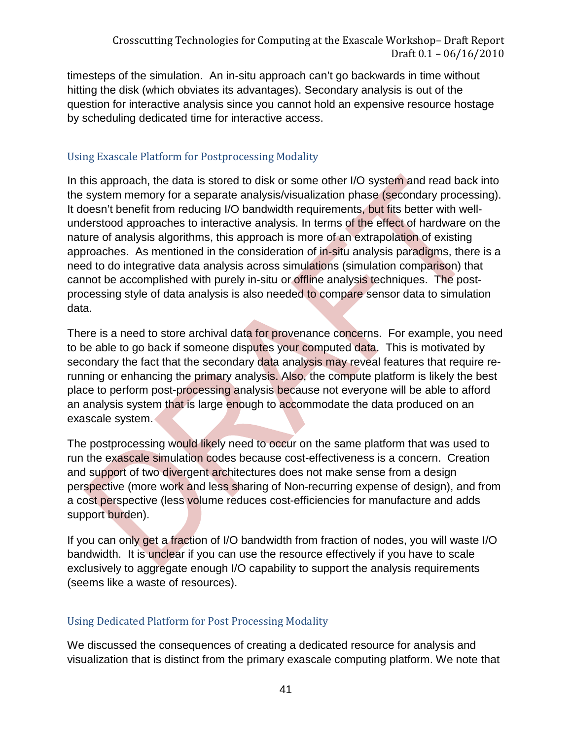timesteps of the simulation. An in-situ approach can't go backwards in time without hitting the disk (which obviates its advantages). Secondary analysis is out of the question for interactive analysis since you cannot hold an expensive resource hostage by scheduling dedicated time for interactive access.

# Using Exascale Platform for Postprocessing Modality

In this approach, the data is stored to disk or some other I/O system and read back into the system memory for a separate analysis/visualization phase (secondary processing). It doesn't benefit from reducing I/O bandwidth requirements, but fits better with wellunderstood approaches to interactive analysis. In terms of the effect of hardware on the nature of analysis algorithms, this approach is more of an extrapolation of existing approaches. As mentioned in the consideration of in-situ analysis paradigms, there is a need to do integrative data analysis across simulations (simulation comparison) that cannot be accomplished with purely in-situ or offline analysis techniques. The postprocessing style of data analysis is also needed to compare sensor data to simulation data.

There is a need to store archival data for provenance concerns. For example, you need to be able to go back if someone disputes your computed data. This is motivated by secondary the fact that the secondary data analysis may reveal features that require rerunning or enhancing the primary analysis. Also, the compute platform is likely the best place to perform post-processing analysis because not everyone will be able to afford an analysis system that is large enough to accommodate the data produced on an exascale system.

The postprocessing would likely need to occur on the same platform that was used to run the exascale simulation codes because cost-effectiveness is a concern. Creation and support of two divergent architectures does not make sense from a design perspective (more work and less sharing of Non-recurring expense of design), and from a cost perspective (less volume reduces cost-efficiencies for manufacture and adds support burden).

If you can only get a fraction of I/O bandwidth from fraction of nodes, you will waste I/O bandwidth. It is unclear if you can use the resource effectively if you have to scale exclusively to aggregate enough I/O capability to support the analysis requirements (seems like a waste of resources).

# Using Dedicated Platform for Post Processing Modality

We discussed the consequences of creating a dedicated resource for analysis and visualization that is distinct from the primary exascale computing platform. We note that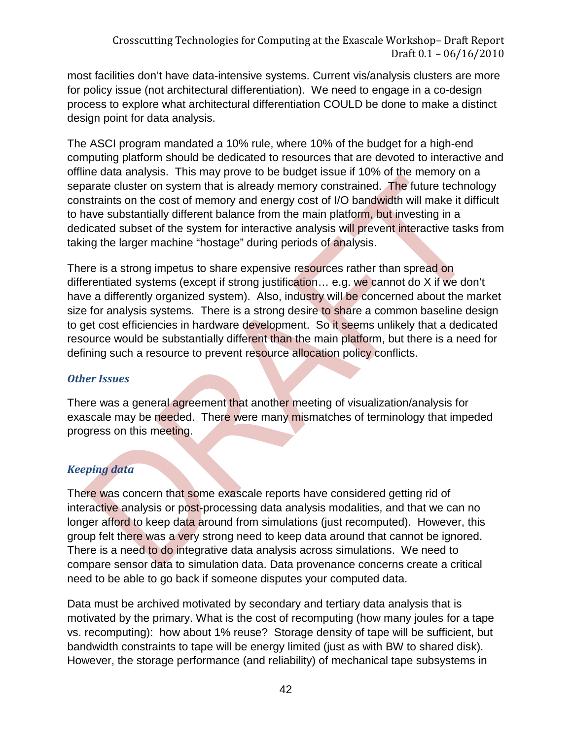most facilities don't have data-intensive systems. Current vis/analysis clusters are more for policy issue (not architectural differentiation). We need to engage in a co-design process to explore what architectural differentiation COULD be done to make a distinct design point for data analysis.

The ASCI program mandated a 10% rule, where 10% of the budget for a high-end computing platform should be dedicated to resources that are devoted to interactive and offline data analysis. This may prove to be budget issue if 10% of the memory on a separate cluster on system that is already memory constrained. The future technology constraints on the cost of memory and energy cost of I/O bandwidth will make it difficult to have substantially different balance from the main platform, but investing in a dedicated subset of the system for interactive analysis will prevent interactive tasks from taking the larger machine "hostage" during periods of analysis.

There is a strong impetus to share expensive resources rather than spread on differentiated systems (except if strong justification… e.g. we cannot do X if we don't have a differently organized system). Also, industry will be concerned about the market size for analysis systems. There is a strong desire to share a common baseline design to get cost efficiencies in hardware development. So it seems unlikely that a dedicated resource would be substantially different than the main platform, but there is a need for defining such a resource to prevent resource allocation policy conflicts.

#### *Other Issues*

There was a general agreement that another meeting of visualization/analysis for exascale may be needed. There were many mismatches of terminology that impeded progress on this meeting.

### *Keeping data*

There was concern that some exascale reports have considered getting rid of interactive analysis or post-processing data analysis modalities, and that we can no longer afford to keep data around from simulations (just recomputed). However, this group felt there was a very strong need to keep data around that cannot be ignored. There is a need to do integrative data analysis across simulations. We need to compare sensor data to simulation data. Data provenance concerns create a critical need to be able to go back if someone disputes your computed data.

Data must be archived motivated by secondary and tertiary data analysis that is motivated by the primary. What is the cost of recomputing (how many joules for a tape vs. recomputing): how about 1% reuse? Storage density of tape will be sufficient, but bandwidth constraints to tape will be energy limited (just as with BW to shared disk). However, the storage performance (and reliability) of mechanical tape subsystems in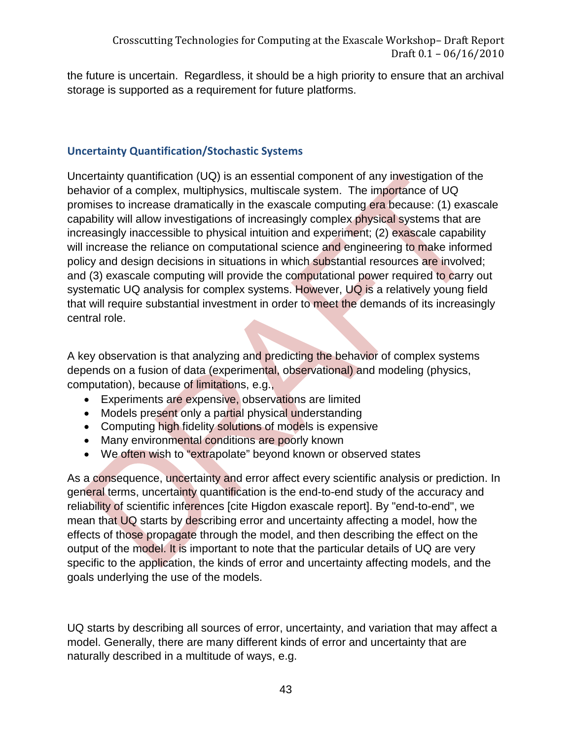the future is uncertain. Regardless, it should be a high priority to ensure that an archival storage is supported as a requirement for future platforms.

## **Uncertainty Quantification/Stochastic Systems**

Uncertainty quantification (UQ) is an essential component of any investigation of the behavior of a complex, multiphysics, multiscale system. The importance of UQ promises to increase dramatically in the exascale computing era because: (1) exascale capability will allow investigations of increasingly complex physical systems that are increasingly inaccessible to physical intuition and experiment; (2) exascale capability will increase the reliance on computational science and engineering to make informed policy and design decisions in situations in which substantial resources are involved; and (3) exascale computing will provide the computational power required to carry out systematic UQ analysis for complex systems. However, UQ is a relatively young field that will require substantial investment in order to meet the demands of its increasingly central role.

A key observation is that analyzing and predicting the behavior of complex systems depends on a fusion of data (experimental, observational) and modeling (physics, computation), because of limitations, e.g.,

- Experiments are expensive, observations are limited
- Models present only a partial physical understanding
- Computing high fidelity solutions of models is expensive
- Many environmental conditions are poorly known
- We often wish to "extrapolate" beyond known or observed states

As a consequence, uncertainty and error affect every scientific analysis or prediction. In general terms, uncertainty quantification is the end-to-end study of the accuracy and reliability of scientific inferences [cite Higdon exascale report]. By "end-to-end", we mean that UQ starts by describing error and uncertainty affecting a model, how the effects of those propagate through the model, and then describing the effect on the output of the model. It is important to note that the particular details of UQ are very specific to the application, the kinds of error and uncertainty affecting models, and the goals underlying the use of the models.

UQ starts by describing all sources of error, uncertainty, and variation that may affect a model. Generally, there are many different kinds of error and uncertainty that are naturally described in a multitude of ways, e.g.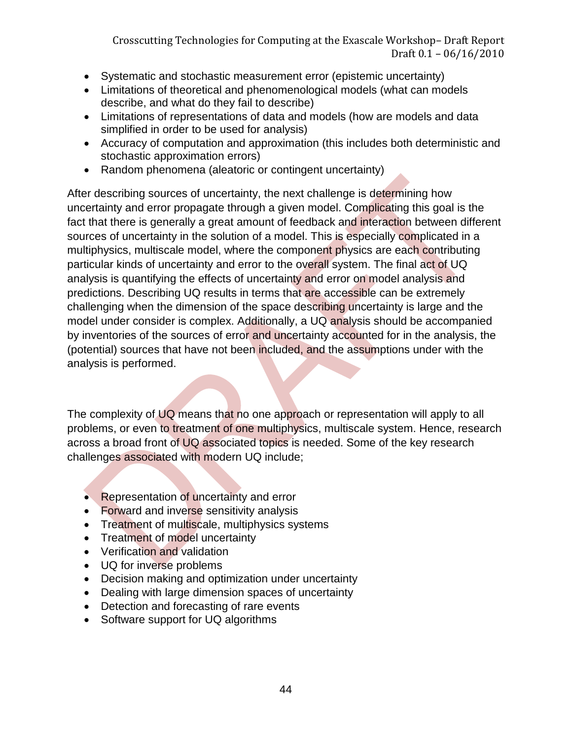- Systematic and stochastic measurement error (epistemic uncertainty)
- Limitations of theoretical and phenomenological models (what can models describe, and what do they fail to describe)
- Limitations of representations of data and models (how are models and data simplified in order to be used for analysis)
- Accuracy of computation and approximation (this includes both deterministic and stochastic approximation errors)
- Random phenomena (aleatoric or contingent uncertainty)

After describing sources of uncertainty, the next challenge is determining how uncertainty and error propagate through a given model. Complicating this goal is the fact that there is generally a great amount of feedback and interaction between different sources of uncertainty in the solution of a model. This is especially complicated in a multiphysics, multiscale model, where the component physics are each contributing particular kinds of uncertainty and error to the overall system. The final act of UQ analysis is quantifying the effects of uncertainty and error on model analysis and predictions. Describing UQ results in terms that are accessible can be extremely challenging when the dimension of the space describing uncertainty is large and the model under consider is complex. Additionally, a UQ analysis should be accompanied by inventories of the sources of error and uncertainty accounted for in the analysis, the (potential) sources that have not been included, and the assumptions under with the analysis is performed.

The complexity of UQ means that no one approach or representation will apply to all problems, or even to treatment of one multiphysics, multiscale system. Hence, research across a broad front of UQ associated topics is needed. Some of the key research challenges associated with modern UQ include;

- Representation of uncertainty and error
- Forward and inverse sensitivity analysis
- Treatment of multiscale, multiphysics systems
- Treatment of model uncertainty
- Verification and validation
- UQ for inverse problems
- Decision making and optimization under uncertainty
- Dealing with large dimension spaces of uncertainty
- Detection and forecasting of rare events
- Software support for UQ algorithms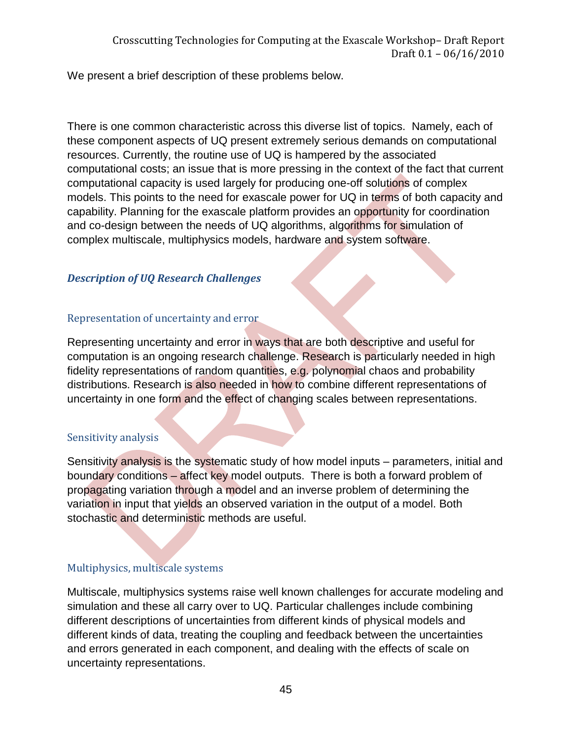We present a brief description of these problems below.

There is one common characteristic across this diverse list of topics. Namely, each of these component aspects of UQ present extremely serious demands on computational resources. Currently, the routine use of UQ is hampered by the associated computational costs; an issue that is more pressing in the context of the fact that current computational capacity is used largely for producing one-off solutions of complex models. This points to the need for exascale power for UQ in terms of both capacity and capability. Planning for the exascale platform provides an opportunity for coordination and co-design between the needs of UQ algorithms, algorithms for simulation of complex multiscale, multiphysics models, hardware and system software.

### *Description of UQ Research Challenges*

## Representation of uncertainty and error

Representing uncertainty and error in ways that are both descriptive and useful for computation is an ongoing research challenge. Research is particularly needed in high fidelity representations of random quantities, e.g. polynomial chaos and probability distributions. Research is also needed in how to combine different representations of uncertainty in one form and the effect of changing scales between representations.

# Sensitivity analysis

Sensitivity analysis is the systematic study of how model inputs – parameters, initial and boundary conditions – affect key model outputs. There is both a forward problem of propagating variation through a model and an inverse problem of determining the variation in input that yields an observed variation in the output of a model. Both stochastic and deterministic methods are useful.

### Multiphysics, multiscale systems

Multiscale, multiphysics systems raise well known challenges for accurate modeling and simulation and these all carry over to UQ. Particular challenges include combining different descriptions of uncertainties from different kinds of physical models and different kinds of data, treating the coupling and feedback between the uncertainties and errors generated in each component, and dealing with the effects of scale on uncertainty representations.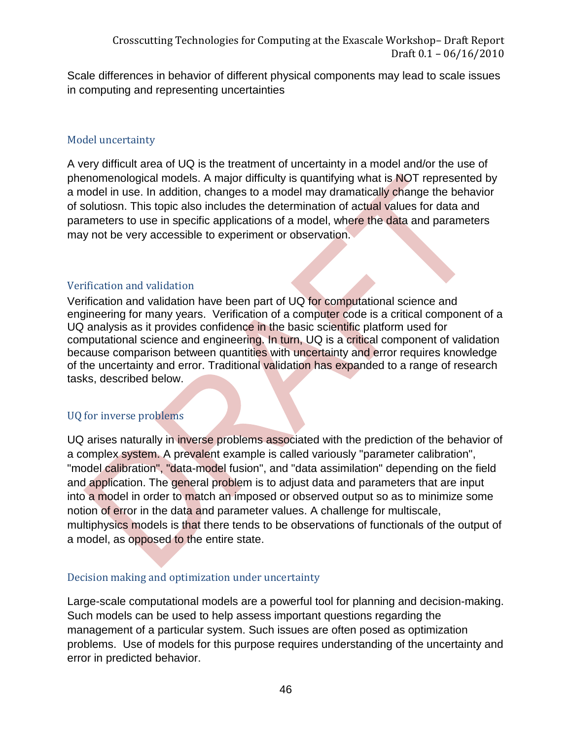Scale differences in behavior of different physical components may lead to scale issues in computing and representing uncertainties

#### Model uncertainty

A very difficult area of UQ is the treatment of uncertainty in a model and/or the use of phenomenological models. A major difficulty is quantifying what is NOT represented by a model in use. In addition, changes to a model may dramatically change the behavior of solutiosn. This topic also includes the determination of actual values for data and parameters to use in specific applications of a model, where the data and parameters may not be very accessible to experiment or observation.

#### Verification and validation

Verification and validation have been part of UQ for computational science and engineering for many years. Verification of a computer code is a critical component of a UQ analysis as it provides confidence in the basic scientific platform used for computational science and engineering. In turn, UQ is a critical component of validation because comparison between quantities with uncertainty and error requires knowledge of the uncertainty and error. Traditional validation has expanded to a range of research tasks, described below.

### UQ for inverse problems

UQ arises naturally in inverse problems associated with the prediction of the behavior of a complex system. A prevalent example is called variously "parameter calibration", "model calibration", "data-model fusion", and "data assimilation" depending on the field and application. The general problem is to adjust data and parameters that are input into a model in order to match an imposed or observed output so as to minimize some notion of error in the data and parameter values. A challenge for multiscale, multiphysics models is that there tends to be observations of functionals of the output of a model, as opposed to the entire state.

### Decision making and optimization under uncertainty

Large-scale computational models are a powerful tool for planning and decision-making. Such models can be used to help assess important questions regarding the management of a particular system. Such issues are often posed as optimization problems. Use of models for this purpose requires understanding of the uncertainty and error in predicted behavior.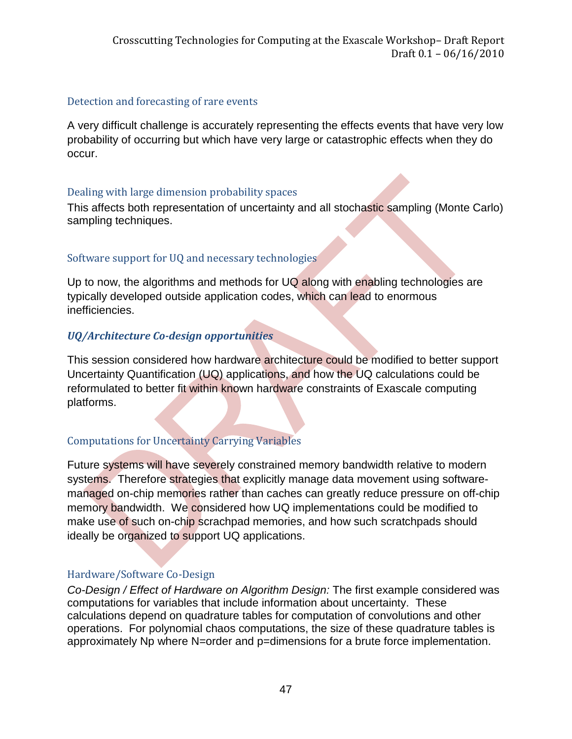#### Detection and forecasting of rare events

A very difficult challenge is accurately representing the effects events that have very low probability of occurring but which have very large or catastrophic effects when they do occur.

#### Dealing with large dimension probability spaces

This affects both representation of uncertainty and all stochastic sampling (Monte Carlo) sampling techniques.

### Software support for UQ and necessary technologies

Up to now, the algorithms and methods for UQ along with enabling technologies are typically developed outside application codes, which can lead to enormous inefficiencies.

### *UQ/Architecture Co-design opportunities*

This session considered how hardware architecture could be modified to better support Uncertainty Quantification (UQ) applications, and how the UQ calculations could be reformulated to better fit within known hardware constraints of Exascale computing platforms.

### Computations for Uncertainty Carrying Variables

Future systems will have severely constrained memory bandwidth relative to modern systems. Therefore strategies that explicitly manage data movement using softwaremanaged on-chip memories rather than caches can greatly reduce pressure on off-chip memory bandwidth. We considered how UQ implementations could be modified to make use of such on-chip scrachpad memories, and how such scratchpads should ideally be organized to support UQ applications.

#### Hardware/Software Co-Design

*Co-Design / Effect of Hardware on Algorithm Design:* The first example considered was computations for variables that include information about uncertainty. These calculations depend on quadrature tables for computation of convolutions and other operations. For polynomial chaos computations, the size of these quadrature tables is approximately Np where N=order and p=dimensions for a brute force implementation.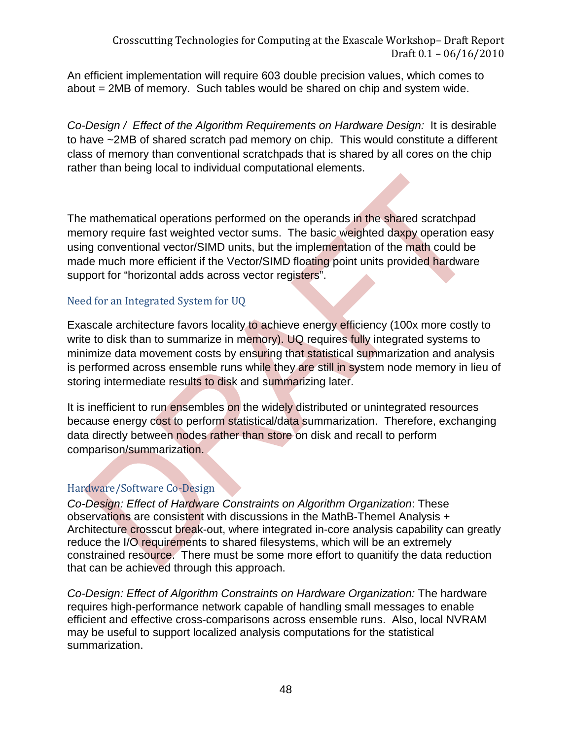An efficient implementation will require 603 double precision values, which comes to about = 2MB of memory. Such tables would be shared on chip and system wide.

*Co-Design / Effect of the Algorithm Requirements on Hardware Design:* It is desirable to have ~2MB of shared scratch pad memory on chip. This would constitute a different class of memory than conventional scratchpads that is shared by all cores on the chip rather than being local to individual computational elements.

The mathematical operations performed on the operands in the shared scratchpad memory require fast weighted vector sums. The basic weighted daxpy operation easy using conventional vector/SIMD units, but the implementation of the math could be made much more efficient if the Vector/SIMD floating point units provided hardware support for "horizontal adds across vector registers".

### Need for an Integrated System for UQ

Exascale architecture favors locality to achieve energy efficiency (100x more costly to write to disk than to summarize in memory). UQ requires fully integrated systems to minimize data movement costs by ensuring that statistical summarization and analysis is performed across ensemble runs while they are still in system node memory in lieu of storing intermediate results to disk and summarizing later.

It is inefficient to run ensembles on the widely distributed or unintegrated resources because energy cost to perform statistical/data summarization. Therefore, exchanging data directly between nodes rather than store on disk and recall to perform comparison/summarization.

### Hardware/Software Co-Design

*Co-Design: Effect of Hardware Constraints on Algorithm Organization*: These observations are consistent with discussions in the MathB-Themel Analysis + Architecture crosscut break-out, where integrated in-core analysis capability can greatly reduce the I/O requirements to shared filesystems, which will be an extremely constrained resource. There must be some more effort to quanitify the data reduction that can be achieved through this approach.

*Co-Design: Effect of Algorithm Constraints on Hardware Organization:* The hardware requires high-performance network capable of handling small messages to enable efficient and effective cross-comparisons across ensemble runs. Also, local NVRAM may be useful to support localized analysis computations for the statistical summarization.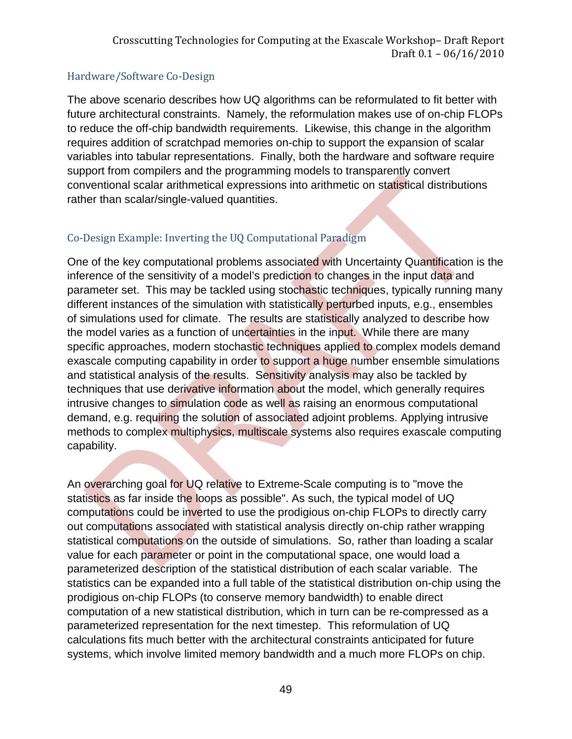## Hardware/Software Co-Design

The above scenario describes how UQ algorithms can be reformulated to fit better with future architectural constraints. Namely, the reformulation makes use of on-chip FLOPs to reduce the off-chip bandwidth requirements. Likewise, this change in the algorithm requires addition of scratchpad memories on-chip to support the expansion of scalar variables into tabular representations. Finally, both the hardware and software require support from compilers and the programming models to transparently convert conventional scalar arithmetical expressions into arithmetic on statistical distributions rather than scalar/single-valued quantities.

## Co-Design Example: Inverting the UQ Computational Paradigm

One of the key computational problems associated with Uncertainty Quantification is the inference of the sensitivity of a model's prediction to changes in the input data and parameter set. This may be tackled using stochastic techniques, typically running many different instances of the simulation with statistically perturbed inputs, e.g., ensembles of simulations used for climate. The results are statistically analyzed to describe how the model varies as a function of uncertainties in the input. While there are many specific approaches, modern stochastic techniques applied to complex models demand exascale computing capability in order to support a huge number ensemble simulations and statistical analysis of the results. Sensitivity analysis may also be tackled by techniques that use derivative information about the model, which generally requires intrusive changes to simulation code as well as raising an enormous computational demand, e.g. requiring the solution of associated adjoint problems. Applying intrusive methods to complex multiphysics, multiscale systems also requires exascale computing capability.

An overarching goal for UQ relative to Extreme-Scale computing is to "move the statistics as far inside the loops as possible". As such, the typical model of UQ computations could be inverted to use the prodigious on-chip FLOPs to directly carry out computations associated with statistical analysis directly on-chip rather wrapping statistical computations on the outside of simulations. So, rather than loading a scalar value for each parameter or point in the computational space, one would load a parameterized description of the statistical distribution of each scalar variable. The statistics can be expanded into a full table of the statistical distribution on-chip using the prodigious on-chip FLOPs (to conserve memory bandwidth) to enable direct computation of a new statistical distribution, which in turn can be re-compressed as a parameterized representation for the next timestep. This reformulation of UQ calculations fits much better with the architectural constraints anticipated for future systems, which involve limited memory bandwidth and a much more FLOPs on chip.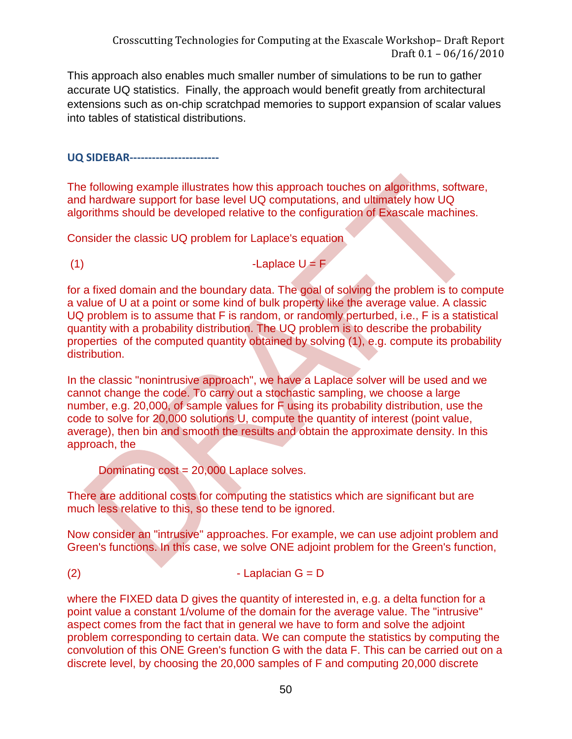This approach also enables much smaller number of simulations to be run to gather accurate UQ statistics. Finally, the approach would benefit greatly from architectural extensions such as on-chip scratchpad memories to support expansion of scalar values into tables of statistical distributions.

## **UQ SIDEBAR------------------------**

The following example illustrates how this approach touches on algorithms, software, and hardware support for base level UQ computations, and ultimately how UQ algorithms should be developed relative to the configuration of Exascale machines.

Consider the classic UQ problem for Laplace's equation

(1)  $\qquad \qquad \text{Laplace } U = F$ 

for a fixed domain and the boundary data. The goal of solving the problem is to compute a value of U at a point or some kind of bulk property like the average value. A classic UQ problem is to assume that F is random, or randomly perturbed, i.e., F is a statistical quantity with a probability distribution. The UQ problem is to describe the probability properties of the computed quantity obtained by solving (1), e.g. compute its probability distribution.

In the classic "nonintrusive approach", we have a Laplace solver will be used and we cannot change the code. To carry out a stochastic sampling, we choose a large number, e.g. 20,000, of sample values for F using its probability distribution, use the code to solve for 20,000 solutions U, compute the quantity of interest (point value, average), then bin and smooth the results and obtain the approximate density. In this approach, the

Dominating cost = 20,000 Laplace solves.

There are additional costs for computing the statistics which are significant but are much less relative to this, so these tend to be ignored.

Now consider an "intrusive" approaches. For example, we can use adjoint problem and Green's functions. In this case, we solve ONE adjoint problem for the Green's function,

 $(2)$  - Laplacian G = D

where the FIXED data D gives the quantity of interested in, e.g. a delta function for a point value a constant 1/volume of the domain for the average value. The "intrusive" aspect comes from the fact that in general we have to form and solve the adjoint problem corresponding to certain data. We can compute the statistics by computing the convolution of this ONE Green's function G with the data F. This can be carried out on a discrete level, by choosing the 20,000 samples of F and computing 20,000 discrete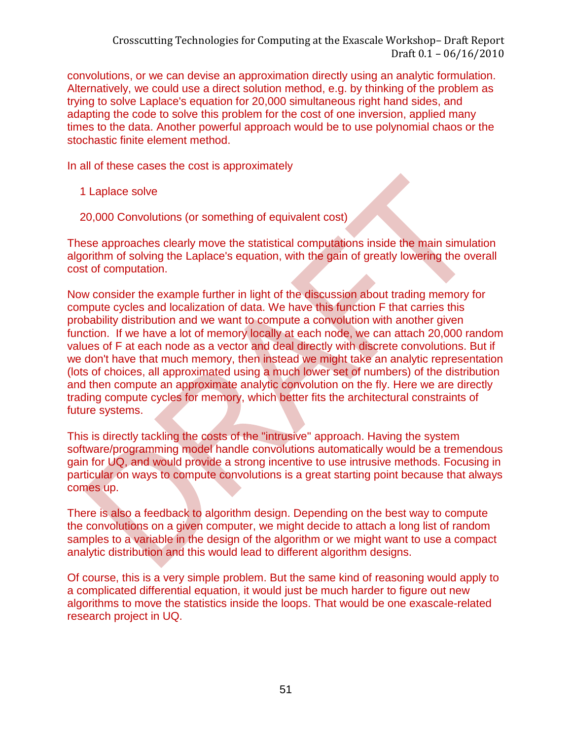convolutions, or we can devise an approximation directly using an analytic formulation. Alternatively, we could use a direct solution method, e.g. by thinking of the problem as trying to solve Laplace's equation for 20,000 simultaneous right hand sides, and adapting the code to solve this problem for the cost of one inversion, applied many times to the data. Another powerful approach would be to use polynomial chaos or the stochastic finite element method.

In all of these cases the cost is approximately

- 1 Laplace solve
- 20,000 Convolutions (or something of equivalent cost)

These approaches clearly move the statistical computations inside the main simulation algorithm of solving the Laplace's equation, with the gain of greatly lowering the overall cost of computation.

Now consider the example further in light of the discussion about trading memory for compute cycles and localization of data. We have this function F that carries this probability distribution and we want to compute a convolution with another given function. If we have a lot of memory locally at each node, we can attach 20,000 random values of F at each node as a vector and deal directly with discrete convolutions. But if we don't have that much memory, then instead we might take an analytic representation (lots of choices, all approximated using a much lower set of numbers) of the distribution and then compute an approximate analytic convolution on the fly. Here we are directly trading compute cycles for memory, which better fits the architectural constraints of future systems.

This is directly tackling the costs of the "intrusive" approach. Having the system software/programming model handle convolutions automatically would be a tremendous gain for UQ, and would provide a strong incentive to use intrusive methods. Focusing in particular on ways to compute convolutions is a great starting point because that always comes up.

There is also a feedback to algorithm design. Depending on the best way to compute the convolutions on a given computer, we might decide to attach a long list of random samples to a variable in the design of the algorithm or we might want to use a compact analytic distribution and this would lead to different algorithm designs.

Of course, this is a very simple problem. But the same kind of reasoning would apply to a complicated differential equation, it would just be much harder to figure out new algorithms to move the statistics inside the loops. That would be one exascale-related research project in UQ.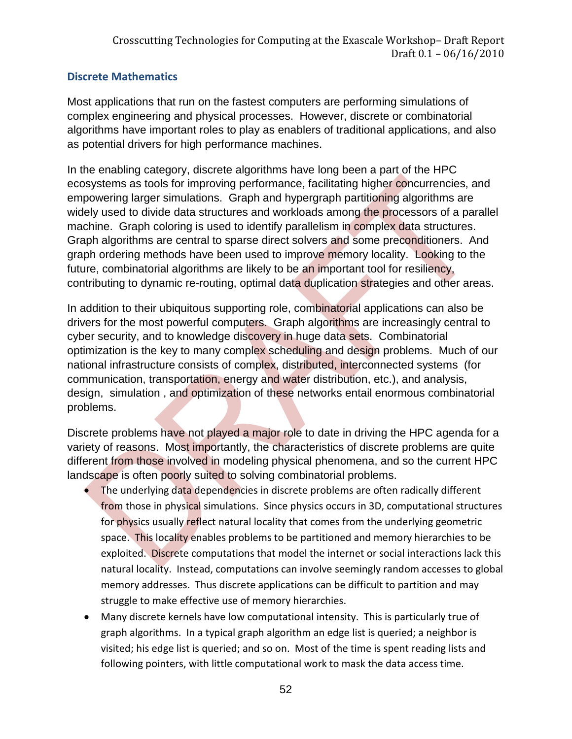## **Discrete Mathematics**

Most applications that run on the fastest computers are performing simulations of complex engineering and physical processes. However, discrete or combinatorial algorithms have important roles to play as enablers of traditional applications, and also as potential drivers for high performance machines.

In the enabling category, discrete algorithms have long been a part of the HPC ecosystems as tools for improving performance, facilitating higher concurrencies, and empowering larger simulations. Graph and hypergraph partitioning algorithms are widely used to divide data structures and workloads among the processors of a parallel machine. Graph coloring is used to identify parallelism in complex data structures. Graph algorithms are central to sparse direct solvers and some preconditioners. And graph ordering methods have been used to improve memory locality. Looking to the future, combinatorial algorithms are likely to be an important tool for resiliency, contributing to dynamic re-routing, optimal data duplication strategies and other areas.

In addition to their ubiquitous supporting role, combinatorial applications can also be drivers for the most powerful computers. Graph algorithms are increasingly central to cyber security, and to knowledge discovery in huge data sets. Combinatorial optimization is the key to many complex scheduling and design problems. Much of our national infrastructure consists of complex, distributed, interconnected systems (for communication, transportation, energy and water distribution, etc.), and analysis, design, simulation , and optimization of these networks entail enormous combinatorial problems.

Discrete problems have not played a major role to date in driving the HPC agenda for a variety of reasons. Most importantly, the characteristics of discrete problems are quite different from those involved in modeling physical phenomena, and so the current HPC landscape is often poorly suited to solving combinatorial problems.

- The underlying data dependencies in discrete problems are often radically different from those in physical simulations. Since physics occurs in 3D, computational structures for physics usually reflect natural locality that comes from the underlying geometric space. This locality enables problems to be partitioned and memory hierarchies to be exploited. Discrete computations that model the internet or social interactions lack this natural locality. Instead, computations can involve seemingly random accesses to global memory addresses. Thus discrete applications can be difficult to partition and may struggle to make effective use of memory hierarchies.
- Many discrete kernels have low computational intensity. This is particularly true of graph algorithms. In a typical graph algorithm an edge list is queried; a neighbor is visited; his edge list is queried; and so on. Most of the time is spent reading lists and following pointers, with little computational work to mask the data access time.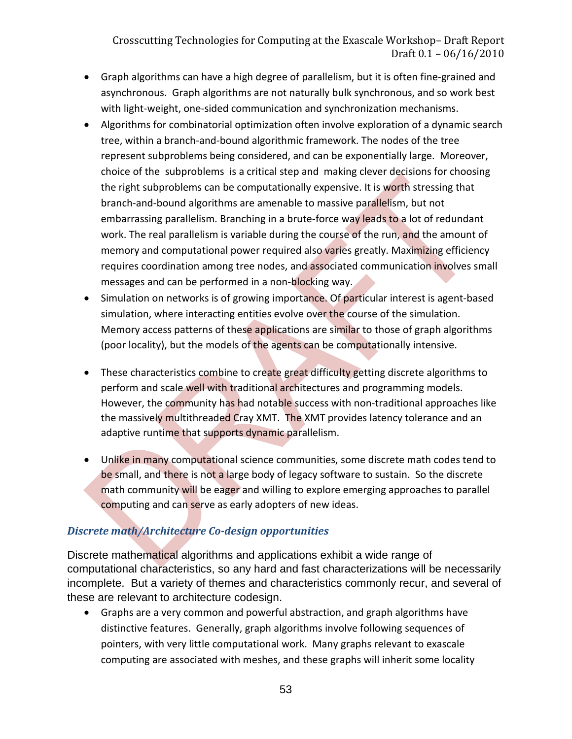- Graph algorithms can have a high degree of parallelism, but it is often fine-grained and asynchronous. Graph algorithms are not naturally bulk synchronous, and so work best with light-weight, one-sided communication and synchronization mechanisms.
- Algorithms for combinatorial optimization often involve exploration of a dynamic search tree, within a branch-and-bound algorithmic framework. The nodes of the tree represent subproblems being considered, and can be exponentially large. Moreover, choice of the subproblems is a critical step and making clever decisions for choosing the right subproblems can be computationally expensive. It is worth stressing that branch-and-bound algorithms are amenable to massive parallelism, but not embarrassing parallelism. Branching in a brute-force way leads to a lot of redundant work. The real parallelism is variable during the course of the run, and the amount of memory and computational power required also varies greatly. Maximizing efficiency requires coordination among tree nodes, and associated communication involves small messages and can be performed in a non-blocking way.
- Simulation on networks is of growing importance. Of particular interest is agent-based simulation, where interacting entities evolve over the course of the simulation. Memory access patterns of these applications are similar to those of graph algorithms (poor locality), but the models of the agents can be computationally intensive.
- These characteristics combine to create great difficulty getting discrete algorithms to perform and scale well with traditional architectures and programming models. However, the community has had notable success with non-traditional approaches like the massively multithreaded Cray XMT. The XMT provides latency tolerance and an adaptive runtime that supports dynamic parallelism.
- Unlike in many computational science communities, some discrete math codes tend to be small, and there is not a large body of legacy software to sustain. So the discrete math community will be eager and willing to explore emerging approaches to parallel computing and can serve as early adopters of new ideas.

### *Discrete math/Architecture Co-design opportunities*

Discrete mathematical algorithms and applications exhibit a wide range of computational characteristics, so any hard and fast characterizations will be necessarily incomplete. But a variety of themes and characteristics commonly recur, and several of these are relevant to architecture codesign.

• Graphs are a very common and powerful abstraction, and graph algorithms have distinctive features. Generally, graph algorithms involve following sequences of pointers, with very little computational work. Many graphs relevant to exascale computing are associated with meshes, and these graphs will inherit some locality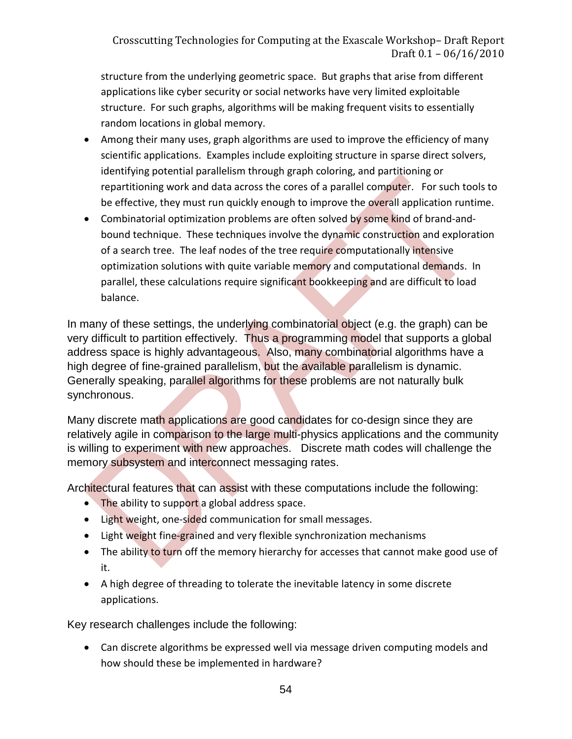structure from the underlying geometric space. But graphs that arise from different applications like cyber security or social networks have very limited exploitable structure. For such graphs, algorithms will be making frequent visits to essentially random locations in global memory.

- Among their many uses, graph algorithms are used to improve the efficiency of many scientific applications. Examples include exploiting structure in sparse direct solvers, identifying potential parallelism through graph coloring, and partitioning or repartitioning work and data across the cores of a parallel computer. For such tools to be effective, they must run quickly enough to improve the overall application runtime.
- Combinatorial optimization problems are often solved by some kind of brand-andbound technique. These techniques involve the dynamic construction and exploration of a search tree. The leaf nodes of the tree require computationally intensive optimization solutions with quite variable memory and computational demands. In parallel, these calculations require significant bookkeeping and are difficult to load balance.

In many of these settings, the underlying combinatorial object (e.g. the graph) can be very difficult to partition effectively. Thus a programming model that supports a global address space is highly advantageous. Also, many combinatorial algorithms have a high degree of fine-grained parallelism, but the available parallelism is dynamic. Generally speaking, parallel algorithms for these problems are not naturally bulk synchronous.

Many discrete math applications are good candidates for co-design since they are relatively agile in comparison to the large multi-physics applications and the community is willing to experiment with new approaches. Discrete math codes will challenge the memory subsystem and interconnect messaging rates.

Architectural features that can assist with these computations include the following:

- The ability to support a global address space.
- Light weight, one-sided communication for small messages.
- Light weight fine-grained and very flexible synchronization mechanisms
- The ability to turn off the memory hierarchy for accesses that cannot make good use of it.
- A high degree of threading to tolerate the inevitable latency in some discrete applications.

Key research challenges include the following:

• Can discrete algorithms be expressed well via message driven computing models and how should these be implemented in hardware?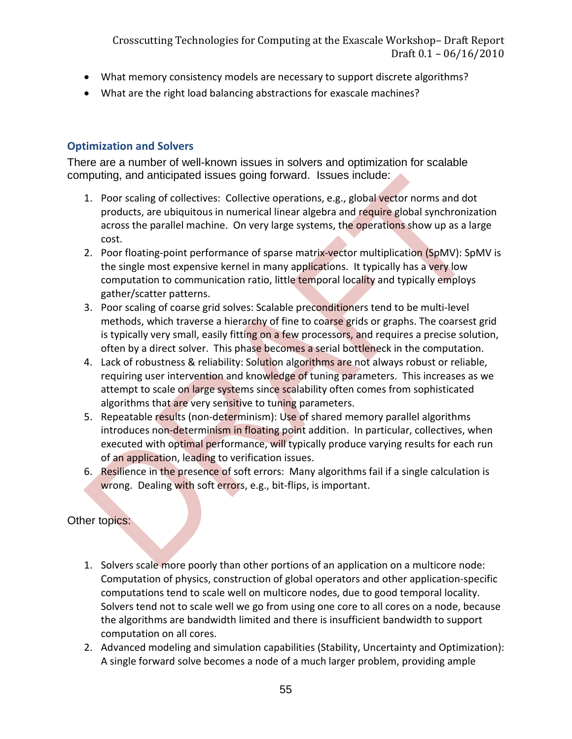- What memory consistency models are necessary to support discrete algorithms?
- What are the right load balancing abstractions for exascale machines?

#### **Optimization and Solvers**

There are a number of well-known issues in solvers and optimization for scalable computing, and anticipated issues going forward. Issues include:

- 1. Poor scaling of collectives: Collective operations, e.g., global vector norms and dot products, are ubiquitous in numerical linear algebra and require global synchronization across the parallel machine. On very large systems, the operations show up as a large cost.
- 2. Poor floating-point performance of sparse matrix-vector multiplication (SpMV): SpMV is the single most expensive kernel in many applications. It typically has a very low computation to communication ratio, little temporal locality and typically employs gather/scatter patterns.
- 3. Poor scaling of coarse grid solves: Scalable preconditioners tend to be multi-level methods, which traverse a hierarchy of fine to coarse grids or graphs. The coarsest grid is typically very small, easily fitting on a few processors, and requires a precise solution, often by a direct solver. This phase becomes a serial bottleneck in the computation.
- 4. Lack of robustness & reliability: Solution algorithms are not always robust or reliable, requiring user intervention and knowledge of tuning parameters. This increases as we attempt to scale on large systems since scalability often comes from sophisticated algorithms that are very sensitive to tuning parameters.
- 5. Repeatable results (non-determinism): Use of shared memory parallel algorithms introduces non-determinism in floating point addition. In particular, collectives, when executed with optimal performance, will typically produce varying results for each run of an application, leading to verification issues.
- 6. Resilience in the presence of soft errors: Many algorithms fail if a single calculation is wrong. Dealing with soft errors, e.g., bit-flips, is important.

#### Other topics:

- 1. Solvers scale more poorly than other portions of an application on a multicore node: Computation of physics, construction of global operators and other application-specific computations tend to scale well on multicore nodes, due to good temporal locality. Solvers tend not to scale well we go from using one core to all cores on a node, because the algorithms are bandwidth limited and there is insufficient bandwidth to support computation on all cores.
- 2. Advanced modeling and simulation capabilities (Stability, Uncertainty and Optimization): A single forward solve becomes a node of a much larger problem, providing ample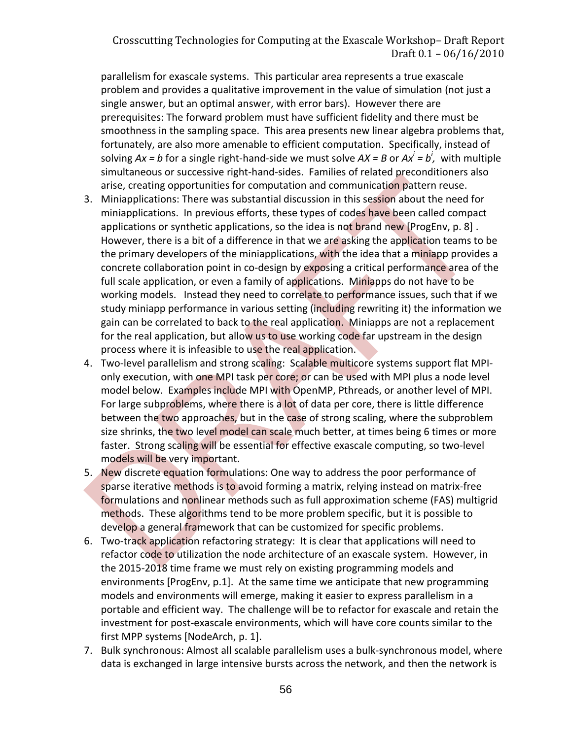parallelism for exascale systems. This particular area represents a true exascale problem and provides a qualitative improvement in the value of simulation (not just a single answer, but an optimal answer, with error bars). However there are prerequisites: The forward problem must have sufficient fidelity and there must be smoothness in the sampling space. This area presents new linear algebra problems that, fortunately, are also more amenable to efficient computation. Specifically, instead of solving  $Ax = b$  for a single right-hand-side we must solve  $AX = B$  or  $Ax<sup>j</sup> = b<sup>j</sup>$ , with multiple simultaneous or successive right-hand-sides. Families of related preconditioners also arise, creating opportunities for computation and communication pattern reuse.

- 3. Miniapplications: There was substantial discussion in this session about the need for miniapplications. In previous efforts, these types of codes have been called compact applications or synthetic applications, so the idea is not brand new [ProgEnv, p. 8] . However, there is a bit of a difference in that we are asking the application teams to be the primary developers of the miniapplications, with the idea that a miniapp provides a concrete collaboration point in co-design by exposing a critical performance area of the full scale application, or even a family of applications. Miniapps do not have to be working models. Instead they need to correlate to performance issues, such that if we study miniapp performance in various setting (including rewriting it) the information we gain can be correlated to back to the real application. Miniapps are not a replacement for the real application, but allow us to use working code far upstream in the design process where it is infeasible to use the real application.
- 4. Two-level parallelism and strong scaling: Scalable multicore systems support flat MPIonly execution, with one MPI task per core; or can be used with MPI plus a node level model below. Examples include MPI with OpenMP, Pthreads, or another level of MPI. For large subproblems, where there is a lot of data per core, there is little difference between the two approaches, but in the case of strong scaling, where the subproblem size shrinks, the two level model can scale much better, at times being 6 times or more faster. Strong scaling will be essential for effective exascale computing, so two-level models will be very important.
- 5. New discrete equation formulations: One way to address the poor performance of sparse iterative methods is to avoid forming a matrix, relying instead on matrix-free formulations and nonlinear methods such as full approximation scheme (FAS) multigrid methods. These algorithms tend to be more problem specific, but it is possible to develop a general framework that can be customized for specific problems.
- 6. Two-track application refactoring strategy: It is clear that applications will need to refactor code to utilization the node architecture of an exascale system. However, in the 2015-2018 time frame we must rely on existing programming models and environments [ProgEnv, p.1]. At the same time we anticipate that new programming models and environments will emerge, making it easier to express parallelism in a portable and efficient way. The challenge will be to refactor for exascale and retain the investment for post-exascale environments, which will have core counts similar to the first MPP systems [NodeArch, p. 1].
- 7. Bulk synchronous: Almost all scalable parallelism uses a bulk-synchronous model, where data is exchanged in large intensive bursts across the network, and then the network is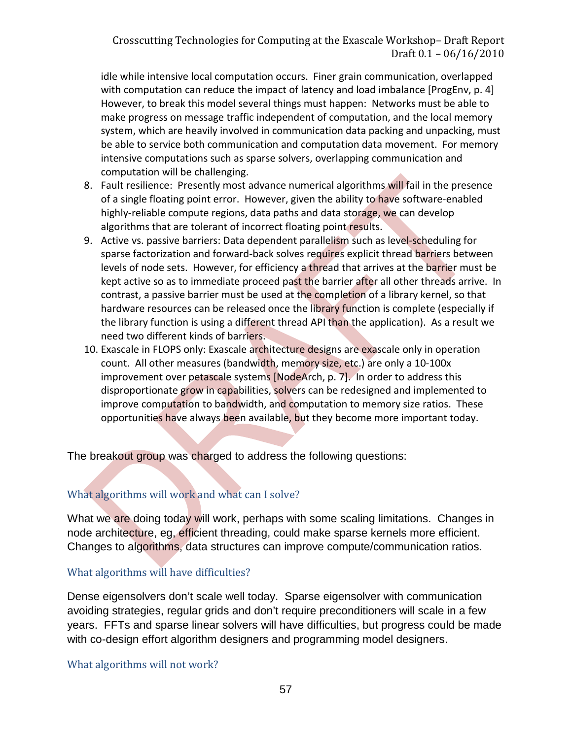idle while intensive local computation occurs. Finer grain communication, overlapped with computation can reduce the impact of latency and load imbalance [ProgEnv, p. 4] However, to break this model several things must happen: Networks must be able to make progress on message traffic independent of computation, and the local memory system, which are heavily involved in communication data packing and unpacking, must be able to service both communication and computation data movement. For memory intensive computations such as sparse solvers, overlapping communication and computation will be challenging.

- 8. Fault resilience: Presently most advance numerical algorithms will fail in the presence of a single floating point error. However, given the ability to have software-enabled highly-reliable compute regions, data paths and data storage, we can develop algorithms that are tolerant of incorrect floating point results.
- 9. Active vs. passive barriers: Data dependent parallelism such as level-scheduling for sparse factorization and forward-back solves requires explicit thread barriers between levels of node sets. However, for efficiency a thread that arrives at the barrier must be kept active so as to immediate proceed past the barrier after all other threads arrive. In contrast, a passive barrier must be used at the completion of a library kernel, so that hardware resources can be released once the library function is complete (especially if the library function is using a different thread API than the application). As a result we need two different kinds of barriers.
- 10. Exascale in FLOPS only: Exascale architecture designs are exascale only in operation count. All other measures (bandwidth, memory size, etc.) are only a 10-100x improvement over petascale systems [NodeArch, p. 7]. In order to address this disproportionate grow in capabilities, solvers can be redesigned and implemented to improve computation to bandwidth, and computation to memory size ratios. These opportunities have always been available, but they become more important today.

The breakout group was charged to address the following questions:

### What algorithms will work and what can I solve?

What we are doing today will work, perhaps with some scaling limitations. Changes in node architecture, eg, efficient threading, could make sparse kernels more efficient. Changes to algorithms, data structures can improve compute/communication ratios.

#### What algorithms will have difficulties?

Dense eigensolvers don't scale well today. Sparse eigensolver with communication avoiding strategies, regular grids and don't require preconditioners will scale in a few years. FFTs and sparse linear solvers will have difficulties, but progress could be made with co-design effort algorithm designers and programming model designers.

#### What algorithms will not work?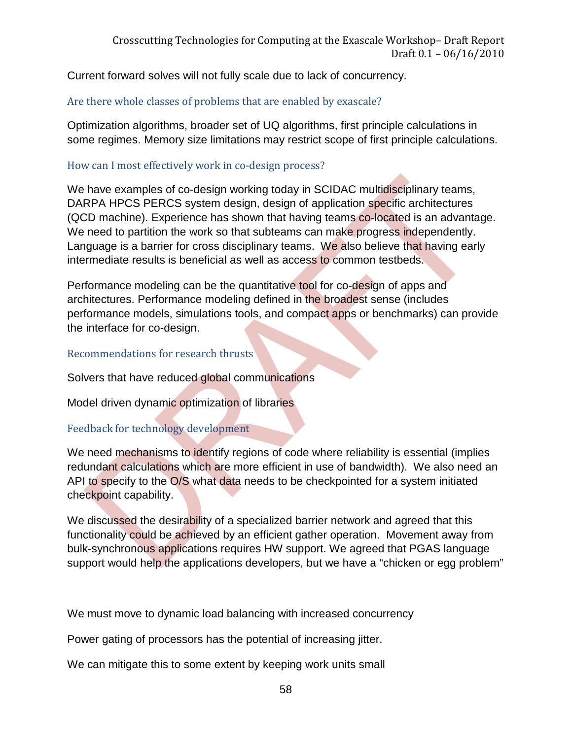Current forward solves will not fully scale due to lack of concurrency.

#### Are there whole classes of problems that are enabled by exascale?

Optimization algorithms, broader set of UQ algorithms, first principle calculations in some regimes. Memory size limitations may restrict scope of first principle calculations.

#### How can I most effectively work in co-design process?

We have examples of co-design working today in SCIDAC multidisciplinary teams, DARPA HPCS PERCS system design, design of application specific architectures (QCD machine). Experience has shown that having teams co-located is an advantage. We need to partition the work so that subteams can make progress independently. Language is a barrier for cross disciplinary teams. We also believe that having early intermediate results is beneficial as well as access to common testbeds.

Performance modeling can be the quantitative tool for co-design of apps and architectures. Performance modeling defined in the broadest sense (includes performance models, simulations tools, and compact apps or benchmarks) can provide the interface for co-design.

#### Recommendations for research thrusts

Solvers that have reduced global communications

Model driven dynamic optimization of libraries

### Feedback for technology development

We need mechanisms to identify regions of code where reliability is essential (implies redundant calculations which are more efficient in use of bandwidth). We also need an API to specify to the O/S what data needs to be checkpointed for a system initiated checkpoint capability.

We discussed the desirability of a specialized barrier network and agreed that this functionality could be achieved by an efficient gather operation. Movement away from bulk-synchronous applications requires HW support. We agreed that PGAS language support would help the applications developers, but we have a "chicken or egg problem"

We must move to dynamic load balancing with increased concurrency

Power gating of processors has the potential of increasing jitter.

We can mitigate this to some extent by keeping work units small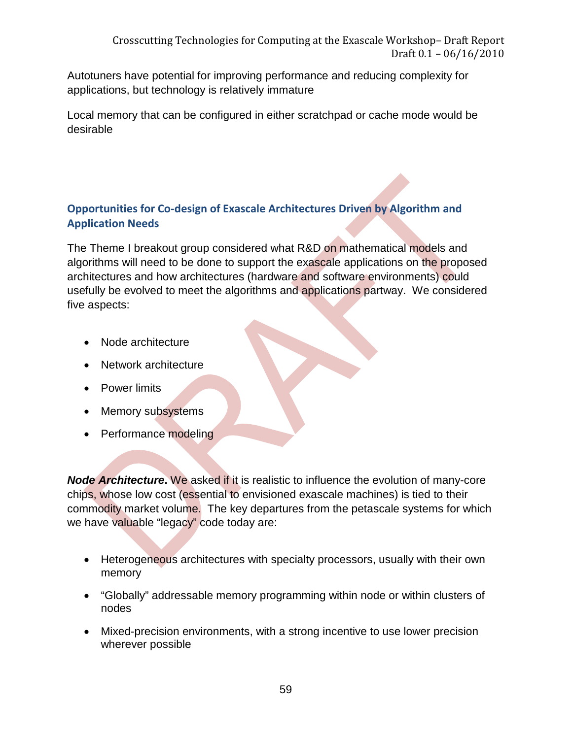Autotuners have potential for improving performance and reducing complexity for applications, but technology is relatively immature

Local memory that can be configured in either scratchpad or cache mode would be desirable

## **Opportunities for Co-design of Exascale Architectures Driven by Algorithm and Application Needs**

The Theme I breakout group considered what R&D on mathematical models and algorithms will need to be done to support the exascale applications on the proposed architectures and how architectures (hardware and software environments) could usefully be evolved to meet the algorithms and applications partway. We considered five aspects:

- Node architecture
- Network architecture
- Power limits
- Memory subsystems
- Performance modeling

*Node Architecture***.** We asked if it is realistic to influence the evolution of many-core chips, whose low cost (essential to envisioned exascale machines) is tied to their commodity market volume. The key departures from the petascale systems for which we have valuable "legacy" code today are:

- Heterogeneous architectures with specialty processors, usually with their own memory
- "Globally" addressable memory programming within node or within clusters of nodes
- Mixed-precision environments, with a strong incentive to use lower precision wherever possible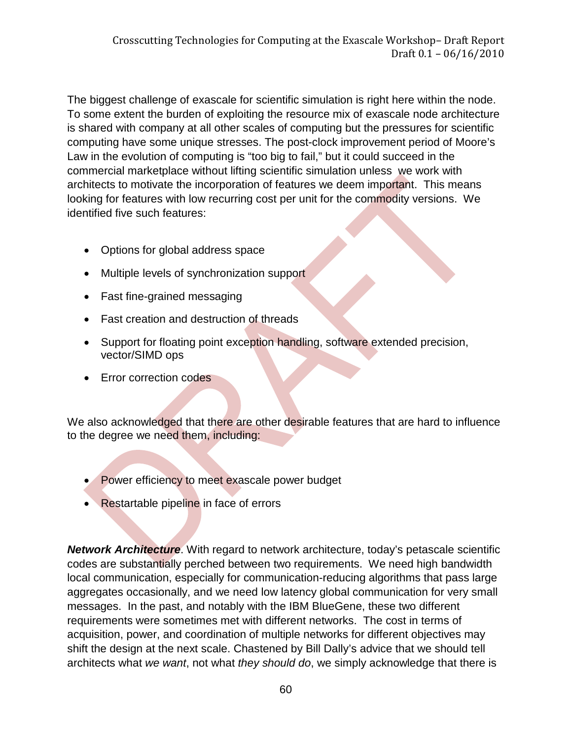The biggest challenge of exascale for scientific simulation is right here within the node. To some extent the burden of exploiting the resource mix of exascale node architecture is shared with company at all other scales of computing but the pressures for scientific computing have some unique stresses. The post-clock improvement period of Moore's Law in the evolution of computing is "too big to fail," but it could succeed in the commercial marketplace without lifting scientific simulation unless we work with architects to motivate the incorporation of features we deem important. This means looking for features with low recurring cost per unit for the commodity versions. We identified five such features:

- Options for global address space
- Multiple levels of synchronization support
- Fast fine-grained messaging
- Fast creation and destruction of threads
- Support for floating point exception handling, software extended precision, vector/SIMD ops
- Error correction codes

We also acknowledged that there are other desirable features that are hard to influence to the degree we need them, including:

- Power efficiency to meet exascale power budget
- Restartable pipeline in face of errors

**Network Architecture**. With regard to network architecture, today's petascale scientific codes are substantially perched between two requirements. We need high bandwidth local communication, especially for communication-reducing algorithms that pass large aggregates occasionally, and we need low latency global communication for very small messages. In the past, and notably with the IBM BlueGene, these two different requirements were sometimes met with different networks. The cost in terms of acquisition, power, and coordination of multiple networks for different objectives may shift the design at the next scale. Chastened by Bill Dally's advice that we should tell architects what *we want*, not what *they should do*, we simply acknowledge that there is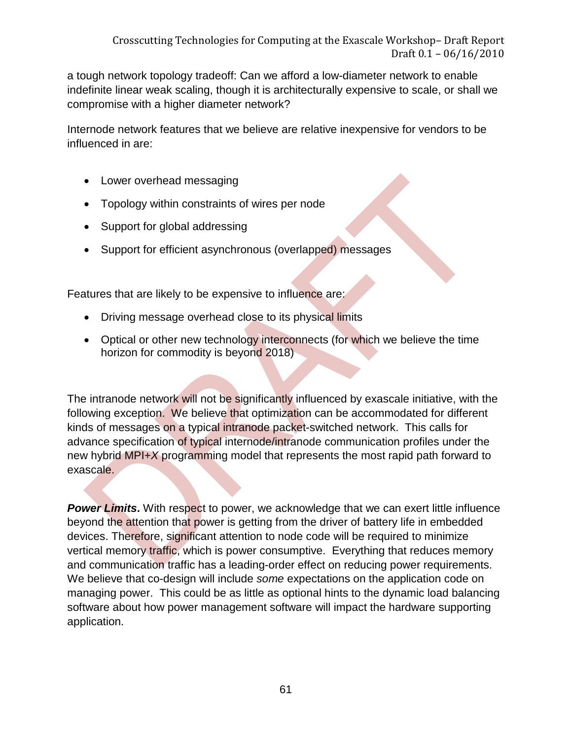a tough network topology tradeoff: Can we afford a low-diameter network to enable indefinite linear weak scaling, though it is architecturally expensive to scale, or shall we compromise with a higher diameter network?

Internode network features that we believe are relative inexpensive for vendors to be influenced in are:

- Lower overhead messaging
- Topology within constraints of wires per node
- Support for global addressing
- Support for efficient asynchronous (overlapped) messages

Features that are likely to be expensive to influence are:

- Driving message overhead close to its physical limits
- Optical or other new technology interconnects (for which we believe the time horizon for commodity is beyond 2018)

The intranode network will not be significantly influenced by exascale initiative, with the following exception. We believe that optimization can be accommodated for different kinds of messages on a typical intranode packet-switched network. This calls for advance specification of typical internode/intranode communication profiles under the new hybrid MPI+*X* programming model that represents the most rapid path forward to exascale.

**Power Limits.** With respect to power, we acknowledge that we can exert little influence beyond the attention that power is getting from the driver of battery life in embedded devices. Therefore, significant attention to node code will be required to minimize vertical memory traffic, which is power consumptive. Everything that reduces memory and communication traffic has a leading-order effect on reducing power requirements. We believe that co-design will include *some* expectations on the application code on managing power. This could be as little as optional hints to the dynamic load balancing software about how power management software will impact the hardware supporting application.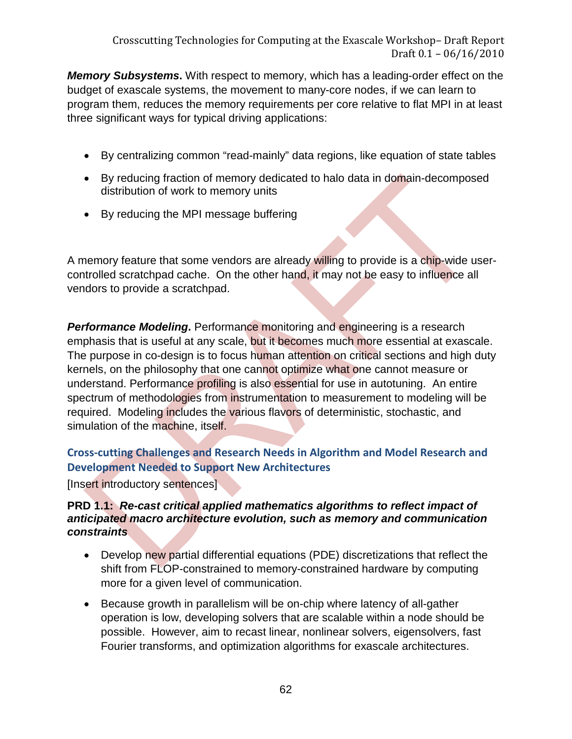*Memory Subsystems***.** With respect to memory, which has a leading-order effect on the budget of exascale systems, the movement to many-core nodes, if we can learn to program them, reduces the memory requirements per core relative to flat MPI in at least three significant ways for typical driving applications:

- By centralizing common "read-mainly" data regions, like equation of state tables
- By reducing fraction of memory dedicated to halo data in domain-decomposed distribution of work to memory units
- By reducing the MPI message buffering

A memory feature that some vendors are already willing to provide is a chip-wide usercontrolled scratchpad cache. On the other hand, it may not be easy to influence all vendors to provide a scratchpad.

*Performance Modeling***.** Performance monitoring and engineering is a research emphasis that is useful at any scale, but it becomes much more essential at exascale. The purpose in co-design is to focus human attention on critical sections and high duty kernels, on the philosophy that one cannot optimize what one cannot measure or understand. Performance profiling is also essential for use in autotuning. An entire spectrum of methodologies from instrumentation to measurement to modeling will be required. Modeling includes the various flavors of deterministic, stochastic, and simulation of the machine, itself.

# **Cross-cutting Challenges and Research Needs in Algorithm and Model Research and Development Needed to Support New Architectures**

[Insert introductory sentences]

#### **PRD 1.1:** *Re-cast critical applied mathematics algorithms to reflect impact of anticipated macro architecture evolution, such as memory and communication constraints*

- Develop new partial differential equations (PDE) discretizations that reflect the shift from FLOP-constrained to memory-constrained hardware by computing more for a given level of communication.
- Because growth in parallelism will be on-chip where latency of all-gather operation is low, developing solvers that are scalable within a node should be possible. However, aim to recast linear, nonlinear solvers, eigensolvers, fast Fourier transforms, and optimization algorithms for exascale architectures.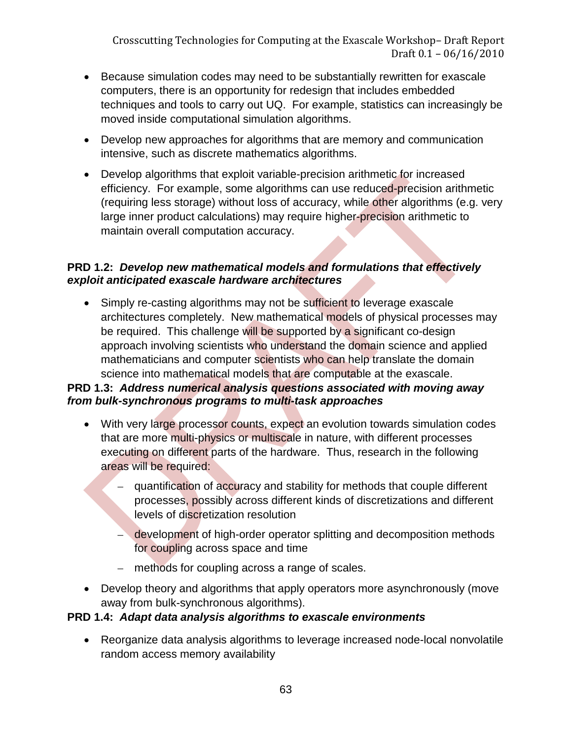- Because simulation codes may need to be substantially rewritten for exascale computers, there is an opportunity for redesign that includes embedded techniques and tools to carry out UQ. For example, statistics can increasingly be moved inside computational simulation algorithms.
- Develop new approaches for algorithms that are memory and communication intensive, such as discrete mathematics algorithms.
- Develop algorithms that exploit variable-precision arithmetic for increased efficiency. For example, some algorithms can use reduced-precision arithmetic (requiring less storage) without loss of accuracy, while other algorithms (e.g. very large inner product calculations) may require higher-precision arithmetic to maintain overall computation accuracy.

## **PRD 1.2:** *Develop new mathematical models and formulations that effectively exploit anticipated exascale hardware architectures*

Simply re-casting algorithms may not be sufficient to leverage exascale architectures completely. New mathematical models of physical processes may be required. This challenge will be supported by a significant co-design approach involving scientists who understand the domain science and applied mathematicians and computer scientists who can help translate the domain science into mathematical models that are computable at the exascale.

## **PRD 1.3:** *Address numerical analysis questions associated with moving away from bulk-synchronous programs to multi-task approaches*

- With very large processor counts, expect an evolution towards simulation codes that are more multi-physics or multiscale in nature, with different processes executing on different parts of the hardware. Thus, research in the following areas will be required:
	- quantification of accuracy and stability for methods that couple different processes, possibly across different kinds of discretizations and different levels of discretization resolution
	- development of high-order operator splitting and decomposition methods for coupling across space and time
	- methods for coupling across a range of scales.
- Develop theory and algorithms that apply operators more asynchronously (move away from bulk-synchronous algorithms).

# **PRD 1.4:** *Adapt data analysis algorithms to exascale environments*

• Reorganize data analysis algorithms to leverage increased node-local nonvolatile random access memory availability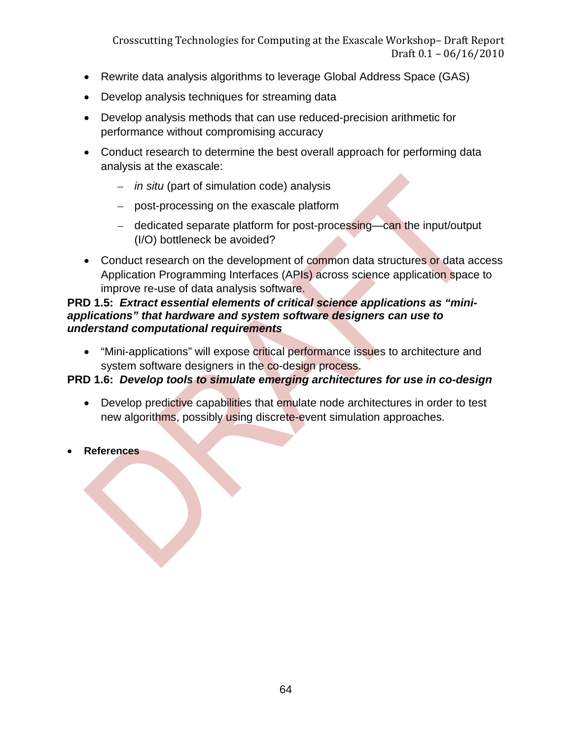- Rewrite data analysis algorithms to leverage Global Address Space (GAS)
- Develop analysis techniques for streaming data
- Develop analysis methods that can use reduced-precision arithmetic for performance without compromising accuracy
- Conduct research to determine the best overall approach for performing data analysis at the exascale:
	- *in situ* (part of simulation code) analysis
	- post-processing on the exascale platform
	- dedicated separate platform for post-processing—can the input/output (I/O) bottleneck be avoided?
- Conduct research on the development of common data structures or data access Application Programming Interfaces (APIs) across science application space to improve re-use of data analysis software.

#### **PRD 1.5:** *Extract essential elements of critical science applications as "miniapplications" that hardware and system software designers can use to understand computational requirements*

• "Mini-applications" will expose critical performance issues to architecture and system software designers in the co-design process.

### **PRD 1.6:** *Develop tools to simulate emerging architectures for use in co-design*

- Develop predictive capabilities that emulate node architectures in order to test new algorithms, possibly using discrete-event simulation approaches.
- **References**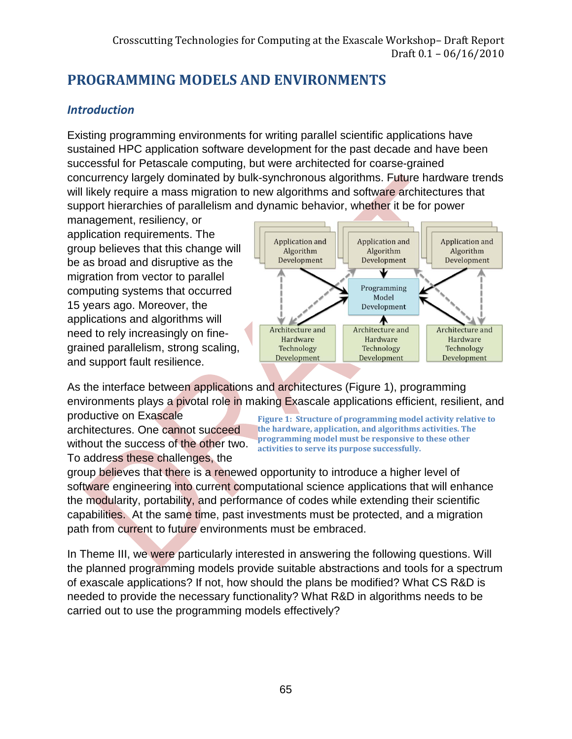# **PROGRAMMING MODELS AND ENVIRONMENTS**

# *Introduction*

Existing programming environments for writing parallel scientific applications have sustained HPC application software development for the past decade and have been successful for Petascale computing, but were architected for coarse-grained concurrency largely dominated by bulk-synchronous algorithms. Future hardware trends will likely require a mass migration to new algorithms and software architectures that support hierarchies of parallelism and dynamic behavior, whether it be for power

management, resiliency, or application requirements. The group believes that this change will be as broad and disruptive as the migration from vector to parallel computing systems that occurred 15 years ago. Moreover, the applications and algorithms will need to rely increasingly on finegrained parallelism, strong scaling, and support fault resilience.



As the interface between applications and architectures [\(Figure 1\)](#page-64-0), programming environments plays a pivotal role in making Exascale applications efficient, resilient, and

productive on Exascale architectures. One cannot succeed without the success of the other two. To address these challenges, the

<span id="page-64-0"></span>**Figure 1: Structure of programming model activity relative to the hardware, application, and algorithms activities. The programming model must be responsive to these other activities to serve its purpose successfully.**

group believes that there is a renewed opportunity to introduce a higher level of software engineering into current computational science applications that will enhance the modularity, portability, and performance of codes while extending their scientific capabilities. At the same time, past investments must be protected, and a migration path from current to future environments must be embraced.

In Theme III, we were particularly interested in answering the following questions. Will the planned programming models provide suitable abstractions and tools for a spectrum of exascale applications? If not, how should the plans be modified? What CS R&D is needed to provide the necessary functionality? What R&D in algorithms needs to be carried out to use the programming models effectively?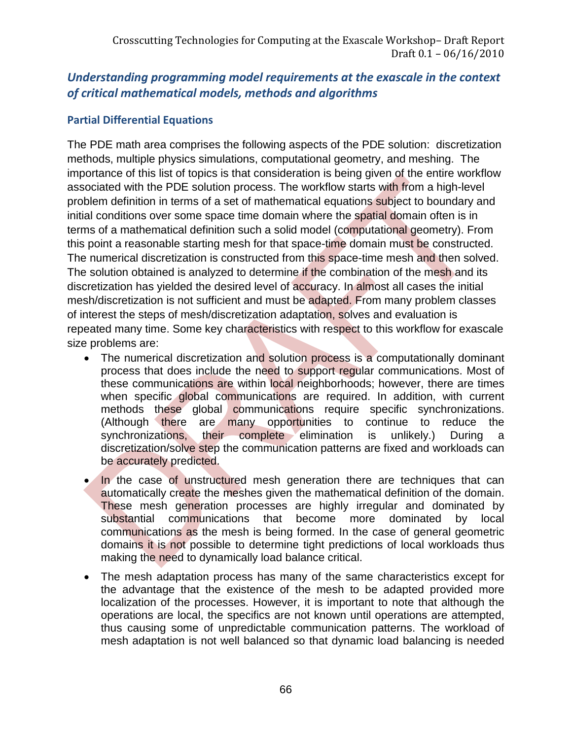# *Understanding programming model requirements at the exascale in the context of critical mathematical models, methods and algorithms*

## **Partial Differential Equations**

The PDE math area comprises the following aspects of the PDE solution: discretization methods, multiple physics simulations, computational geometry, and meshing. The importance of this list of topics is that consideration is being given of the entire workflow associated with the PDE solution process. The workflow starts with from a high-level problem definition in terms of a set of mathematical equations subject to boundary and initial conditions over some space time domain where the spatial domain often is in terms of a mathematical definition such a solid model (computational geometry). From this point a reasonable starting mesh for that space-time domain must be constructed. The numerical discretization is constructed from this space-time mesh and then solved. The solution obtained is analyzed to determine if the combination of the mesh and its discretization has yielded the desired level of accuracy. In almost all cases the initial mesh/discretization is not sufficient and must be adapted. From many problem classes of interest the steps of mesh/discretization adaptation, solves and evaluation is repeated many time. Some key characteristics with respect to this workflow for exascale size problems are:

- The numerical discretization and solution process is a computationally dominant process that does include the need to support regular communications. Most of these communications are within local neighborhoods; however, there are times when specific global communications are required. In addition, with current methods these global communications require specific synchronizations. (Although there are many opportunities to continue to reduce the synchronizations, their complete elimination is unlikely.) During a discretization/solve step the communication patterns are fixed and workloads can be accurately predicted.
- In the case of unstructured mesh generation there are techniques that can automatically create the meshes given the mathematical definition of the domain. These mesh generation processes are highly irregular and dominated by substantial communications that become more dominated by local communications as the mesh is being formed. In the case of general geometric domains it is not possible to determine tight predictions of local workloads thus making the need to dynamically load balance critical.
- The mesh adaptation process has many of the same characteristics except for the advantage that the existence of the mesh to be adapted provided more localization of the processes. However, it is important to note that although the operations are local, the specifics are not known until operations are attempted, thus causing some of unpredictable communication patterns. The workload of mesh adaptation is not well balanced so that dynamic load balancing is needed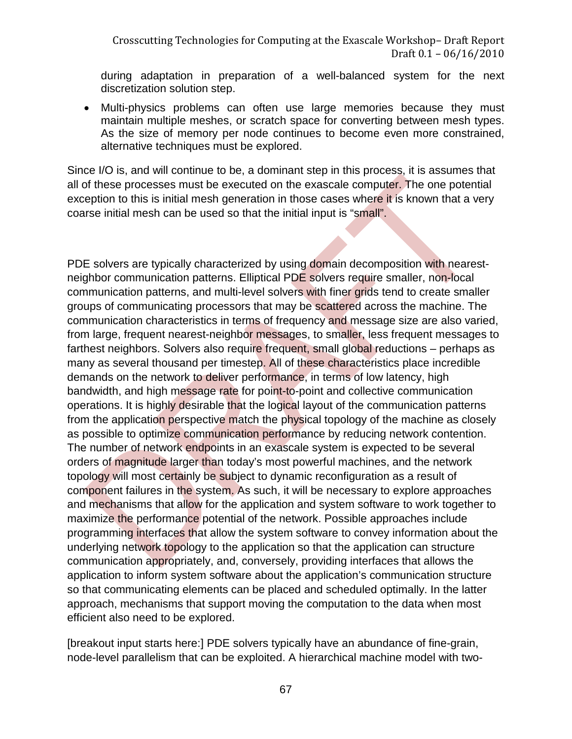during adaptation in preparation of a well-balanced system for the next discretization solution step.

• Multi-physics problems can often use large memories because they must maintain multiple meshes, or scratch space for converting between mesh types. As the size of memory per node continues to become even more constrained, alternative techniques must be explored.

Since I/O is, and will continue to be, a dominant step in this process, it is assumes that all of these processes must be executed on the exascale computer. The one potential exception to this is initial mesh generation in those cases where it is known that a very coarse initial mesh can be used so that the initial input is "small".

PDE solvers are typically characterized by using domain decomposition with nearestneighbor communication patterns. Elliptical PDE solvers require smaller, non-local communication patterns, and multi-level solvers with finer grids tend to create smaller groups of communicating processors that may be scattered across the machine. The communication characteristics in terms of frequency and message size are also varied, from large, frequent nearest-neighbor messages, to smaller, less frequent messages to farthest neighbors. Solvers also require frequent, small global reductions – perhaps as many as several thousand per timestep. All of these characteristics place incredible demands on the network to deliver performance, in terms of low latency, high bandwidth, and high message rate for point-to-point and collective communication operations. It is highly desirable that the logical layout of the communication patterns from the application perspective match the physical topology of the machine as closely as possible to optimize communication performance by reducing network contention. The number of network endpoints in an exascale system is expected to be several orders of magnitude larger than today's most powerful machines, and the network topology will most certainly be subject to dynamic reconfiguration as a result of component failures in the system. As such, it will be necessary to explore approaches and mechanisms that allow for the application and system software to work together to maximize the performance potential of the network. Possible approaches include programming interfaces that allow the system software to convey information about the underlying network topology to the application so that the application can structure communication appropriately, and, conversely, providing interfaces that allows the application to inform system software about the application's communication structure so that communicating elements can be placed and scheduled optimally. In the latter approach, mechanisms that support moving the computation to the data when most efficient also need to be explored.

[breakout input starts here:] PDE solvers typically have an abundance of fine-grain, node-level parallelism that can be exploited. A hierarchical machine model with two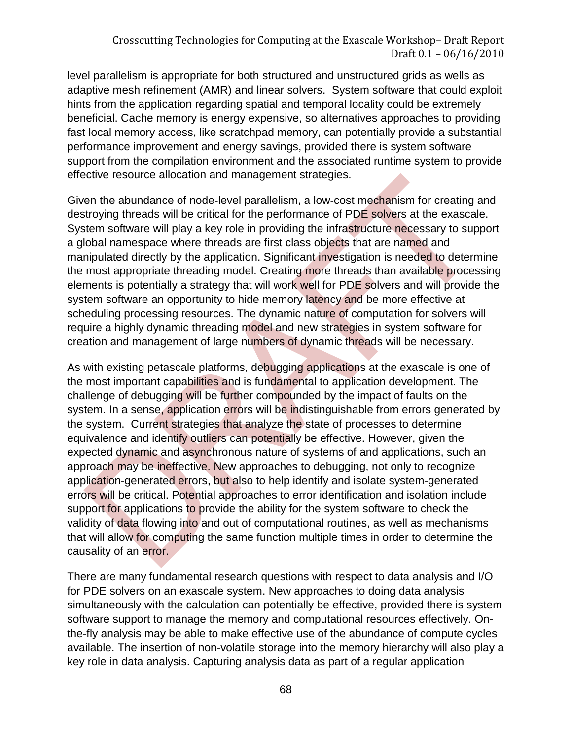level parallelism is appropriate for both structured and unstructured grids as wells as adaptive mesh refinement (AMR) and linear solvers. System software that could exploit hints from the application regarding spatial and temporal locality could be extremely beneficial. Cache memory is energy expensive, so alternatives approaches to providing fast local memory access, like scratchpad memory, can potentially provide a substantial performance improvement and energy savings, provided there is system software support from the compilation environment and the associated runtime system to provide effective resource allocation and management strategies.

Given the abundance of node-level parallelism, a low-cost mechanism for creating and destroying threads will be critical for the performance of PDE solvers at the exascale. System software will play a key role in providing the infrastructure necessary to support a global namespace where threads are first class objects that are named and manipulated directly by the application. Significant investigation is needed to determine the most appropriate threading model. Creating more threads than available processing elements is potentially a strategy that will work well for PDE solvers and will provide the system software an opportunity to hide memory latency and be more effective at scheduling processing resources. The dynamic nature of computation for solvers will require a highly dynamic threading model and new strategies in system software for creation and management of large numbers of dynamic threads will be necessary.

As with existing petascale platforms, debugging applications at the exascale is one of the most important capabilities and is fundamental to application development. The challenge of debugging will be further compounded by the impact of faults on the system. In a sense, application errors will be indistinguishable from errors generated by the system. Current strategies that analyze the state of processes to determine equivalence and identify outliers can potentially be effective. However, given the expected dynamic and asynchronous nature of systems of and applications, such an approach may be ineffective. New approaches to debugging, not only to recognize application-generated errors, but also to help identify and isolate system-generated errors will be critical. Potential approaches to error identification and isolation include support for applications to provide the ability for the system software to check the validity of data flowing into and out of computational routines, as well as mechanisms that will allow for computing the same function multiple times in order to determine the causality of an error.

There are many fundamental research questions with respect to data analysis and I/O for PDE solvers on an exascale system. New approaches to doing data analysis simultaneously with the calculation can potentially be effective, provided there is system software support to manage the memory and computational resources effectively. Onthe-fly analysis may be able to make effective use of the abundance of compute cycles available. The insertion of non-volatile storage into the memory hierarchy will also play a key role in data analysis. Capturing analysis data as part of a regular application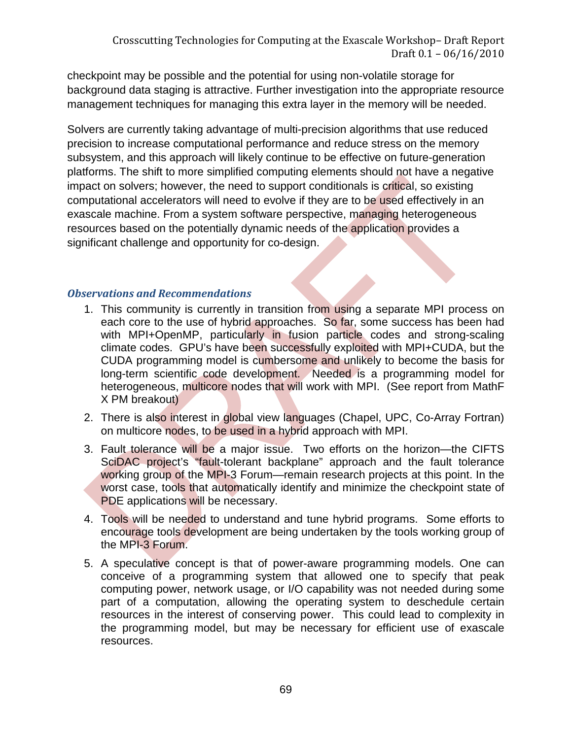checkpoint may be possible and the potential for using non-volatile storage for background data staging is attractive. Further investigation into the appropriate resource management techniques for managing this extra layer in the memory will be needed.

Solvers are currently taking advantage of multi-precision algorithms that use reduced precision to increase computational performance and reduce stress on the memory subsystem, and this approach will likely continue to be effective on future-generation platforms. The shift to more simplified computing elements should not have a negative impact on solvers; however, the need to support conditionals is critical, so existing computational accelerators will need to evolve if they are to be used effectively in an exascale machine. From a system software perspective, managing heterogeneous resources based on the potentially dynamic needs of the application provides a significant challenge and opportunity for co-design.

#### *Observations and Recommendations*

- 1. This community is currently in transition from using a separate MPI process on each core to the use of hybrid approaches. So far, some success has been had with MPI+OpenMP, particularly in fusion particle codes and strong-scaling climate codes. GPU's have been successfully exploited with MPI+CUDA, but the CUDA programming model is cumbersome and unlikely to become the basis for long-term scientific code development. Needed is a programming model for heterogeneous, multicore nodes that will work with MPI. (See report from MathF X PM breakout)
- 2. There is also interest in global view languages (Chapel, UPC, Co-Array Fortran) on multicore nodes, to be used in a hybrid approach with MPI.
- 3. Fault tolerance will be a major issue. Two efforts on the horizon—the CIFTS SciDAC project's "fault-tolerant backplane" approach and the fault tolerance working group of the MPI-3 Forum—remain research projects at this point. In the worst case, tools that automatically identify and minimize the checkpoint state of PDE applications will be necessary.
- 4. Tools will be needed to understand and tune hybrid programs. Some efforts to encourage tools development are being undertaken by the tools working group of the MPI-3 Forum.
- 5. A speculative concept is that of power-aware programming models. One can conceive of a programming system that allowed one to specify that peak computing power, network usage, or I/O capability was not needed during some part of a computation, allowing the operating system to deschedule certain resources in the interest of conserving power. This could lead to complexity in the programming model, but may be necessary for efficient use of exascale resources.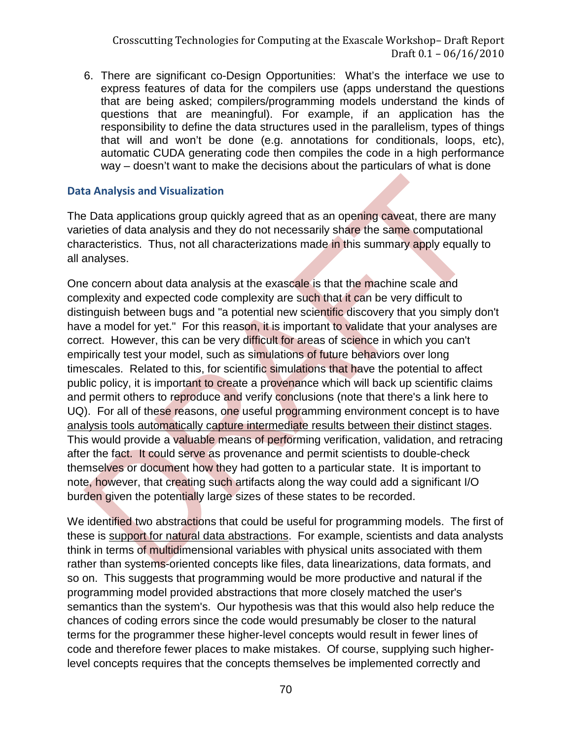6. There are significant co-Design Opportunities: What's the interface we use to express features of data for the compilers use (apps understand the questions that are being asked; compilers/programming models understand the kinds of questions that are meaningful). For example, if an application has the responsibility to define the data structures used in the parallelism, types of things that will and won't be done (e.g. annotations for conditionals, loops, etc), automatic CUDA generating code then compiles the code in a high performance way – doesn't want to make the decisions about the particulars of what is done

#### **Data Analysis and Visualization**

The Data applications group quickly agreed that as an opening caveat, there are many varieties of data analysis and they do not necessarily share the same computational characteristics. Thus, not all characterizations made in this summary apply equally to all analyses.

One concern about data analysis at the exascale is that the machine scale and complexity and expected code complexity are such that it can be very difficult to distinguish between bugs and "a potential new scientific discovery that you simply don't have a model for yet." For this reason, it is important to validate that your analyses are correct. However, this can be very difficult for areas of science in which you can't empirically test your model, such as simulations of future behaviors over long timescales. Related to this, for scientific simulations that have the potential to affect public policy, it is important to create a provenance which will back up scientific claims and permit others to reproduce and verify conclusions (note that there's a link here to UQ). For all of these reasons, one useful programming environment concept is to have analysis tools automatically capture intermediate results between their distinct stages. This would provide a valuable means of performing verification, validation, and retracing after the fact. It could serve as provenance and permit scientists to double-check themselves or document how they had gotten to a particular state. It is important to note, however, that creating such artifacts along the way could add a significant I/O burden given the potentially large sizes of these states to be recorded.

We identified two abstractions that could be useful for programming models. The first of these is support for natural data abstractions. For example, scientists and data analysts think in terms of multidimensional variables with physical units associated with them rather than systems-oriented concepts like files, data linearizations, data formats, and so on. This suggests that programming would be more productive and natural if the programming model provided abstractions that more closely matched the user's semantics than the system's. Our hypothesis was that this would also help reduce the chances of coding errors since the code would presumably be closer to the natural terms for the programmer these higher-level concepts would result in fewer lines of code and therefore fewer places to make mistakes. Of course, supplying such higherlevel concepts requires that the concepts themselves be implemented correctly and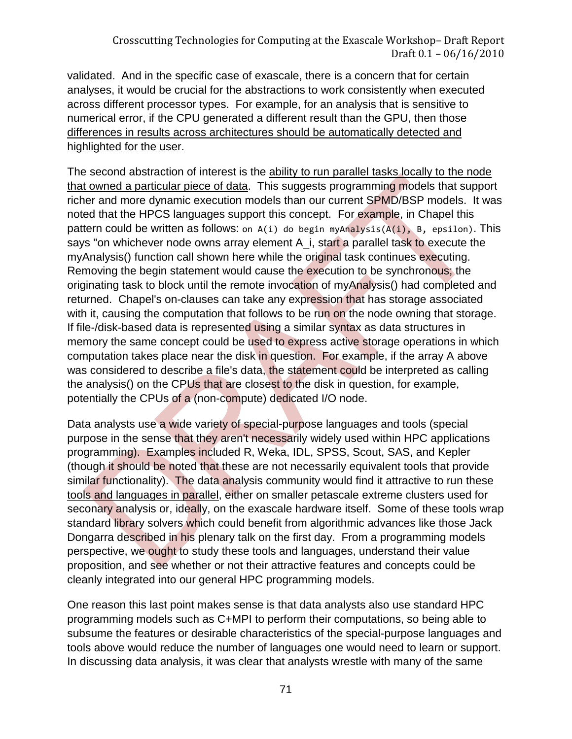validated. And in the specific case of exascale, there is a concern that for certain analyses, it would be crucial for the abstractions to work consistently when executed across different processor types. For example, for an analysis that is sensitive to numerical error, if the CPU generated a different result than the GPU, then those differences in results across architectures should be automatically detected and highlighted for the user.

The second abstraction of interest is the ability to run parallel tasks locally to the node that owned a particular piece of data. This suggests programming models that support richer and more dynamic execution models than our current SPMD/BSP models. It was noted that the HPCS languages support this concept. For example, in Chapel this pattern could be written as follows: on  $A(i)$  do begin myAnalysis( $A(i)$ , B, epsilon). This says "on whichever node owns array element A i, start a parallel task to execute the myAnalysis() function call shown here while the original task continues executing. Removing the begin statement would cause the execution to be synchronous; the originating task to block until the remote invocation of myAnalysis() had completed and returned. Chapel's on-clauses can take any expression that has storage associated with it, causing the computation that follows to be run on the node owning that storage. If file-/disk-based data is represented using a similar syntax as data structures in memory the same concept could be used to express active storage operations in which computation takes place near the disk in question. For example, if the array A above was considered to describe a file's data, the statement could be interpreted as calling the analysis() on the CPUs that are closest to the disk in question, for example, potentially the CPUs of a (non-compute) dedicated I/O node.

Data analysts use a wide variety of special-purpose languages and tools (special purpose in the sense that they aren't necessarily widely used within HPC applications programming). Examples included R, Weka, IDL, SPSS, Scout, SAS, and Kepler (though it should be noted that these are not necessarily equivalent tools that provide similar functionality). The data analysis community would find it attractive to run these tools and languages in parallel, either on smaller petascale extreme clusters used for seconary analysis or, ideally, on the exascale hardware itself. Some of these tools wrap standard library solvers which could benefit from algorithmic advances like those Jack Dongarra described in his plenary talk on the first day. From a programming models perspective, we ought to study these tools and languages, understand their value proposition, and see whether or not their attractive features and concepts could be cleanly integrated into our general HPC programming models.

One reason this last point makes sense is that data analysts also use standard HPC programming models such as C+MPI to perform their computations, so being able to subsume the features or desirable characteristics of the special-purpose languages and tools above would reduce the number of languages one would need to learn or support. In discussing data analysis, it was clear that analysts wrestle with many of the same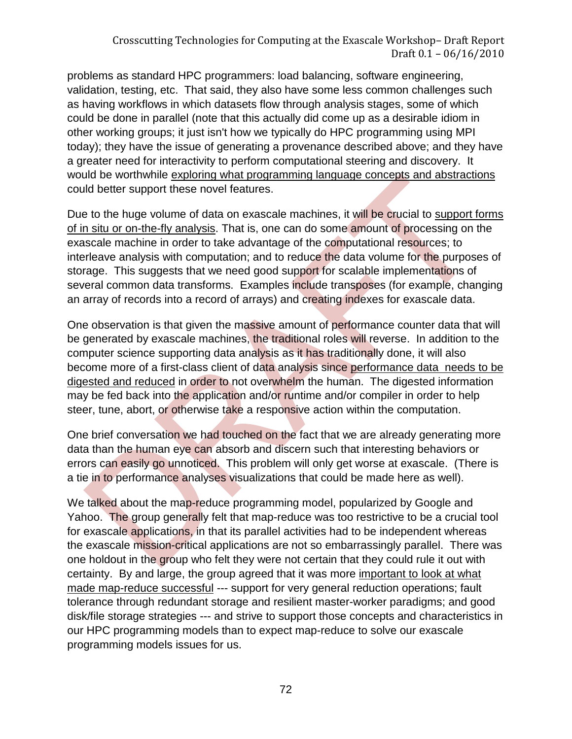problems as standard HPC programmers: load balancing, software engineering, validation, testing, etc. That said, they also have some less common challenges such as having workflows in which datasets flow through analysis stages, some of which could be done in parallel (note that this actually did come up as a desirable idiom in other working groups; it just isn't how we typically do HPC programming using MPI today); they have the issue of generating a provenance described above; and they have a greater need for interactivity to perform computational steering and discovery. It would be worthwhile exploring what programming language concepts and abstractions could better support these novel features.

Due to the huge volume of data on exascale machines, it will be crucial to support forms of in situ or on-the-fly analysis. That is, one can do some amount of processing on the exascale machine in order to take advantage of the computational resources; to interleave analysis with computation; and to reduce the data volume for the purposes of storage. This suggests that we need good support for scalable implementations of several common data transforms. Examples include transposes (for example, changing an array of records into a record of arrays) and creating indexes for exascale data.

One observation is that given the massive amount of performance counter data that will be generated by exascale machines, the traditional roles will reverse. In addition to the computer science supporting data analysis as it has traditionally done, it will also become more of a first-class client of data analysis since performance data needs to be digested and reduced in order to not overwhelm the human. The digested information may be fed back into the application and/or runtime and/or compiler in order to help steer, tune, abort, or otherwise take a responsive action within the computation.

One brief conversation we had touched on the fact that we are already generating more data than the human eye can absorb and discern such that interesting behaviors or errors can easily go unnoticed. This problem will only get worse at exascale. (There is a tie in to performance analyses visualizations that could be made here as well).

We talked about the map-reduce programming model, popularized by Google and Yahoo. The group generally felt that map-reduce was too restrictive to be a crucial tool for exascale applications, in that its parallel activities had to be independent whereas the exascale mission-critical applications are not so embarrassingly parallel. There was one holdout in the group who felt they were not certain that they could rule it out with certainty. By and large, the group agreed that it was more important to look at what made map-reduce successful --- support for very general reduction operations; fault tolerance through redundant storage and resilient master-worker paradigms; and good disk/file storage strategies --- and strive to support those concepts and characteristics in our HPC programming models than to expect map-reduce to solve our exascale programming models issues for us.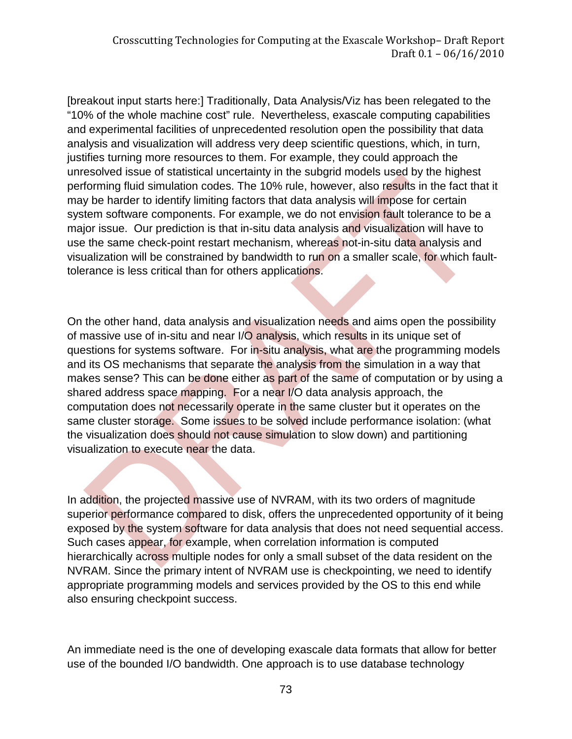[breakout input starts here:] Traditionally, Data Analysis/Viz has been relegated to the "10% of the whole machine cost" rule. Nevertheless, exascale computing capabilities and experimental facilities of unprecedented resolution open the possibility that data analysis and visualization will address very deep scientific questions, which, in turn, justifies turning more resources to them. For example, they could approach the unresolved issue of statistical uncertainty in the subgrid models used by the highest performing fluid simulation codes. The 10% rule, however, also results in the fact that it may be harder to identify limiting factors that data analysis will impose for certain system software components. For example, we do not envision fault tolerance to be a major issue. Our prediction is that in-situ data analysis and visualization will have to use the same check-point restart mechanism, whereas not-in-situ data analysis and visualization will be constrained by bandwidth to run on a smaller scale, for which faulttolerance is less critical than for others applications.

On the other hand, data analysis and visualization needs and aims open the possibility of massive use of in-situ and near I/O analysis, which results in its unique set of questions for systems software. For in-situ analysis, what are the programming models and its OS mechanisms that separate the analysis from the simulation in a way that makes sense? This can be done either as part of the same of computation or by using a shared address space mapping. For a near I/O data analysis approach, the computation does not necessarily operate in the same cluster but it operates on the same cluster storage. Some issues to be solved include performance isolation: (what the visualization does should not cause simulation to slow down) and partitioning visualization to execute near the data.

In addition, the projected massive use of NVRAM, with its two orders of magnitude superior performance compared to disk, offers the unprecedented opportunity of it being exposed by the system software for data analysis that does not need sequential access. Such cases appear, for example, when correlation information is computed hierarchically across multiple nodes for only a small subset of the data resident on the NVRAM. Since the primary intent of NVRAM use is checkpointing, we need to identify appropriate programming models and services provided by the OS to this end while also ensuring checkpoint success.

An immediate need is the one of developing exascale data formats that allow for better use of the bounded I/O bandwidth. One approach is to use database technology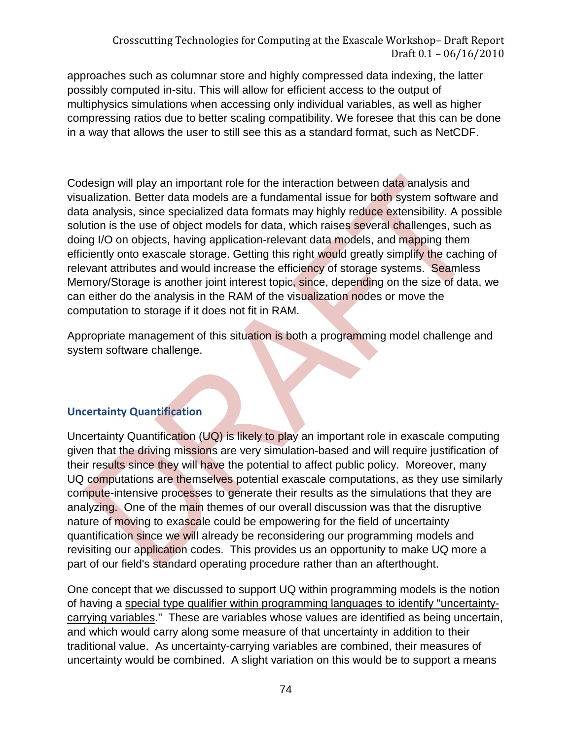approaches such as columnar store and highly compressed data indexing, the latter possibly computed in-situ. This will allow for efficient access to the output of multiphysics simulations when accessing only individual variables, as well as higher compressing ratios due to better scaling compatibility. We foresee that this can be done in a way that allows the user to still see this as a standard format, such as NetCDF.

Codesign will play an important role for the interaction between data analysis and visualization. Better data models are a fundamental issue for both system software and data analysis, since specialized data formats may highly reduce extensibility. A possible solution is the use of object models for data, which raises several challenges, such as doing I/O on objects, having application-relevant data models, and mapping them efficiently onto exascale storage. Getting this right would greatly simplify the caching of relevant attributes and would increase the efficiency of storage systems. Seamless Memory/Storage is another joint interest topic, since, depending on the size of data, we can either do the analysis in the RAM of the visualization nodes or move the computation to storage if it does not fit in RAM.

Appropriate management of this situation is both a programming model challenge and system software challenge.

## **Uncertainty Quantification**

Uncertainty Quantification (UQ) is likely to play an important role in exascale computing given that the driving missions are very simulation-based and will require justification of their results since they will have the potential to affect public policy. Moreover, many UQ computations are themselves potential exascale computations, as they use similarly compute-intensive processes to generate their results as the simulations that they are analyzing. One of the main themes of our overall discussion was that the disruptive nature of moving to exascale could be empowering for the field of uncertainty quantification since we will already be reconsidering our programming models and revisiting our application codes. This provides us an opportunity to make UQ more a part of our field's standard operating procedure rather than an afterthought.

One concept that we discussed to support UQ within programming models is the notion of having a special type qualifier within programming languages to identify "uncertaintycarrying variables." These are variables whose values are identified as being uncertain, and which would carry along some measure of that uncertainty in addition to their traditional value. As uncertainty-carrying variables are combined, their measures of uncertainty would be combined. A slight variation on this would be to support a means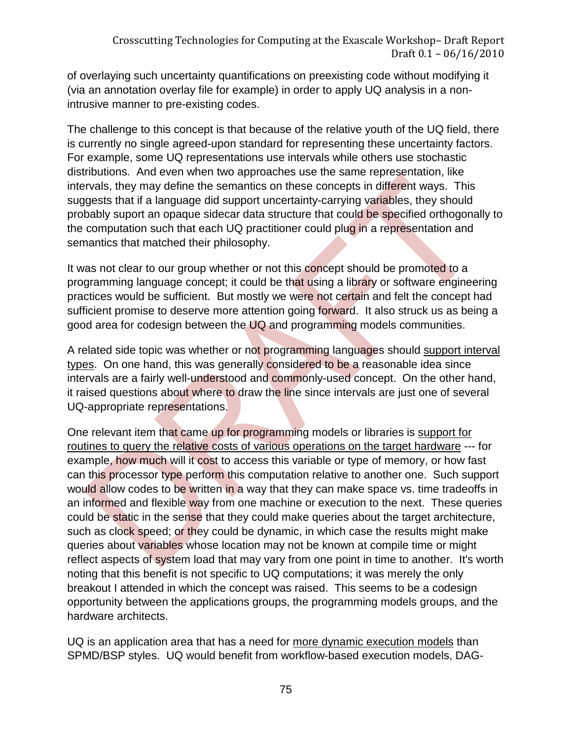of overlaying such uncertainty quantifications on preexisting code without modifying it (via an annotation overlay file for example) in order to apply UQ analysis in a nonintrusive manner to pre-existing codes.

The challenge to this concept is that because of the relative youth of the UQ field, there is currently no single agreed-upon standard for representing these uncertainty factors. For example, some UQ representations use intervals while others use stochastic distributions. And even when two approaches use the same representation, like intervals, they may define the semantics on these concepts in different ways. This suggests that if a language did support uncertainty-carrying variables, they should probably suport an opaque sidecar data structure that could be specified orthogonally to the computation such that each UQ practitioner could plug in a representation and semantics that matched their philosophy.

It was not clear to our group whether or not this concept should be promoted to a programming language concept; it could be that using a library or software engineering practices would be sufficient. But mostly we were not certain and felt the concept had sufficient promise to deserve more attention going forward. It also struck us as being a good area for codesign between the UQ and programming models communities.

A related side topic was whether or not programming languages should support interval types. On one hand, this was generally considered to be a reasonable idea since intervals are a fairly well-understood and commonly-used concept. On the other hand, it raised questions about where to draw the line since intervals are just one of several UQ-appropriate representations.

One relevant item that came up for programming models or libraries is support for routines to query the relative costs of various operations on the target hardware --- for example, how much will it cost to access this variable or type of memory, or how fast can this processor type perform this computation relative to another one. Such support would allow codes to be written in a way that they can make space vs. time tradeoffs in an informed and flexible way from one machine or execution to the next. These queries could be static in the sense that they could make queries about the target architecture, such as clock speed; or they could be dynamic, in which case the results might make queries about variables whose location may not be known at compile time or might reflect aspects of system load that may vary from one point in time to another. It's worth noting that this benefit is not specific to UQ computations; it was merely the only breakout I attended in which the concept was raised. This seems to be a codesign opportunity between the applications groups, the programming models groups, and the hardware architects.

UQ is an application area that has a need for more dynamic execution models than SPMD/BSP styles. UQ would benefit from workflow-based execution models, DAG-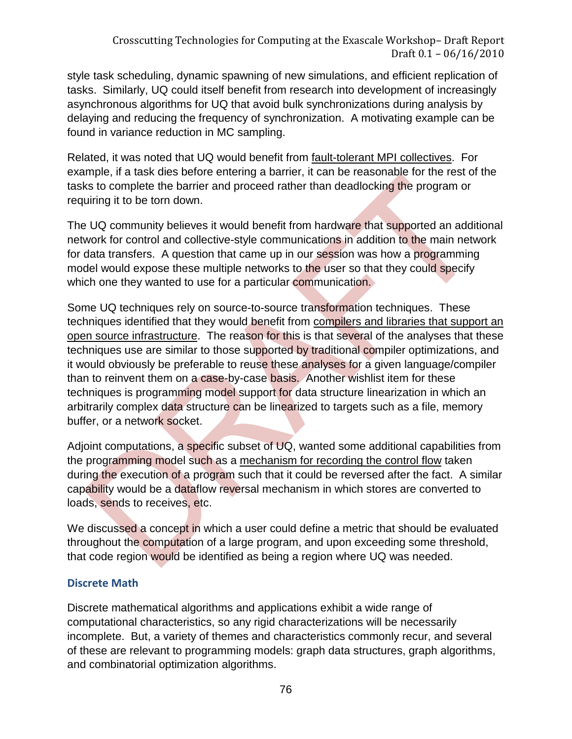style task scheduling, dynamic spawning of new simulations, and efficient replication of tasks. Similarly, UQ could itself benefit from research into development of increasingly asynchronous algorithms for UQ that avoid bulk synchronizations during analysis by delaying and reducing the frequency of synchronization. A motivating example can be found in variance reduction in MC sampling.

Related, it was noted that UQ would benefit from fault-tolerant MPI collectives. For example, if a task dies before entering a barrier, it can be reasonable for the rest of the tasks to complete the barrier and proceed rather than deadlocking the program or requiring it to be torn down.

The UQ community believes it would benefit from hardware that supported an additional network for control and collective-style communications in addition to the main network for data transfers. A question that came up in our session was how a programming model would expose these multiple networks to the user so that they could specify which one they wanted to use for a particular communication.

Some UQ techniques rely on source-to-source transformation techniques. These techniques identified that they would benefit from compilers and libraries that support an open source infrastructure. The reason for this is that several of the analyses that these techniques use are similar to those supported by traditional compiler optimizations, and it would obviously be preferable to reuse these analyses for a given language/compiler than to reinvent them on a case-by-case basis. Another wishlist item for these techniques is programming model support for data structure linearization in which an arbitrarily complex data structure can be linearized to targets such as a file, memory buffer, or a network socket.

Adjoint computations, a specific subset of UQ, wanted some additional capabilities from the programming model such as a mechanism for recording the control flow taken during the execution of a program such that it could be reversed after the fact. A similar capability would be a dataflow reversal mechanism in which stores are converted to loads, sends to receives, etc.

We discussed a concept in which a user could define a metric that should be evaluated throughout the computation of a large program, and upon exceeding some threshold, that code region would be identified as being a region where UQ was needed.

## **Discrete Math**

Discrete mathematical algorithms and applications exhibit a wide range of computational characteristics, so any rigid characterizations will be necessarily incomplete. But, a variety of themes and characteristics commonly recur, and several of these are relevant to programming models: graph data structures, graph algorithms, and combinatorial optimization algorithms.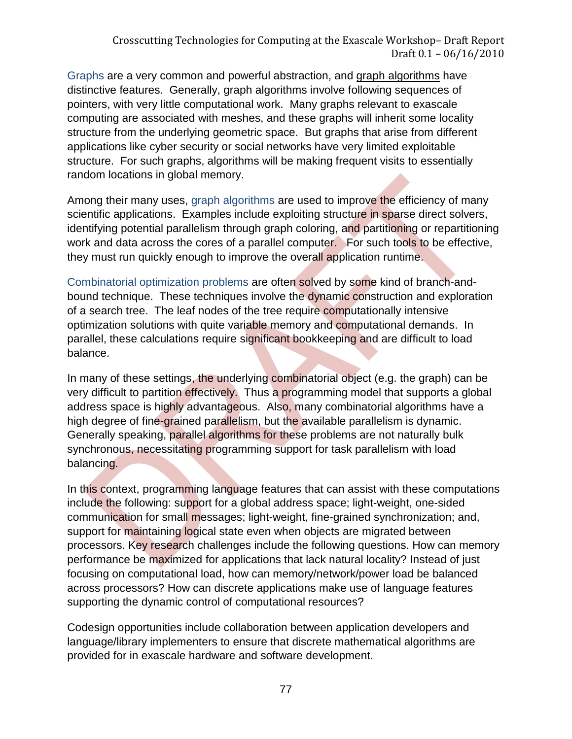Graphs are a very common and powerful abstraction, and graph algorithms have distinctive features. Generally, graph algorithms involve following sequences of pointers, with very little computational work. Many graphs relevant to exascale computing are associated with meshes, and these graphs will inherit some locality structure from the underlying geometric space. But graphs that arise from different applications like cyber security or social networks have very limited exploitable structure. For such graphs, algorithms will be making frequent visits to essentially random locations in global memory.

Among their many uses, graph algorithms are used to improve the efficiency of many scientific applications. Examples include exploiting structure in sparse direct solvers, identifying potential parallelism through graph coloring, and partitioning or repartitioning work and data across the cores of a parallel computer. For such tools to be effective, they must run quickly enough to improve the overall application runtime.

Combinatorial optimization problems are often solved by some kind of branch-andbound technique. These techniques involve the dynamic construction and exploration of a search tree. The leaf nodes of the tree require computationally intensive optimization solutions with quite variable memory and computational demands. In parallel, these calculations require significant bookkeeping and are difficult to load balance.

In many of these settings, the underlying combinatorial object (e.g. the graph) can be very difficult to partition effectively. Thus a programming model that supports a global address space is highly advantageous. Also, many combinatorial algorithms have a high degree of fine-grained parallelism, but the available parallelism is dynamic. Generally speaking, parallel algorithms for these problems are not naturally bulk synchronous, necessitating programming support for task parallelism with load balancing.

In this context, programming language features that can assist with these computations include the following: support for a global address space; light-weight, one-sided communication for small messages; light-weight, fine-grained synchronization; and, support for maintaining logical state even when objects are migrated between processors. Key research challenges include the following questions. How can memory performance be maximized for applications that lack natural locality? Instead of just focusing on computational load, how can memory/network/power load be balanced across processors? How can discrete applications make use of language features supporting the dynamic control of computational resources?

Codesign opportunities include collaboration between application developers and language/library implementers to ensure that discrete mathematical algorithms are provided for in exascale hardware and software development.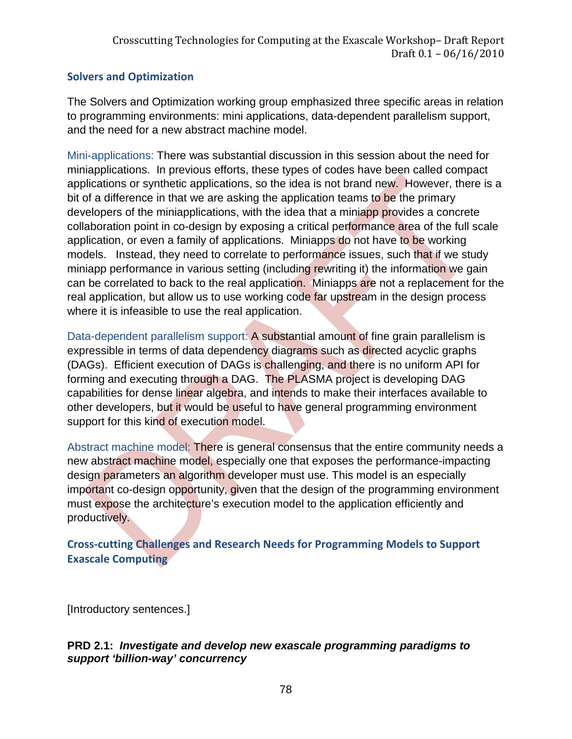## **Solvers and Optimization**

The Solvers and Optimization working group emphasized three specific areas in relation to programming environments: mini applications, data-dependent parallelism support, and the need for a new abstract machine model.

Mini-applications: There was substantial discussion in this session about the need for miniapplications. In previous efforts, these types of codes have been called compact applications or synthetic applications, so the idea is not brand new. However, there is a bit of a difference in that we are asking the application teams to be the primary developers of the miniapplications, with the idea that a miniapp provides a concrete collaboration point in co-design by exposing a critical performance area of the full scale application, or even a family of applications. Miniapps do not have to be working models. Instead, they need to correlate to performance issues, such that if we study miniapp performance in various setting (including rewriting it) the information we gain can be correlated to back to the real application. Miniapps are not a replacement for the real application, but allow us to use working code far upstream in the design process where it is infeasible to use the real application.

Data-dependent parallelism support: A substantial amount of fine grain parallelism is expressible in terms of data dependency diagrams such as directed acyclic graphs (DAGs). Efficient execution of DAGs is challenging, and there is no uniform API for forming and executing through a DAG. The PLASMA project is developing DAG capabilities for dense linear algebra, and intends to make their interfaces available to other developers, but it would be useful to have general programming environment support for this kind of execution model.

Abstract machine model: There is general consensus that the entire community needs a new abstract machine model, especially one that exposes the performance-impacting design parameters an algorithm developer must use. This model is an especially important co-design opportunity, given that the design of the programming environment must expose the architecture's execution model to the application efficiently and productively.

## **Cross-cutting Challenges and Research Needs for Programming Models to Support Exascale Computing**

[Introductory sentences.]

## **PRD 2.1:** *Investigate and develop new exascale programming paradigms to support 'billion-way' concurrency*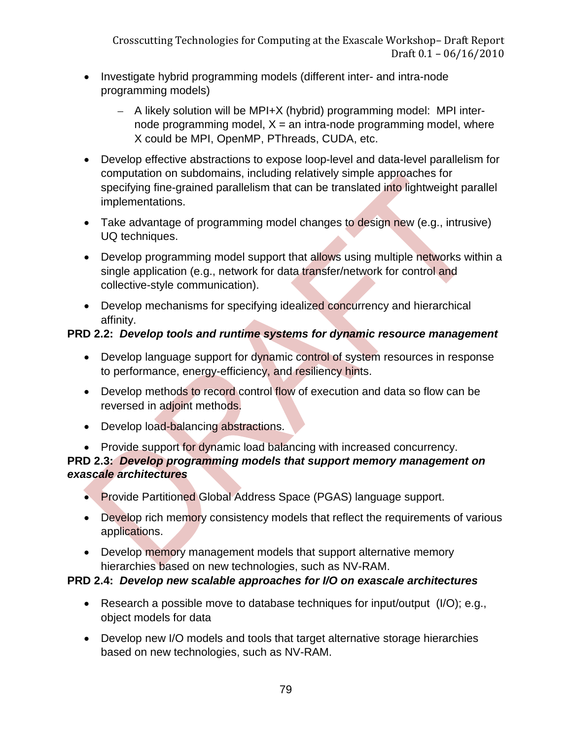- Investigate hybrid programming models (different inter- and intra-node programming models)
	- A likely solution will be MPI+X (hybrid) programming model: MPI internode programming model,  $X = an$  intra-node programming model, where X could be MPI, OpenMP, PThreads, CUDA, etc.
- Develop effective abstractions to expose loop-level and data-level parallelism for computation on subdomains, including relatively simple approaches for specifying fine-grained parallelism that can be translated into lightweight parallel implementations.
- Take advantage of programming model changes to design new (e.g., intrusive) UQ techniques.
- Develop programming model support that allows using multiple networks within a single application (e.g., network for data transfer/network for control and collective-style communication).
- Develop mechanisms for specifying idealized concurrency and hierarchical affinity.

## **PRD 2.2:** *Develop tools and runtime systems for dynamic resource management*

- Develop language support for dynamic control of system resources in response to performance, energy-efficiency, and resiliency hints.
- Develop methods to record control flow of execution and data so flow can be reversed in adjoint methods.
- Develop load-balancing abstractions.
- Provide support for dynamic load balancing with increased concurrency.

## **PRD 2.3:** *Develop programming models that support memory management on exascale architectures*

- Provide Partitioned Global Address Space (PGAS) language support.
- Develop rich memory consistency models that reflect the requirements of various applications.
- Develop memory management models that support alternative memory hierarchies based on new technologies, such as NV-RAM.

## **PRD 2.4:** *Develop new scalable approaches for I/O on exascale architectures*

- Research a possible move to database techniques for input/output (I/O); e.g., object models for data
- Develop new I/O models and tools that target alternative storage hierarchies based on new technologies, such as NV-RAM.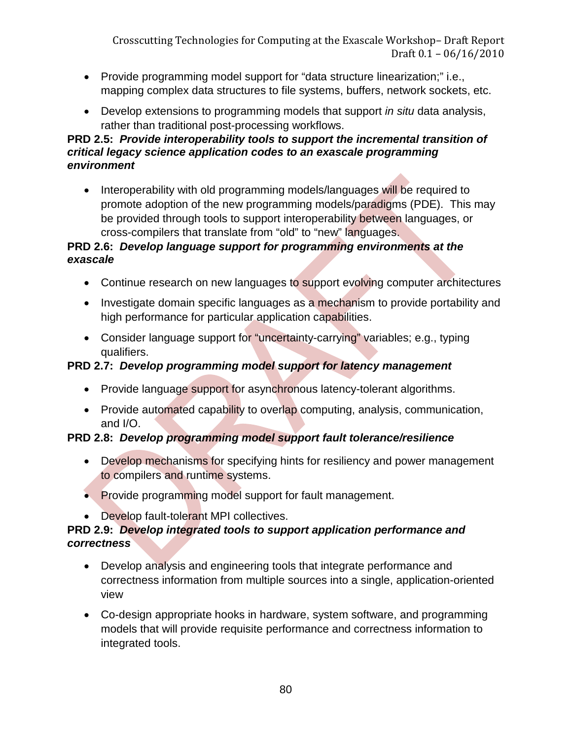- Provide programming model support for "data structure linearization;" i.e., mapping complex data structures to file systems, buffers, network sockets, etc.
- Develop extensions to programming models that support *in situ* data analysis, rather than traditional post-processing workflows.

## **PRD 2.5:** *Provide interoperability tools to support the incremental transition of critical legacy science application codes to an exascale programming environment*

• Interoperability with old programming models/languages will be required to promote adoption of the new programming models/paradigms (PDE). This may be provided through tools to support interoperability between languages, or cross-compilers that translate from "old" to "new" languages.

## **PRD 2.6:** *Develop language support for programming environments at the exascale*

- Continue research on new languages to support evolving computer architectures
- Investigate domain specific languages as a mechanism to provide portability and high performance for particular application capabilities.
- Consider language support for "uncertainty-carrying" variables; e.g., typing qualifiers.

## **PRD 2.7:** *Develop programming model support for latency management*

- Provide language support for asynchronous latency-tolerant algorithms.
- Provide automated capability to overlap computing, analysis, communication, and I/O.

## **PRD 2.8:** *Develop programming model support fault tolerance/resilience*

- Develop mechanisms for specifying hints for resiliency and power management to compilers and runtime systems.
- Provide programming model support for fault management.
- Develop fault-tolerant MPI collectives.

## **PRD 2.9:** *Develop integrated tools to support application performance and correctness*

- Develop analysis and engineering tools that integrate performance and correctness information from multiple sources into a single, application-oriented view
- Co-design appropriate hooks in hardware, system software, and programming models that will provide requisite performance and correctness information to integrated tools.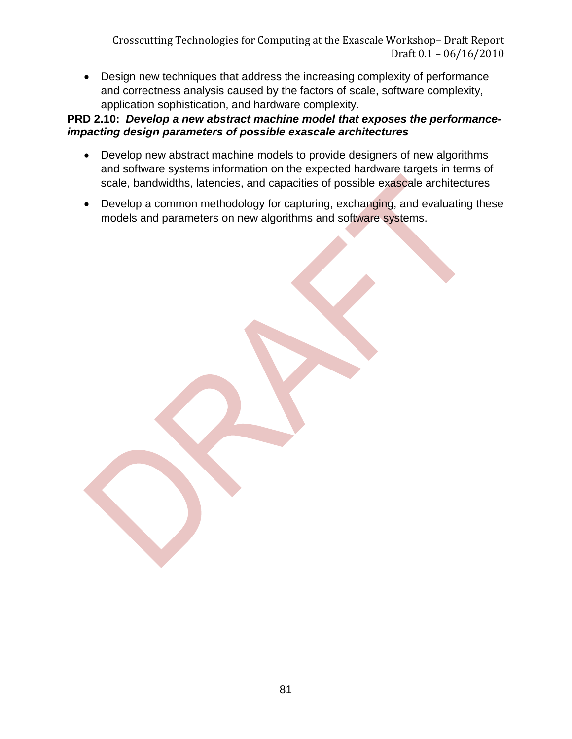• Design new techniques that address the increasing complexity of performance and correctness analysis caused by the factors of scale, software complexity, application sophistication, and hardware complexity.

## **PRD 2.10:** *Develop a new abstract machine model that exposes the performanceimpacting design parameters of possible exascale architectures*

- Develop new abstract machine models to provide designers of new algorithms and software systems information on the expected hardware targets in terms of scale, bandwidths, latencies, and capacities of possible exascale architectures
- Develop a common methodology for capturing, exchanging, and evaluating these models and parameters on new algorithms and software systems.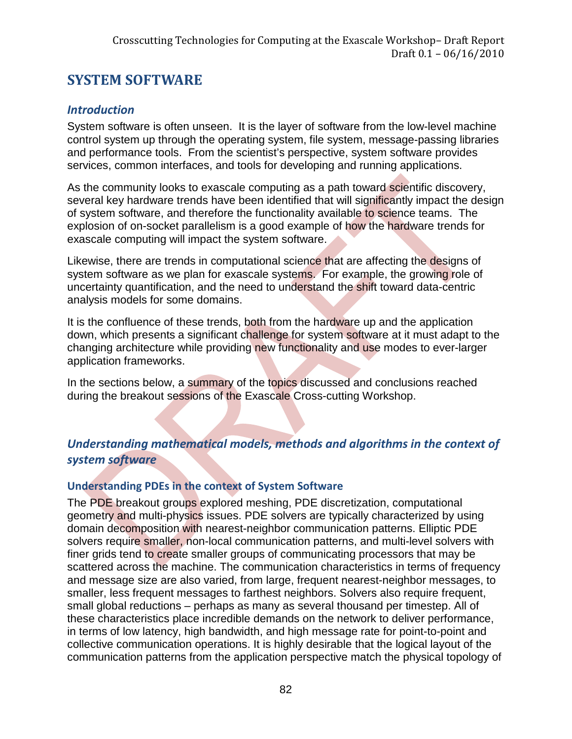## **SYSTEM SOFTWARE**

## *Introduction*

System software is often unseen. It is the layer of software from the low-level machine control system up through the operating system, file system, message-passing libraries and performance tools. From the scientist's perspective, system software provides services, common interfaces, and tools for developing and running applications.

As the community looks to exascale computing as a path toward scientific discovery, several key hardware trends have been identified that will significantly impact the design of system software, and therefore the functionality available to science teams. The explosion of on-socket parallelism is a good example of how the hardware trends for exascale computing will impact the system software.

Likewise, there are trends in computational science that are affecting the designs of system software as we plan for exascale systems. For example, the growing role of uncertainty quantification, and the need to understand the shift toward data-centric analysis models for some domains.

It is the confluence of these trends, both from the hardware up and the application down, which presents a significant challenge for system software at it must adapt to the changing architecture while providing new functionality and use modes to ever-larger application frameworks.

In the sections below, a summary of the topics discussed and conclusions reached during the breakout sessions of the Exascale Cross-cutting Workshop.

## *Understanding mathematical models, methods and algorithms in the context of system software*

## **Understanding PDEs in the context of System Software**

The PDE breakout groups explored meshing, PDE discretization, computational geometry and multi-physics issues. PDE solvers are typically characterized by using domain decomposition with nearest-neighbor communication patterns. Elliptic PDE solvers require smaller, non-local communication patterns, and multi-level solvers with finer grids tend to create smaller groups of communicating processors that may be scattered across the machine. The communication characteristics in terms of frequency and message size are also varied, from large, frequent nearest-neighbor messages, to smaller, less frequent messages to farthest neighbors. Solvers also require frequent, small global reductions – perhaps as many as several thousand per timestep. All of these characteristics place incredible demands on the network to deliver performance, in terms of low latency, high bandwidth, and high message rate for point-to-point and collective communication operations. It is highly desirable that the logical layout of the communication patterns from the application perspective match the physical topology of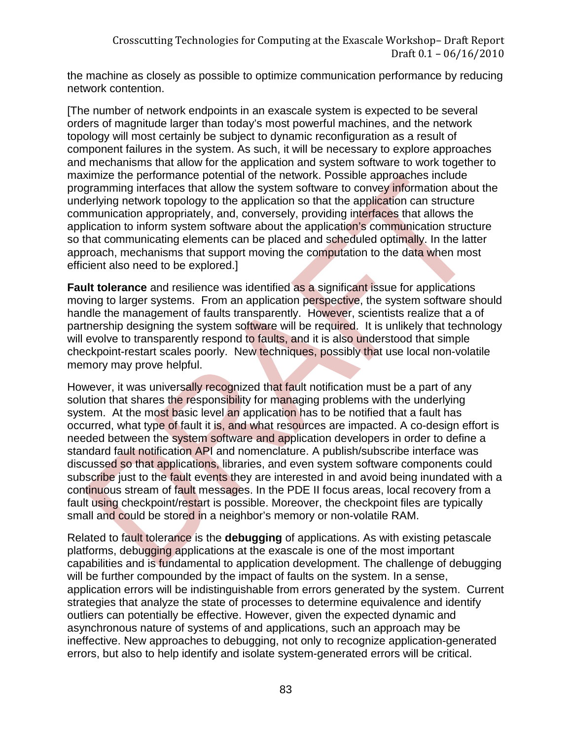the machine as closely as possible to optimize communication performance by reducing network contention.

[The number of network endpoints in an exascale system is expected to be several orders of magnitude larger than today's most powerful machines, and the network topology will most certainly be subject to dynamic reconfiguration as a result of component failures in the system. As such, it will be necessary to explore approaches and mechanisms that allow for the application and system software to work together to maximize the performance potential of the network. Possible approaches include programming interfaces that allow the system software to convey information about the underlying network topology to the application so that the application can structure communication appropriately, and, conversely, providing interfaces that allows the application to inform system software about the application's communication structure so that communicating elements can be placed and scheduled optimally. In the latter approach, mechanisms that support moving the computation to the data when most efficient also need to be explored.]

**Fault tolerance** and resilience was identified as a significant issue for applications moving to larger systems. From an application perspective, the system software should handle the management of faults transparently. However, scientists realize that a of partnership designing the system software will be required. It is unlikely that technology will evolve to transparently respond to faults, and it is also understood that simple checkpoint-restart scales poorly. New techniques, possibly that use local non-volatile memory may prove helpful.

However, it was universally recognized that fault notification must be a part of any solution that shares the responsibility for managing problems with the underlying system. At the most basic level an application has to be notified that a fault has occurred, what type of fault it is, and what resources are impacted. A co-design effort is needed between the system software and application developers in order to define a standard fault notification API and nomenclature. A publish/subscribe interface was discussed so that applications, libraries, and even system software components could subscribe just to the fault events they are interested in and avoid being inundated with a continuous stream of fault messages. In the PDE II focus areas, local recovery from a fault using checkpoint/restart is possible. Moreover, the checkpoint files are typically small and could be stored in a neighbor's memory or non-volatile RAM.

Related to fault tolerance is the **debugging** of applications. As with existing petascale platforms, debugging applications at the exascale is one of the most important capabilities and is fundamental to application development. The challenge of debugging will be further compounded by the impact of faults on the system. In a sense, application errors will be indistinguishable from errors generated by the system. Current strategies that analyze the state of processes to determine equivalence and identify outliers can potentially be effective. However, given the expected dynamic and asynchronous nature of systems of and applications, such an approach may be ineffective. New approaches to debugging, not only to recognize application-generated errors, but also to help identify and isolate system-generated errors will be critical.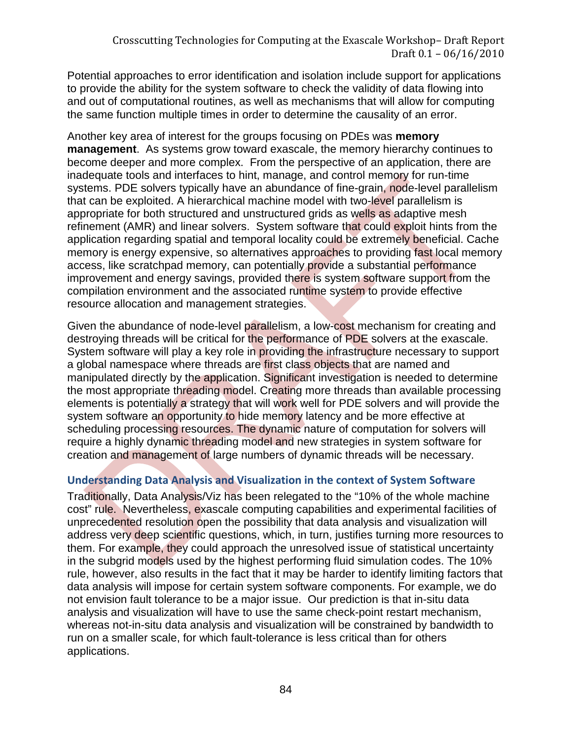Potential approaches to error identification and isolation include support for applications to provide the ability for the system software to check the validity of data flowing into and out of computational routines, as well as mechanisms that will allow for computing the same function multiple times in order to determine the causality of an error.

Another key area of interest for the groups focusing on PDEs was **memory management**. As systems grow toward exascale, the memory hierarchy continues to become deeper and more complex. From the perspective of an application, there are inadequate tools and interfaces to hint, manage, and control memory for run-time systems. PDE solvers typically have an abundance of fine-grain, node-level parallelism that can be exploited. A hierarchical machine model with two-level parallelism is appropriate for both structured and unstructured grids as wells as adaptive mesh refinement (AMR) and linear solvers. System software that could exploit hints from the application regarding spatial and temporal locality could be extremely beneficial. Cache memory is energy expensive, so alternatives approaches to providing fast local memory access, like scratchpad memory, can potentially provide a substantial performance improvement and energy savings, provided there is system software support from the compilation environment and the associated runtime system to provide effective resource allocation and management strategies.

Given the abundance of node-level parallelism, a low-cost mechanism for creating and destroying threads will be critical for the performance of PDE solvers at the exascale. System software will play a key role in providing the infrastructure necessary to support a global namespace where threads are first class objects that are named and manipulated directly by the application. Significant investigation is needed to determine the most appropriate threading model. Creating more threads than available processing elements is potentially a strategy that will work well for PDE solvers and will provide the system software an opportunity to hide memory latency and be more effective at scheduling processing resources. The dynamic nature of computation for solvers will require a highly dynamic threading model and new strategies in system software for creation and management of large numbers of dynamic threads will be necessary.

## **Understanding Data Analysis and Visualization in the context of System Software**

Traditionally, Data Analysis/Viz has been relegated to the "10% of the whole machine cost" rule. Nevertheless, exascale computing capabilities and experimental facilities of unprecedented resolution open the possibility that data analysis and visualization will address very deep scientific questions, which, in turn, justifies turning more resources to them. For example, they could approach the unresolved issue of statistical uncertainty in the subgrid models used by the highest performing fluid simulation codes. The 10% rule, however, also results in the fact that it may be harder to identify limiting factors that data analysis will impose for certain system software components. For example, we do not envision fault tolerance to be a major issue. Our prediction is that in-situ data analysis and visualization will have to use the same check-point restart mechanism, whereas not-in-situ data analysis and visualization will be constrained by bandwidth to run on a smaller scale, for which fault-tolerance is less critical than for others applications.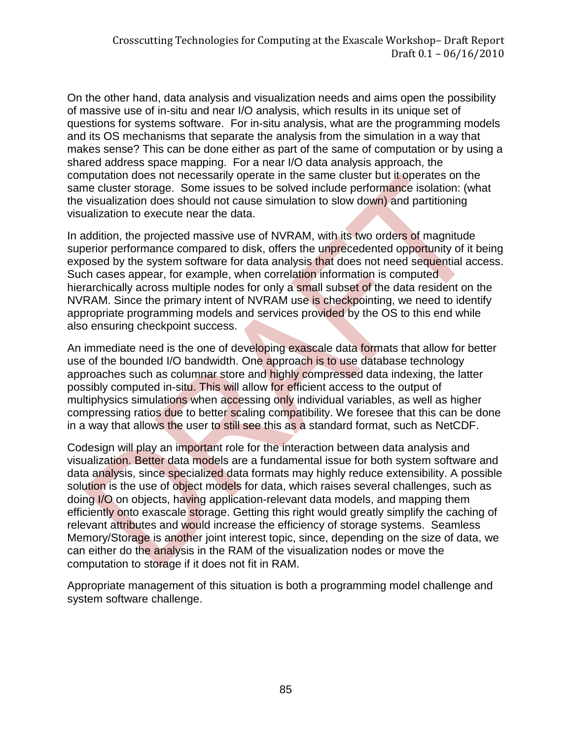On the other hand, data analysis and visualization needs and aims open the possibility of massive use of in-situ and near I/O analysis, which results in its unique set of questions for systems software. For in-situ analysis, what are the programming models and its OS mechanisms that separate the analysis from the simulation in a way that makes sense? This can be done either as part of the same of computation or by using a shared address space mapping. For a near I/O data analysis approach, the computation does not necessarily operate in the same cluster but it operates on the same cluster storage. Some issues to be solved include performance isolation: (what the visualization does should not cause simulation to slow down) and partitioning visualization to execute near the data.

In addition, the projected massive use of NVRAM, with its two orders of magnitude superior performance compared to disk, offers the unprecedented opportunity of it being exposed by the system software for data analysis that does not need sequential access. Such cases appear, for example, when correlation information is computed hierarchically across multiple nodes for only a small subset of the data resident on the NVRAM. Since the primary intent of NVRAM use is checkpointing, we need to identify appropriate programming models and services provided by the OS to this end while also ensuring checkpoint success.

An immediate need is the one of developing exascale data formats that allow for better use of the bounded I/O bandwidth. One approach is to use database technology approaches such as columnar store and highly compressed data indexing, the latter possibly computed in-situ. This will allow for efficient access to the output of multiphysics simulations when accessing only individual variables, as well as higher compressing ratios due to better scaling compatibility. We foresee that this can be done in a way that allows the user to still see this as a standard format, such as NetCDF.

Codesign will play an important role for the interaction between data analysis and visualization. Better data models are a fundamental issue for both system software and data analysis, since specialized data formats may highly reduce extensibility. A possible solution is the use of object models for data, which raises several challenges, such as doing I/O on objects, having application-relevant data models, and mapping them efficiently onto exascale storage. Getting this right would greatly simplify the caching of relevant attributes and would increase the efficiency of storage systems. Seamless Memory/Storage is another joint interest topic, since, depending on the size of data, we can either do the analysis in the RAM of the visualization nodes or move the computation to storage if it does not fit in RAM.

Appropriate management of this situation is both a programming model challenge and system software challenge.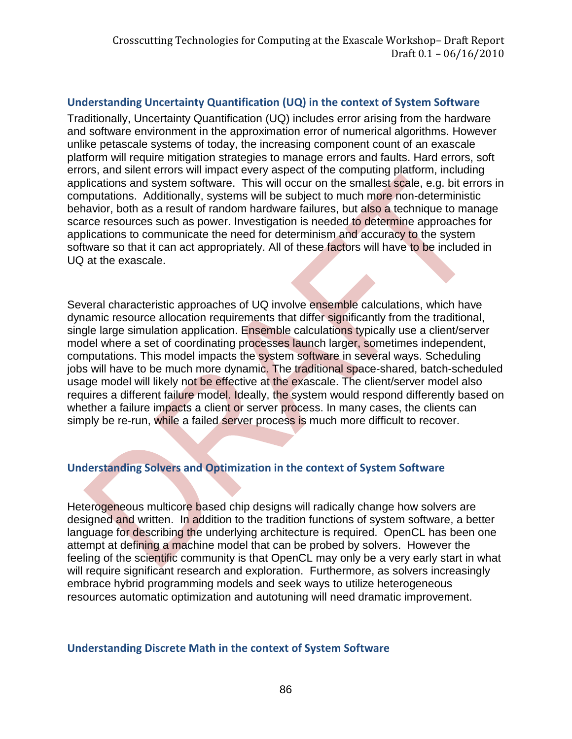## **Understanding Uncertainty Quantification (UQ) in the context of System Software**

Traditionally, Uncertainty Quantification (UQ) includes error arising from the hardware and software environment in the approximation error of numerical algorithms. However unlike petascale systems of today, the increasing component count of an exascale platform will require mitigation strategies to manage errors and faults. Hard errors, soft errors, and silent errors will impact every aspect of the computing platform, including applications and system software. This will occur on the smallest scale, e.g. bit errors in computations. Additionally, systems will be subject to much more non-deterministic behavior, both as a result of random hardware failures, but also a technique to manage scarce resources such as power. Investigation is needed to determine approaches for applications to communicate the need for determinism and accuracy to the system software so that it can act appropriately. All of these factors will have to be included in UQ at the exascale.

Several characteristic approaches of UQ involve ensemble calculations, which have dynamic resource allocation requirements that differ significantly from the traditional. single large simulation application. Ensemble calculations typically use a client/server model where a set of coordinating processes launch larger, sometimes independent, computations. This model impacts the system software in several ways. Scheduling jobs will have to be much more dynamic. The traditional space-shared, batch-scheduled usage model will likely not be effective at the exascale. The client/server model also requires a different failure model. Ideally, the system would respond differently based on whether a failure impacts a client or server process. In many cases, the clients can simply be re-run, while a failed server process is much more difficult to recover.

## **Understanding Solvers and Optimization in the context of System Software**

Heterogeneous multicore based chip designs will radically change how solvers are designed and written. In addition to the tradition functions of system software, a better language for describing the underlying architecture is required. OpenCL has been one attempt at defining a machine model that can be probed by solvers. However the feeling of the scientific community is that OpenCL may only be a very early start in what will require significant research and exploration. Furthermore, as solvers increasingly embrace hybrid programming models and seek ways to utilize heterogeneous resources automatic optimization and autotuning will need dramatic improvement.

#### **Understanding Discrete Math in the context of System Software**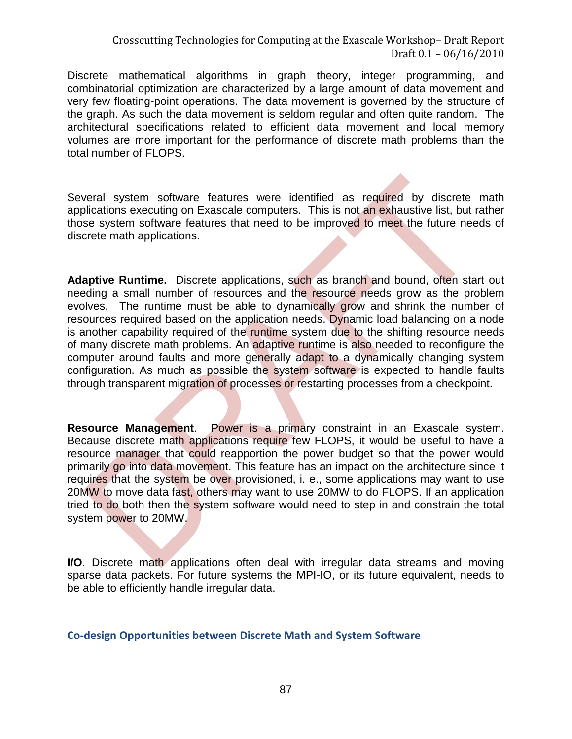Discrete mathematical algorithms in graph theory, integer programming, and combinatorial optimization are characterized by a large amount of data movement and very few floating-point operations. The data movement is governed by the structure of the graph. As such the data movement is seldom regular and often quite random. The architectural specifications related to efficient data movement and local memory volumes are more important for the performance of discrete math problems than the total number of FLOPS.

Several system software features were identified as required by discrete math applications executing on Exascale computers. This is not an exhaustive list, but rather those system software features that need to be improved to meet the future needs of discrete math applications.

**Adaptive Runtime.** Discrete applications, such as branch and bound, often start out needing a small number of resources and the resource needs grow as the problem evolves. The runtime must be able to dynamically grow and shrink the number of resources required based on the application needs. Dynamic load balancing on a node is another capability required of the runtime system due to the shifting resource needs of many discrete math problems. An adaptive runtime is also needed to reconfigure the computer around faults and more generally adapt to a dynamically changing system configuration. As much as possible the system software is expected to handle faults through transparent migration of processes or restarting processes from a checkpoint.

**Resource Management**. Power is a primary constraint in an Exascale system. Because discrete math applications require few FLOPS, it would be useful to have a resource manager that could reapportion the power budget so that the power would primarily go into data movement. This feature has an impact on the architecture since it requires that the system be over provisioned, i. e., some applications may want to use 20MW to move data fast, others may want to use 20MW to do FLOPS. If an application tried to do both then the system software would need to step in and constrain the total system power to 20MW.

**I/O**. Discrete math applications often deal with irregular data streams and moving sparse data packets. For future systems the MPI-IO, or its future equivalent, needs to be able to efficiently handle irregular data.

#### **Co-design Opportunities between Discrete Math and System Software**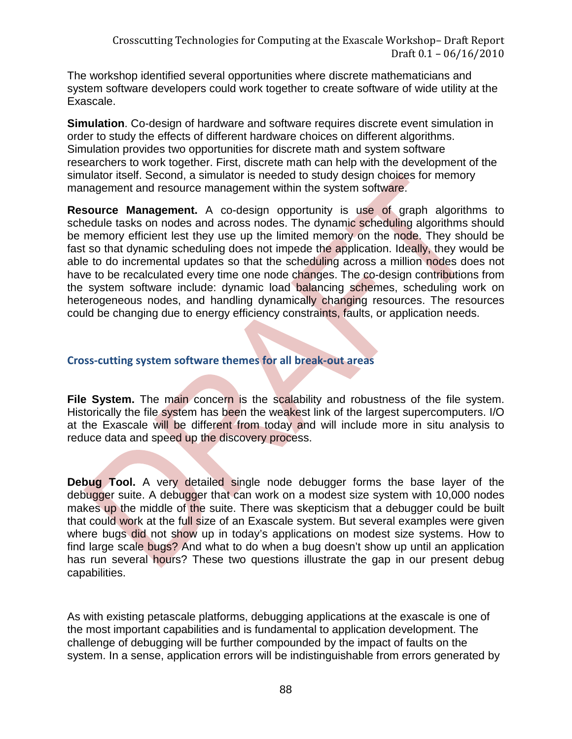The workshop identified several opportunities where discrete mathematicians and system software developers could work together to create software of wide utility at the Exascale.

**Simulation**. Co-design of hardware and software requires discrete event simulation in order to study the effects of different hardware choices on different algorithms. Simulation provides two opportunities for discrete math and system software researchers to work together. First, discrete math can help with the development of the simulator itself. Second, a simulator is needed to study design choices for memory management and resource management within the system software.

**Resource Management.** A co-design opportunity is use of graph algorithms to schedule tasks on nodes and across nodes. The dynamic scheduling algorithms should be memory efficient lest they use up the limited memory on the node. They should be fast so that dynamic scheduling does not impede the application. Ideally, they would be able to do incremental updates so that the scheduling across a million nodes does not have to be recalculated every time one node changes. The co-design contributions from the system software include: dynamic load balancing schemes, scheduling work on heterogeneous nodes, and handling dynamically changing resources. The resources could be changing due to energy efficiency constraints, faults, or application needs.

#### **Cross-cutting system software themes for all break-out areas**

File System. The main concern is the scalability and robustness of the file system. Historically the file system has been the weakest link of the largest supercomputers. I/O at the Exascale will be different from today and will include more in situ analysis to reduce data and speed up the discovery process.

**Debug Tool.** A very detailed single node debugger forms the base layer of the debugger suite. A debugger that can work on a modest size system with 10,000 nodes makes up the middle of the suite. There was skepticism that a debugger could be built that could work at the full size of an Exascale system. But several examples were given where bugs did not show up in today's applications on modest size systems. How to find large scale bugs? And what to do when a bug doesn't show up until an application has run several hours? These two questions illustrate the gap in our present debug capabilities.

As with existing petascale platforms, debugging applications at the exascale is one of the most important capabilities and is fundamental to application development. The challenge of debugging will be further compounded by the impact of faults on the system. In a sense, application errors will be indistinguishable from errors generated by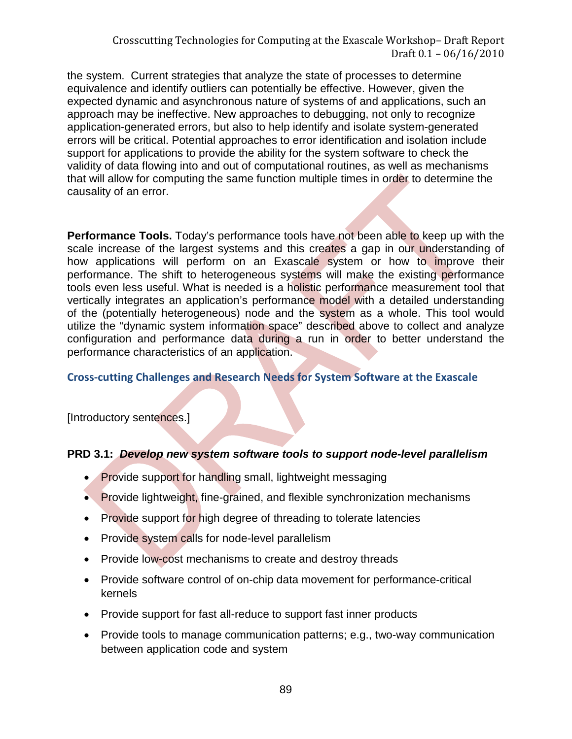the system. Current strategies that analyze the state of processes to determine equivalence and identify outliers can potentially be effective. However, given the expected dynamic and asynchronous nature of systems of and applications, such an approach may be ineffective. New approaches to debugging, not only to recognize application-generated errors, but also to help identify and isolate system-generated errors will be critical. Potential approaches to error identification and isolation include support for applications to provide the ability for the system software to check the validity of data flowing into and out of computational routines, as well as mechanisms that will allow for computing the same function multiple times in order to determine the causality of an error.

**Performance Tools.** Today's performance tools have not been able to keep up with the scale increase of the largest systems and this creates a gap in our understanding of how applications will perform on an Exascale system or how to improve their performance. The shift to heterogeneous systems will make the existing performance tools even less useful. What is needed is a holistic performance measurement tool that vertically integrates an application's performance model with a detailed understanding of the (potentially heterogeneous) node and the system as a whole. This tool would utilize the "dynamic system information space" described above to collect and analyze configuration and performance data during a run in order to better understand the performance characteristics of an application.

#### **Cross-cutting Challenges and Research Needs for System Software at the Exascale**

[Introductory sentences.]

#### **PRD 3.1:** *Develop new system software tools to support node-level parallelism*

- Provide support for handling small, lightweight messaging
- Provide lightweight, fine-grained, and flexible synchronization mechanisms
- Provide support for high degree of threading to tolerate latencies
- Provide system calls for node-level parallelism
- Provide low-cost mechanisms to create and destroy threads
- Provide software control of on-chip data movement for performance-critical kernels
- Provide support for fast all-reduce to support fast inner products
- Provide tools to manage communication patterns; e.g., two-way communication between application code and system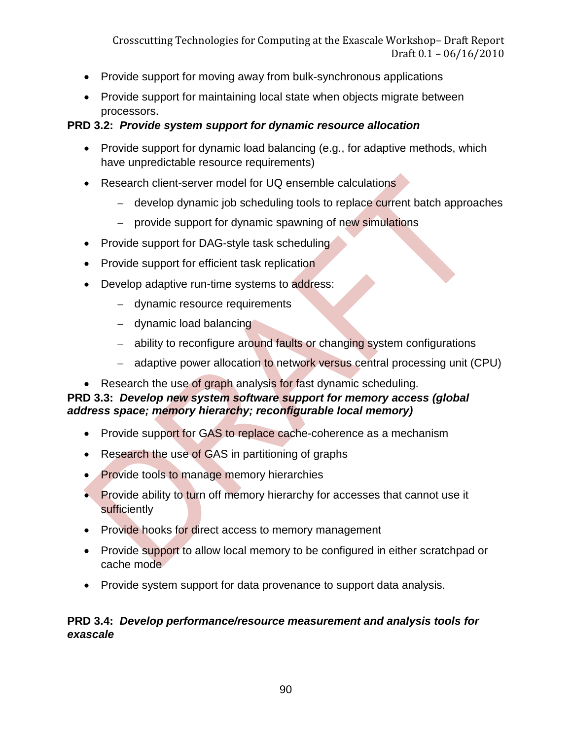- Provide support for moving away from bulk-synchronous applications
- Provide support for maintaining local state when objects migrate between processors.

## **PRD 3.2:** *Provide system support for dynamic resource allocation*

- Provide support for dynamic load balancing (e.g., for adaptive methods, which have unpredictable resource requirements)
- Research client-server model for UQ ensemble calculations
	- develop dynamic job scheduling tools to replace current batch approaches
	- provide support for dynamic spawning of new simulations
- Provide support for DAG-style task scheduling
- Provide support for efficient task replication
- Develop adaptive run-time systems to address:
	- dynamic resource requirements
	- dynamic load balancing
	- ability to reconfigure around faults or changing system configurations
	- adaptive power allocation to network versus central processing unit (CPU)
- Research the use of graph analysis for fast dynamic scheduling.

## **PRD 3.3:** *Develop new system software support for memory access (global address space; memory hierarchy; reconfigurable local memory)*

- Provide support for GAS to replace cache-coherence as a mechanism
- Research the use of GAS in partitioning of graphs
- Provide tools to manage memory hierarchies
- Provide ability to turn off memory hierarchy for accesses that cannot use it sufficiently
- Provide hooks for direct access to memory management
- Provide support to allow local memory to be configured in either scratchpad or cache mode
- Provide system support for data provenance to support data analysis.

## **PRD 3.4:** *Develop performance/resource measurement and analysis tools for exascale*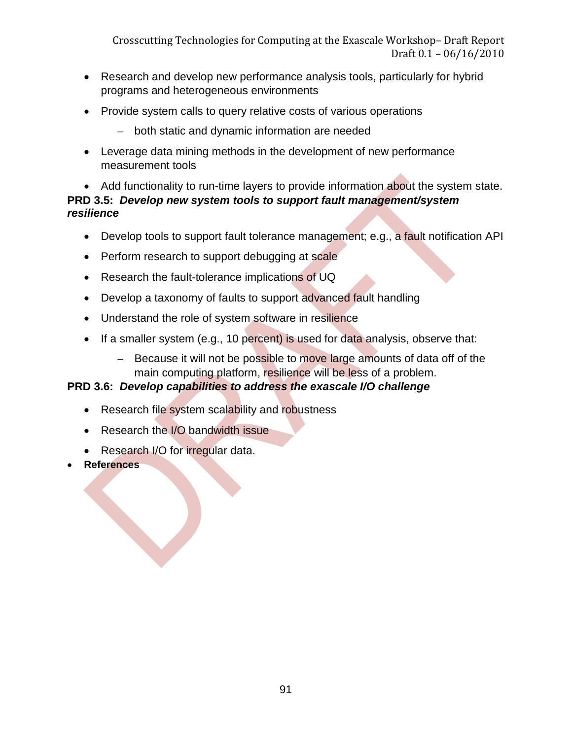- Research and develop new performance analysis tools, particularly for hybrid programs and heterogeneous environments
- Provide system calls to query relative costs of various operations
	- both static and dynamic information are needed
- Leverage data mining methods in the development of new performance measurement tools
- Add functionality to run-time layers to provide information about the system state. **PRD 3.5:** *Develop new system tools to support fault management/system*

## *resilience*

- Develop tools to support fault tolerance management; e.g., a fault notification API
- Perform research to support debugging at scale
- Research the fault-tolerance implications of UQ
- Develop a taxonomy of faults to support advanced fault handling
- Understand the role of system software in resilience
- If a smaller system (e.g., 10 percent) is used for data analysis, observe that:
	- Because it will not be possible to move large amounts of data off of the main computing platform, resilience will be less of a problem.

## **PRD 3.6:** *Develop capabilities to address the exascale I/O challenge*

- Research file system scalability and robustness
- Research the I/O bandwidth issue
- Research I/O for irregular data.
- **References**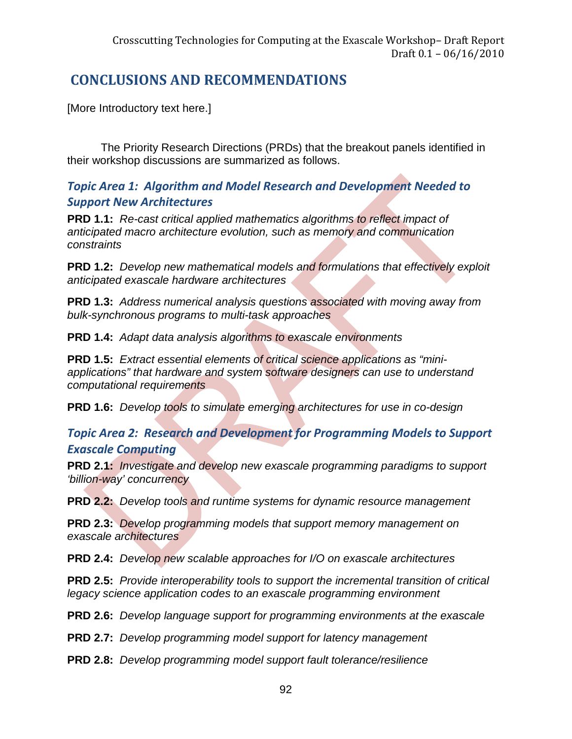## **CONCLUSIONS AND RECOMMENDATIONS**

[More Introductory text here.]

The Priority Research Directions (PRDs) that the breakout panels identified in their workshop discussions are summarized as follows.

## *Topic Area 1: Algorithm and Model Research and Development Needed to Support New Architectures*

**PRD 1.1:** *Re-cast critical applied mathematics algorithms to reflect impact of anticipated macro architecture evolution, such as memory and communication constraints*

**PRD 1.2:** *Develop new mathematical models and formulations that effectively exploit anticipated exascale hardware architectures*

**PRD 1.3:** *Address numerical analysis questions associated with moving away from bulk-synchronous programs to multi-task approaches*

**PRD 1.4:** *Adapt data analysis algorithms to exascale environments*

**PRD 1.5:** *Extract essential elements of critical science applications as "miniapplications" that hardware and system software designers can use to understand computational requirements*

**PRD 1.6:** *Develop tools to simulate emerging architectures for use in co-design*

## *Topic Area 2: Research and Development for Programming Models to Support Exascale Computing*

**PRD 2.1:** *Investigate and develop new exascale programming paradigms to support 'billion-way' concurrency*

**PRD 2.2:** *Develop tools and runtime systems for dynamic resource management*

**PRD 2.3:** *Develop programming models that support memory management on exascale architectures*

**PRD 2.4:** *Develop new scalable approaches for I/O on exascale architectures*

**PRD 2.5:** *Provide interoperability tools to support the incremental transition of critical legacy science application codes to an exascale programming environment*

**PRD 2.6:** *Develop language support for programming environments at the exascale*

**PRD 2.7:** *Develop programming model support for latency management*

**PRD 2.8:** *Develop programming model support fault tolerance/resilience*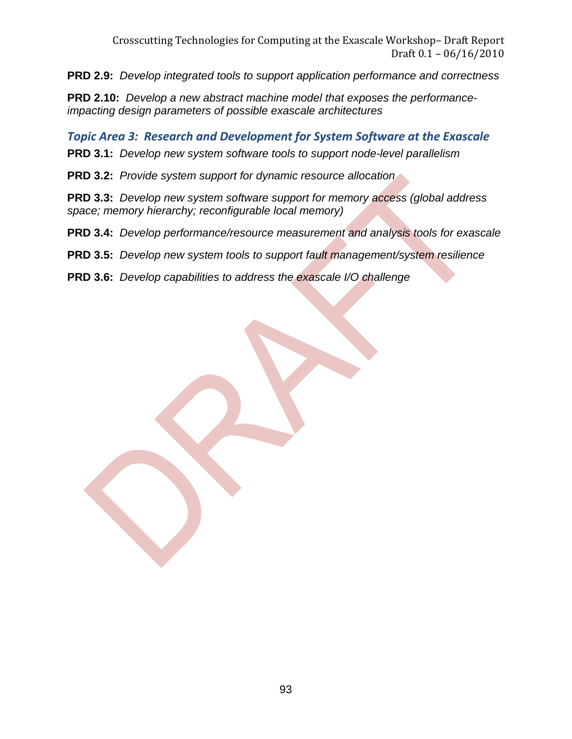**PRD 2.9:** *Develop integrated tools to support application performance and correctness*

**PRD 2.10:** *Develop a new abstract machine model that exposes the performanceimpacting design parameters of possible exascale architectures*

*Topic Area 3: Research and Development for System Software at the Exascale*

**PRD 3.1:** *Develop new system software tools to support node-level parallelism*

**PRD 3.2:** *Provide system support for dynamic resource allocation*

**PRD 3.3:** *Develop new system software support for memory access (global address space; memory hierarchy; reconfigurable local memory)* 

**PRD 3.4:** *Develop performance/resource measurement and analysis tools for exascale*

**PRD 3.5:** *Develop new system tools to support fault management/system resilience*

**PRD 3.6:** *Develop capabilities to address the exascale I/O challenge*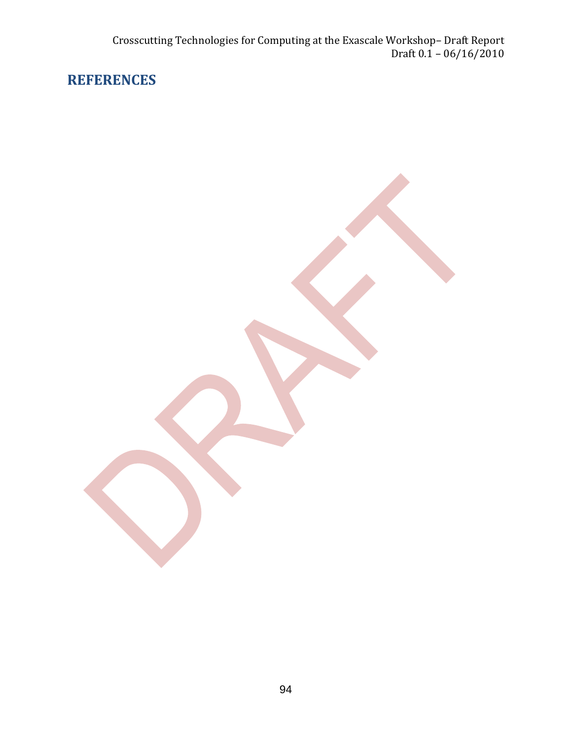# **REFERENCES**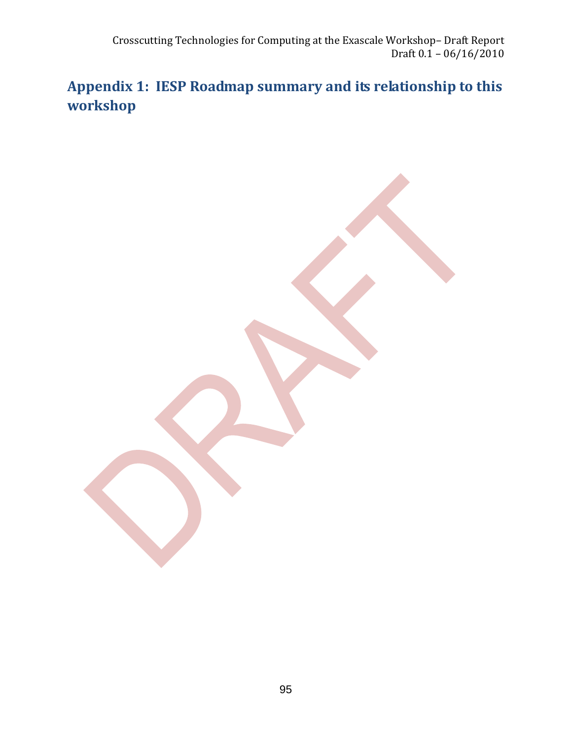# **Appendix 1: IESP Roadmap summary and its relationship to this workshop**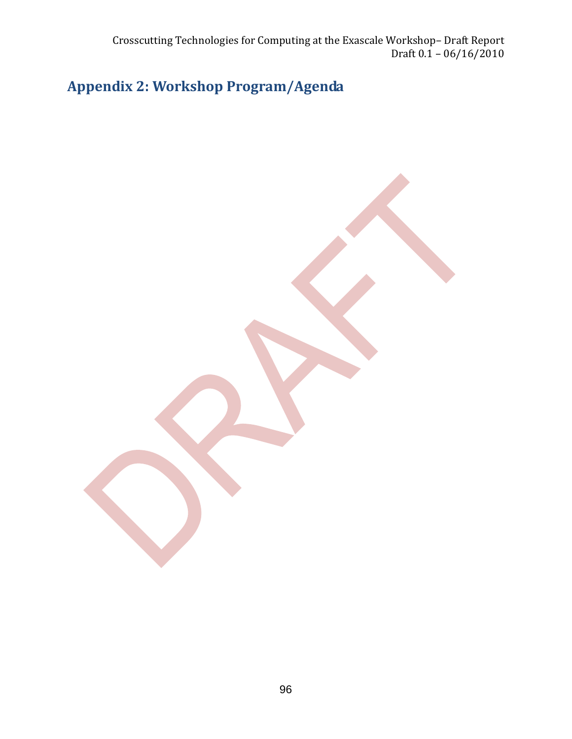# **Appendix 2: Workshop Program/Agenda**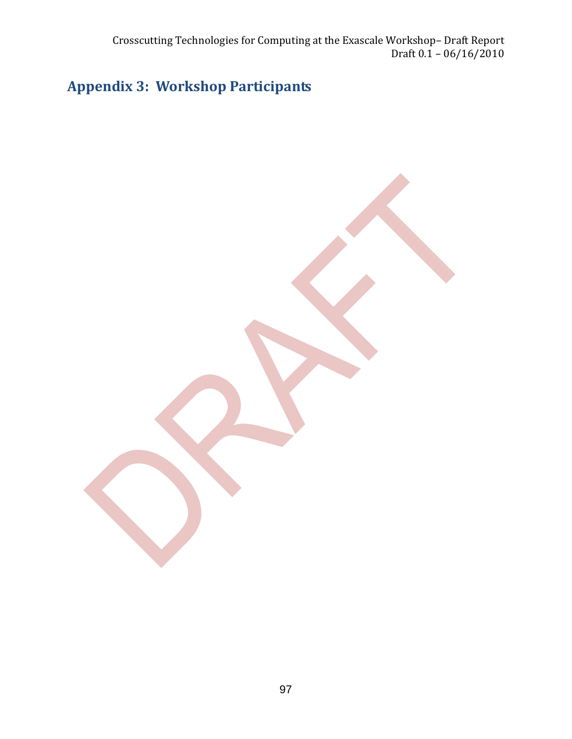# **Appendix 3: Workshop Participants**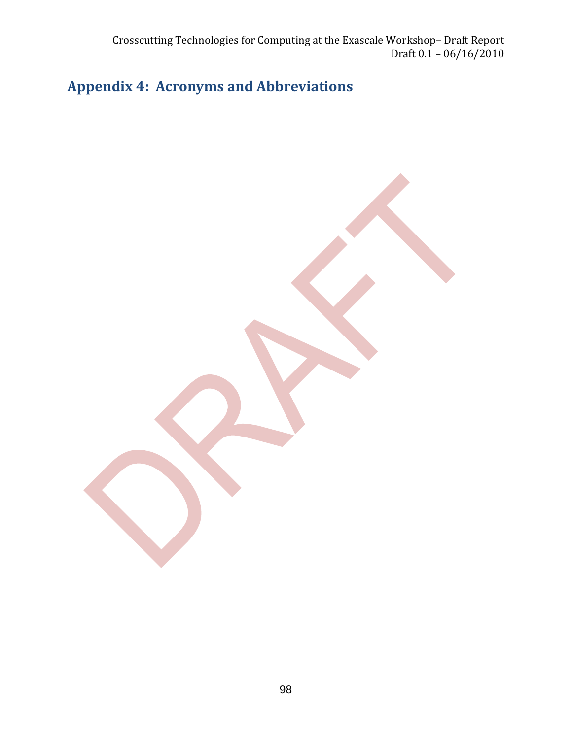# **Appendix 4: Acronyms and Abbreviations**